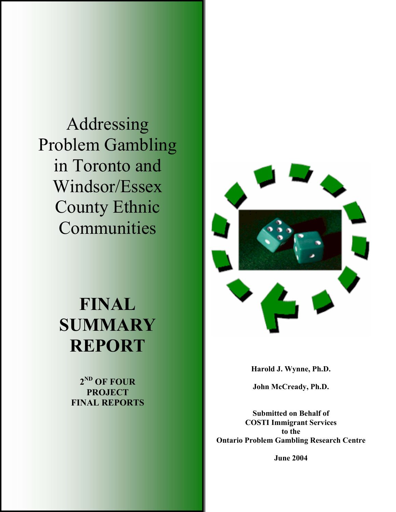Addressing Problem Gambling in Toronto and Windsor/Essex County Ethnic Communities

# **FINAL SUMMARY REPORT**

**2ND OF FOUR PROJECT FINAL REPORTS** 



**Harold J. Wynne, Ph.D.** 

**John McCready, Ph.D.** 

**Submitted on Behalf of COSTI Immigrant Services to the Ontario Problem Gambling Research Centre** 

**June 2004**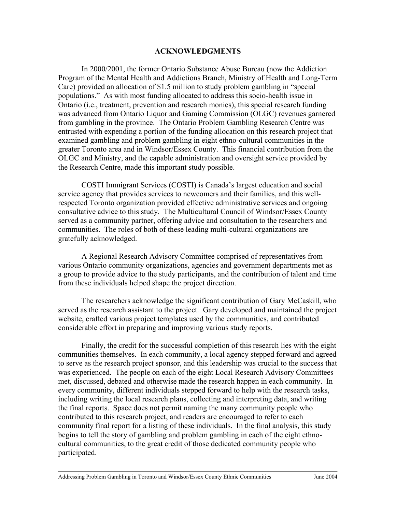#### **ACKNOWLEDGMENTS**

In 2000/2001, the former Ontario Substance Abuse Bureau (now the Addiction Program of the Mental Health and Addictions Branch, Ministry of Health and Long-Term Care) provided an allocation of \$1.5 million to study problem gambling in "special populations." As with most funding allocated to address this socio-health issue in Ontario (i.e., treatment, prevention and research monies), this special research funding was advanced from Ontario Liquor and Gaming Commission (OLGC) revenues garnered from gambling in the province. The Ontario Problem Gambling Research Centre was entrusted with expending a portion of the funding allocation on this research project that examined gambling and problem gambling in eight ethno-cultural communities in the greater Toronto area and in Windsor/Essex County. This financial contribution from the OLGC and Ministry, and the capable administration and oversight service provided by the Research Centre, made this important study possible.

COSTI Immigrant Services (COSTI) is Canada's largest education and social service agency that provides services to newcomers and their families, and this wellrespected Toronto organization provided effective administrative services and ongoing consultative advice to this study. The Multicultural Council of Windsor/Essex County served as a community partner, offering advice and consultation to the researchers and communities. The roles of both of these leading multi-cultural organizations are gratefully acknowledged.

A Regional Research Advisory Committee comprised of representatives from various Ontario community organizations, agencies and government departments met as a group to provide advice to the study participants, and the contribution of talent and time from these individuals helped shape the project direction.

The researchers acknowledge the significant contribution of Gary McCaskill, who served as the research assistant to the project. Gary developed and maintained the project website, crafted various project templates used by the communities, and contributed considerable effort in preparing and improving various study reports.

Finally, the credit for the successful completion of this research lies with the eight communities themselves. In each community, a local agency stepped forward and agreed to serve as the research project sponsor, and this leadership was crucial to the success that was experienced. The people on each of the eight Local Research Advisory Committees met, discussed, debated and otherwise made the research happen in each community. In every community, different individuals stepped forward to help with the research tasks, including writing the local research plans, collecting and interpreting data, and writing the final reports. Space does not permit naming the many community people who contributed to this research project, and readers are encouraged to refer to each community final report for a listing of these individuals. In the final analysis, this study begins to tell the story of gambling and problem gambling in each of the eight ethnocultural communities, to the great credit of those dedicated community people who participated.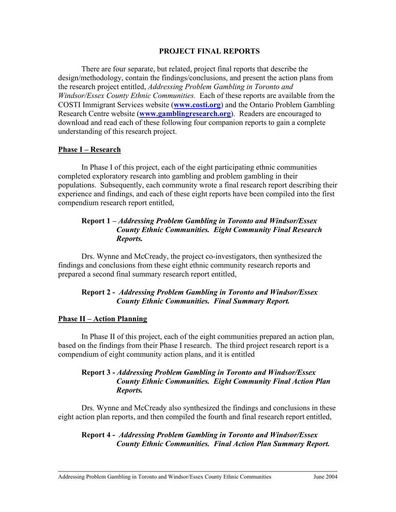## **PROJECT FINAL REPORTS**

There are four separate, but related, project final reports that describe the design/methodology, contain the findings/conclusions, and present the action plans from the research project entitled, *Addressing Problem Gambling in Toronto and Windsor/Essex County Ethnic Communities.* Each of these reports are available from the COSTI Immigrant Services website (**www.costi.org**) and the Ontario Problem Gambling Research Centre website (**www.gamblingresearch.org**). Readers are encouraged to download and read each of these following four companion reports to gain a complete understanding of this research project.

#### **Phase I – Research**

In Phase I of this project, each of the eight participating ethnic communities completed exploratory research into gambling and problem gambling in their populations. Subsequently, each community wrote a final research report describing their experience and findings, and each of these eight reports have been compiled into the first compendium research report entitled,

# **Report 1 –** *Addressing Problem Gambling in Toronto and Windsor/Essex County Ethnic Communities. Eight Community Final Research Reports.*

Drs. Wynne and McCready, the project co-investigators, then synthesized the findings and conclusions from these eight ethnic community research reports and prepared a second final summary research report entitled,

# **Report 2 -** *Addressing Problem Gambling in Toronto and Windsor/Essex County Ethnic Communities. Final Summary Report.*

#### **Phase II – Action Planning**

In Phase II of this project, each of the eight communities prepared an action plan, based on the findings from their Phase I research. The third project research report is a compendium of eight community action plans, and it is entitled

## **Report 3 -** *Addressing Problem Gambling in Toronto and Windsor/Essex County Ethnic Communities. Eight Community Final Action Plan Reports.*

Drs. Wynne and McCready also synthesized the findings and conclusions in these eight action plan reports, and then compiled the fourth and final research report entitled,

# **Report 4 -** *Addressing Problem Gambling in Toronto and Windsor/Essex County Ethnic Communities. Final Action Plan Summary Report.*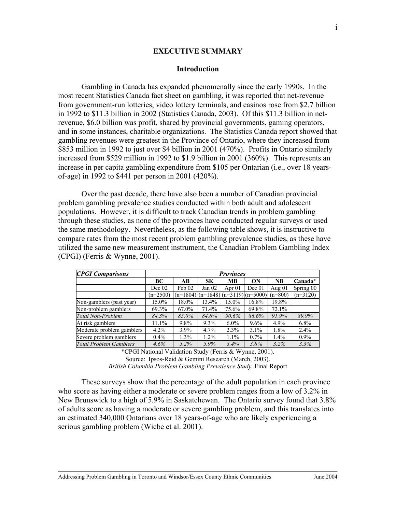#### **EXECUTIVE SUMMARY**

#### **Introduction**

Gambling in Canada has expanded phenomenally since the early 1990s. In the most recent Statistics Canada fact sheet on gambling, it was reported that net-revenue from government-run lotteries, video lottery terminals, and casinos rose from \$2.7 billion in 1992 to \$11.3 billion in 2002 (Statistics Canada, 2003). Of this \$11.3 billion in netrevenue, \$6.0 billion was profit, shared by provincial governments, gaming operators, and in some instances, charitable organizations. The Statistics Canada report showed that gambling revenues were greatest in the Province of Ontario, where they increased from \$853 million in 1992 to just over \$4 billion in 2001 (470%). Profits in Ontario similarly increased from \$529 million in 1992 to \$1.9 billion in 2001 (360%). This represents an increase in per capita gambling expenditure from \$105 per Ontarian (i.e., over 18 yearsof-age) in 1992 to \$441 per person in 2001 (420%).

 Over the past decade, there have also been a number of Canadian provincial problem gambling prevalence studies conducted within both adult and adolescent populations. However, it is difficult to track Canadian trends in problem gambling through these studies, as none of the provinces have conducted regular surveys or used the same methodology. Nevertheless, as the following table shows, it is instructive to compare rates from the most recent problem gambling prevalence studies, as these have utilized the same new measurement instrument, the Canadian Problem Gambling Index (CPGI) (Ferris & Wynne, 2001).

| <b>CPGI Comparisons</b>       | <b>Provinces</b> |         |           |                                             |         |           |            |
|-------------------------------|------------------|---------|-----------|---------------------------------------------|---------|-----------|------------|
|                               | BC               | AB      | <b>SK</b> | <b>MB</b>                                   | ON      | <b>NB</b> | Canada*    |
|                               | Dec 02           | Feb 02  | Jan $02$  | Apr $01$                                    | Dec 01  | Aug $01$  | Spring 00  |
|                               | $(n=2500)$       |         |           | $(n=1804)$ $(n=1848)$ $(n=3119)$ $(n=5000)$ |         | $(n=800)$ | $(n=3120)$ |
| Non-gamblers (past year)      | 15.0%            | 18.0%   | 13.4%     | 15.0%                                       | 16.8%   | 19.8%     |            |
| Non-problem gamblers          | 69.3%            | 67.0%   | 71.4%     | 75.6%                                       | 69.8%   | 72.1%     |            |
| Total Non-Problem             | 84.3%            | 85.0%   | 84.8%     | 90.6%                                       | 86.6%   | 91.9%     | 89.9%      |
| At risk gamblers              | $11.1\%$         | $9.8\%$ | $9.3\%$   | $6.0\%$                                     | $9.6\%$ | 4.9%      | $6.8\%$    |
| Moderate problem gamblers     | $4.2\%$          | $3.9\%$ | 4.7%      | 2.3%                                        | 3.1%    | 1.8%      | 2.4%       |
| Severe problem gamblers       | $0.4\%$          | 1.3%    | $1.2\%$   | $1.1\%$                                     | $0.7\%$ | 1.4%      | $0.9\%$    |
| <b>Total Problem Gamblers</b> | 4.6%             | $5.2\%$ | $5.9\%$   | 3.4%                                        | 3.8%    | 3.2%      | 3.3%       |

\*CPGI National Validation Study (Ferris & Wynne, 2001). Source: Ipsos-Reid & Gemini Research (March, 2003). *British Columbia Problem Gambling Prevalence Study.* Final Report

These surveys show that the percentage of the adult population in each province who score as having either a moderate or severe problem ranges from a low of 3.2% in New Brunswick to a high of 5.9% in Saskatchewan. The Ontario survey found that 3.8% of adults score as having a moderate or severe gambling problem, and this translates into an estimated 340,000 Ontarians over 18 years-of-age who are likely experiencing a serious gambling problem (Wiebe et al. 2001).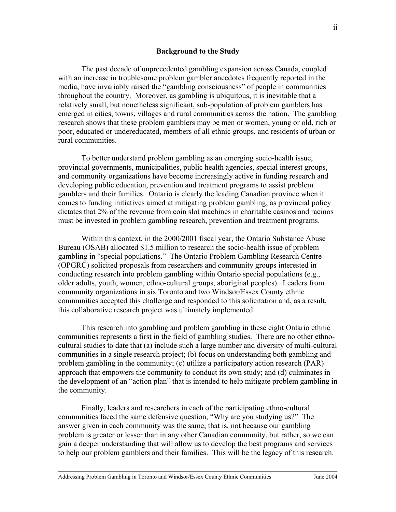#### **Background to the Study**

The past decade of unprecedented gambling expansion across Canada, coupled with an increase in troublesome problem gambler anecdotes frequently reported in the media, have invariably raised the "gambling consciousness" of people in communities throughout the country. Moreover, as gambling is ubiquitous, it is inevitable that a relatively small, but nonetheless significant, sub-population of problem gamblers has emerged in cities, towns, villages and rural communities across the nation. The gambling research shows that these problem gamblers may be men or women, young or old, rich or poor, educated or undereducated, members of all ethnic groups, and residents of urban or rural communities.

To better understand problem gambling as an emerging socio-health issue, provincial governments, municipalities, public health agencies, special interest groups, and community organizations have become increasingly active in funding research and developing public education, prevention and treatment programs to assist problem gamblers and their families. Ontario is clearly the leading Canadian province when it comes to funding initiatives aimed at mitigating problem gambling, as provincial policy dictates that 2% of the revenue from coin slot machines in charitable casinos and racinos must be invested in problem gambling research, prevention and treatment programs.

Within this context, in the 2000/2001 fiscal year, the Ontario Substance Abuse Bureau (OSAB) allocated \$1.5 million to research the socio-health issue of problem gambling in "special populations." The Ontario Problem Gambling Research Centre (OPGRC) solicited proposals from researchers and community groups interested in conducting research into problem gambling within Ontario special populations (e.g., older adults, youth, women, ethno-cultural groups, aboriginal peoples). Leaders from community organizations in six Toronto and two Windsor/Essex County ethnic communities accepted this challenge and responded to this solicitation and, as a result, this collaborative research project was ultimately implemented.

This research into gambling and problem gambling in these eight Ontario ethnic communities represents a first in the field of gambling studies. There are no other ethnocultural studies to date that (a) include such a large number and diversity of multi-cultural communities in a single research project; (b) focus on understanding both gambling and problem gambling in the community; (c) utilize a participatory action research (PAR) approach that empowers the community to conduct its own study; and (d) culminates in the development of an "action plan" that is intended to help mitigate problem gambling in the community.

Finally, leaders and researchers in each of the participating ethno-cultural communities faced the same defensive question, "Why are you studying us?" The answer given in each community was the same; that is, not because our gambling problem is greater or lesser than in any other Canadian community, but rather, so we can gain a deeper understanding that will allow us to develop the best programs and services to help our problem gamblers and their families. This will be the legacy of this research.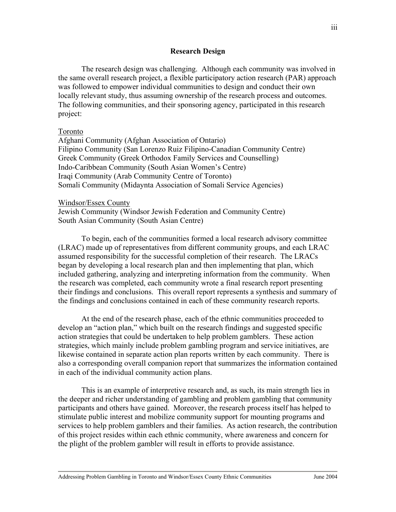#### **Research Design**

 The research design was challenging. Although each community was involved in the same overall research project, a flexible participatory action research (PAR) approach was followed to empower individual communities to design and conduct their own locally relevant study, thus assuming ownership of the research process and outcomes. The following communities, and their sponsoring agency, participated in this research project:

#### Toronto

Afghani Community (Afghan Association of Ontario) Filipino Community (San Lorenzo Ruiz Filipino-Canadian Community Centre) Greek Community (Greek Orthodox Family Services and Counselling) Indo-Caribbean Community (South Asian Women's Centre) Iraqi Community (Arab Community Centre of Toronto) Somali Community (Midaynta Association of Somali Service Agencies)

#### Windsor/Essex County

Jewish Community (Windsor Jewish Federation and Community Centre) South Asian Community (South Asian Centre)

To begin, each of the communities formed a local research advisory committee (LRAC) made up of representatives from different community groups, and each LRAC assumed responsibility for the successful completion of their research. The LRACs began by developing a local research plan and then implementing that plan, which included gathering, analyzing and interpreting information from the community. When the research was completed, each community wrote a final research report presenting their findings and conclusions. This overall report represents a synthesis and summary of the findings and conclusions contained in each of these community research reports.

At the end of the research phase, each of the ethnic communities proceeded to develop an "action plan," which built on the research findings and suggested specific action strategies that could be undertaken to help problem gamblers. These action strategies, which mainly include problem gambling program and service initiatives, are likewise contained in separate action plan reports written by each community. There is also a corresponding overall companion report that summarizes the information contained in each of the individual community action plans.

 This is an example of interpretive research and, as such, its main strength lies in the deeper and richer understanding of gambling and problem gambling that community participants and others have gained. Moreover, the research process itself has helped to stimulate public interest and mobilize community support for mounting programs and services to help problem gamblers and their families. As action research, the contribution of this project resides within each ethnic community, where awareness and concern for the plight of the problem gambler will result in efforts to provide assistance.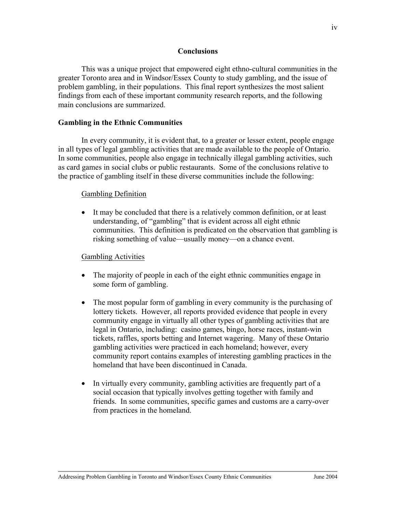#### **Conclusions**

 This was a unique project that empowered eight ethno-cultural communities in the greater Toronto area and in Windsor/Essex County to study gambling, and the issue of problem gambling, in their populations. This final report synthesizes the most salient findings from each of these important community research reports, and the following main conclusions are summarized.

## **Gambling in the Ethnic Communities**

In every community, it is evident that, to a greater or lesser extent, people engage in all types of legal gambling activities that are made available to the people of Ontario. In some communities, people also engage in technically illegal gambling activities, such as card games in social clubs or public restaurants. Some of the conclusions relative to the practice of gambling itself in these diverse communities include the following:

#### Gambling Definition

• It may be concluded that there is a relatively common definition, or at least understanding, of "gambling" that is evident across all eight ethnic communities. This definition is predicated on the observation that gambling is risking something of value—usually money—on a chance event.

#### Gambling Activities

- The majority of people in each of the eight ethnic communities engage in some form of gambling.
- The most popular form of gambling in every community is the purchasing of lottery tickets. However, all reports provided evidence that people in every community engage in virtually all other types of gambling activities that are legal in Ontario, including: casino games, bingo, horse races, instant-win tickets, raffles, sports betting and Internet wagering. Many of these Ontario gambling activities were practiced in each homeland; however, every community report contains examples of interesting gambling practices in the homeland that have been discontinued in Canada.
- In virtually every community, gambling activities are frequently part of a social occasion that typically involves getting together with family and friends. In some communities, specific games and customs are a carry-over from practices in the homeland.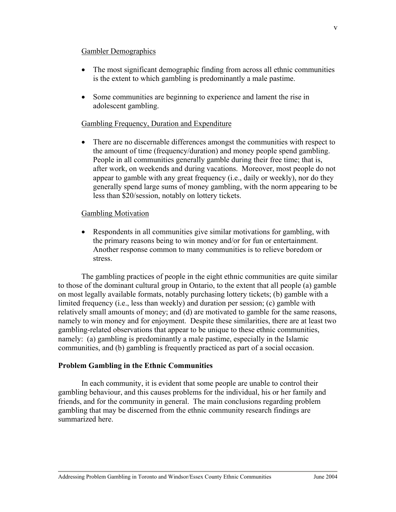#### Gambler Demographics

- The most significant demographic finding from across all ethnic communities is the extent to which gambling is predominantly a male pastime.
- Some communities are beginning to experience and lament the rise in adolescent gambling.

## Gambling Frequency, Duration and Expenditure

• There are no discernable differences amongst the communities with respect to the amount of time (frequency/duration) and money people spend gambling. People in all communities generally gamble during their free time; that is, after work, on weekends and during vacations. Moreover, most people do not appear to gamble with any great frequency (i.e., daily or weekly), nor do they generally spend large sums of money gambling, with the norm appearing to be less than \$20/session, notably on lottery tickets.

#### Gambling Motivation

• Respondents in all communities give similar motivations for gambling, with the primary reasons being to win money and/or for fun or entertainment. Another response common to many communities is to relieve boredom or stress.

The gambling practices of people in the eight ethnic communities are quite similar to those of the dominant cultural group in Ontario, to the extent that all people (a) gamble on most legally available formats, notably purchasing lottery tickets; (b) gamble with a limited frequency (i.e., less than weekly) and duration per session; (c) gamble with relatively small amounts of money; and (d) are motivated to gamble for the same reasons, namely to win money and for enjoyment. Despite these similarities, there are at least two gambling-related observations that appear to be unique to these ethnic communities, namely: (a) gambling is predominantly a male pastime, especially in the Islamic communities, and (b) gambling is frequently practiced as part of a social occasion.

#### **Problem Gambling in the Ethnic Communities**

In each community, it is evident that some people are unable to control their gambling behaviour, and this causes problems for the individual, his or her family and friends, and for the community in general. The main conclusions regarding problem gambling that may be discerned from the ethnic community research findings are summarized here.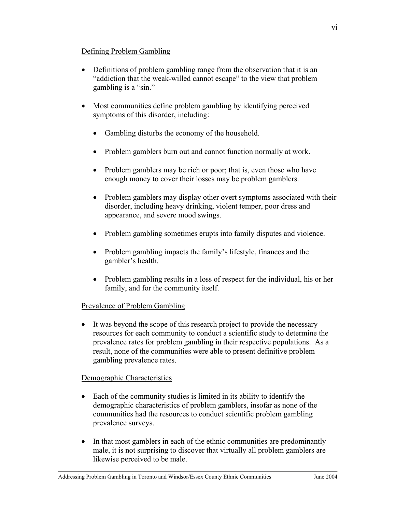## Defining Problem Gambling

- Definitions of problem gambling range from the observation that it is an "addiction that the weak-willed cannot escape" to the view that problem gambling is a "sin."
- Most communities define problem gambling by identifying perceived symptoms of this disorder, including:
	- Gambling disturbs the economy of the household.
	- Problem gamblers burn out and cannot function normally at work.
	- Problem gamblers may be rich or poor; that is, even those who have enough money to cover their losses may be problem gamblers.
	- Problem gamblers may display other overt symptoms associated with their disorder, including heavy drinking, violent temper, poor dress and appearance, and severe mood swings.
	- Problem gambling sometimes erupts into family disputes and violence.
	- Problem gambling impacts the family's lifestyle, finances and the gambler's health.
	- Problem gambling results in a loss of respect for the individual, his or her family, and for the community itself.

# Prevalence of Problem Gambling

• It was beyond the scope of this research project to provide the necessary resources for each community to conduct a scientific study to determine the prevalence rates for problem gambling in their respective populations. As a result, none of the communities were able to present definitive problem gambling prevalence rates.

# Demographic Characteristics

- Each of the community studies is limited in its ability to identify the demographic characteristics of problem gamblers, insofar as none of the communities had the resources to conduct scientific problem gambling prevalence surveys.
- In that most gamblers in each of the ethnic communities are predominantly male, it is not surprising to discover that virtually all problem gamblers are likewise perceived to be male.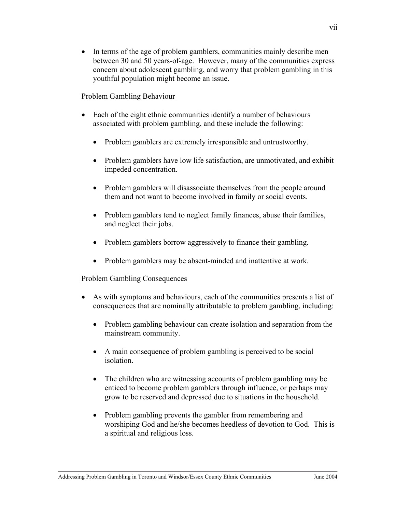• In terms of the age of problem gamblers, communities mainly describe men between 30 and 50 years-of-age. However, many of the communities express concern about adolescent gambling, and worry that problem gambling in this youthful population might become an issue.

## Problem Gambling Behaviour

- Each of the eight ethnic communities identify a number of behaviours associated with problem gambling, and these include the following:
	- Problem gamblers are extremely irresponsible and untrustworthy.
	- Problem gamblers have low life satisfaction, are unmotivated, and exhibit impeded concentration.
	- Problem gamblers will disassociate themselves from the people around them and not want to become involved in family or social events.
	- Problem gamblers tend to neglect family finances, abuse their families, and neglect their jobs.
	- Problem gamblers borrow aggressively to finance their gambling.
	- Problem gamblers may be absent-minded and inattentive at work.

# Problem Gambling Consequences

- As with symptoms and behaviours, each of the communities presents a list of consequences that are nominally attributable to problem gambling, including:
	- Problem gambling behaviour can create isolation and separation from the mainstream community.
	- A main consequence of problem gambling is perceived to be social isolation.
	- The children who are witnessing accounts of problem gambling may be enticed to become problem gamblers through influence, or perhaps may grow to be reserved and depressed due to situations in the household.
	- Problem gambling prevents the gambler from remembering and worshiping God and he/she becomes heedless of devotion to God. This is a spiritual and religious loss.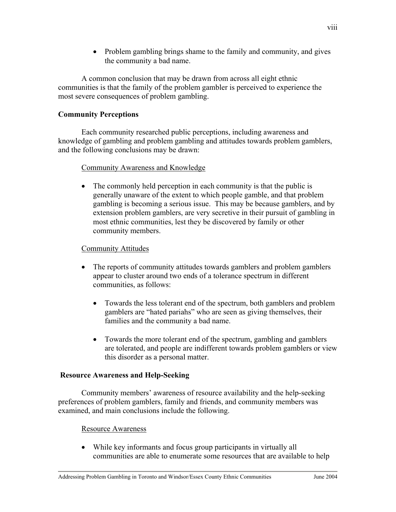• Problem gambling brings shame to the family and community, and gives the community a bad name.

A common conclusion that may be drawn from across all eight ethnic communities is that the family of the problem gambler is perceived to experience the most severe consequences of problem gambling.

# **Community Perceptions**

Each community researched public perceptions, including awareness and knowledge of gambling and problem gambling and attitudes towards problem gamblers, and the following conclusions may be drawn:

# Community Awareness and Knowledge

• The commonly held perception in each community is that the public is generally unaware of the extent to which people gamble, and that problem gambling is becoming a serious issue. This may be because gamblers, and by extension problem gamblers, are very secretive in their pursuit of gambling in most ethnic communities, lest they be discovered by family or other community members.

# Community Attitudes

- The reports of community attitudes towards gamblers and problem gamblers appear to cluster around two ends of a tolerance spectrum in different communities, as follows:
	- Towards the less tolerant end of the spectrum, both gamblers and problem gamblers are "hated pariahs" who are seen as giving themselves, their families and the community a bad name.
	- Towards the more tolerant end of the spectrum, gambling and gamblers are tolerated, and people are indifferent towards problem gamblers or view this disorder as a personal matter.

# **Resource Awareness and Help-Seeking**

Community members' awareness of resource availability and the help-seeking preferences of problem gamblers, family and friends, and community members was examined, and main conclusions include the following.

# Resource Awareness

• While key informants and focus group participants in virtually all communities are able to enumerate some resources that are available to help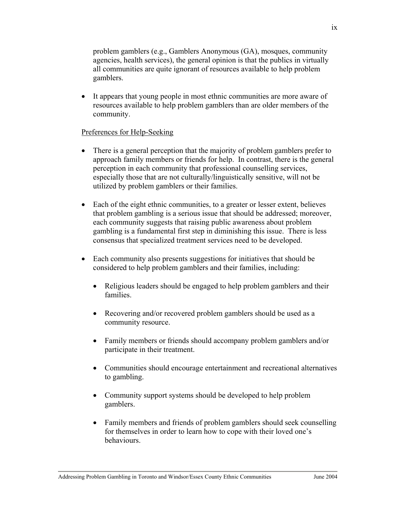problem gamblers (e.g., Gamblers Anonymous (GA), mosques, community agencies, health services), the general opinion is that the publics in virtually all communities are quite ignorant of resources available to help problem gamblers.

• It appears that young people in most ethnic communities are more aware of resources available to help problem gamblers than are older members of the community.

# Preferences for Help-Seeking

- There is a general perception that the majority of problem gamblers prefer to approach family members or friends for help. In contrast, there is the general perception in each community that professional counselling services, especially those that are not culturally/linguistically sensitive, will not be utilized by problem gamblers or their families.
- Each of the eight ethnic communities, to a greater or lesser extent, believes that problem gambling is a serious issue that should be addressed; moreover, each community suggests that raising public awareness about problem gambling is a fundamental first step in diminishing this issue. There is less consensus that specialized treatment services need to be developed.
- Each community also presents suggestions for initiatives that should be considered to help problem gamblers and their families, including:
	- Religious leaders should be engaged to help problem gamblers and their families.
	- Recovering and/or recovered problem gamblers should be used as a community resource.
	- Family members or friends should accompany problem gamblers and/or participate in their treatment.
	- Communities should encourage entertainment and recreational alternatives to gambling.
	- Community support systems should be developed to help problem gamblers.
	- Family members and friends of problem gamblers should seek counselling for themselves in order to learn how to cope with their loved one's behaviours.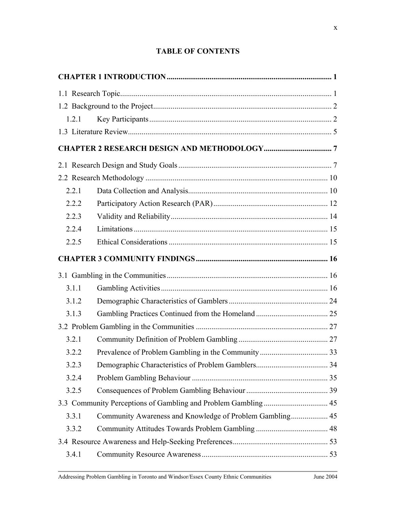# **TABLE OF CONTENTS**

| 1.2.1 |  |
|-------|--|
|       |  |
|       |  |
|       |  |
|       |  |
| 2.2.1 |  |
| 2.2.2 |  |
| 2.2.3 |  |
| 2.2.4 |  |
| 2.2.5 |  |
|       |  |
|       |  |
| 3.1.1 |  |
| 3.1.2 |  |
| 3.1.3 |  |
|       |  |
| 3.2.1 |  |
| 3.2.2 |  |
| 3.2.3 |  |
| 3.2.4 |  |
| 3.2.5 |  |
|       |  |
| 3.3.1 |  |
| 3.3.2 |  |
|       |  |
| 3.4.1 |  |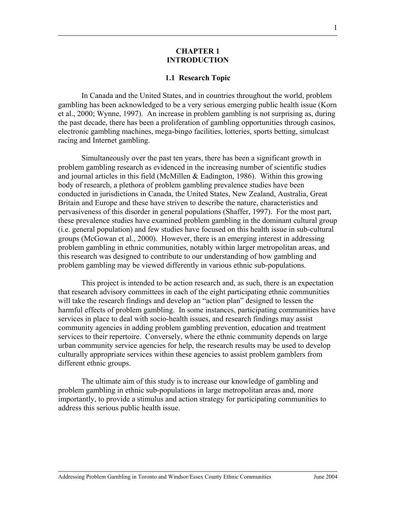#### **CHAPTER 1 INTRODUCTION**

#### **1.1 Research Topic**

In Canada and the United States, and in countries throughout the world, problem gambling has been acknowledged to be a very serious emerging public health issue (Korn et al., 2000; Wynne, 1997). An increase in problem gambling is not surprising as, during the past decade, there has been a proliferation of gambling opportunities through casinos, electronic gambling machines, mega-bingo facilities, lotteries, sports betting, simulcast racing and Internet gambling.

Simultaneously over the past ten years, there has been a significant growth in problem gambling research as evidenced in the increasing number of scientific studies and journal articles in this field (McMillen & Eadington, 1986). Within this growing body of research, a plethora of problem gambling prevalence studies have been conducted in jurisdictions in Canada, the United States, New Zealand, Australia, Great Britain and Europe and these have striven to describe the nature, characteristics and pervasiveness of this disorder in general populations (Shaffer, 1997). For the most part, these prevalence studies have examined problem gambling in the dominant cultural group (i.e. general population) and few studies have focused on this health issue in sub-cultural groups (McGowan et al., 2000). However, there is an emerging interest in addressing problem gambling in ethnic communities, notably within larger metropolitan areas, and this research was designed to contribute to our understanding of how gambling and problem gambling may be viewed differently in various ethnic sub-populations.

This project is intended to be action research and, as such, there is an expectation that research advisory committees in each of the eight participating ethnic communities will take the research findings and develop an "action plan" designed to lessen the harmful effects of problem gambling. In some instances, participating communities have services in place to deal with socio-health issues, and research findings may assist community agencies in adding problem gambling prevention, education and treatment services to their repertoire. Conversely, where the ethnic community depends on large urban community service agencies for help, the research results may be used to develop culturally appropriate services within these agencies to assist problem gamblers from different ethnic groups.

The ultimate aim of this study is to increase our knowledge of gambling and problem gambling in ethnic sub-populations in large metropolitan areas and, more importantly, to provide a stimulus and action strategy for participating communities to address this serious public health issue.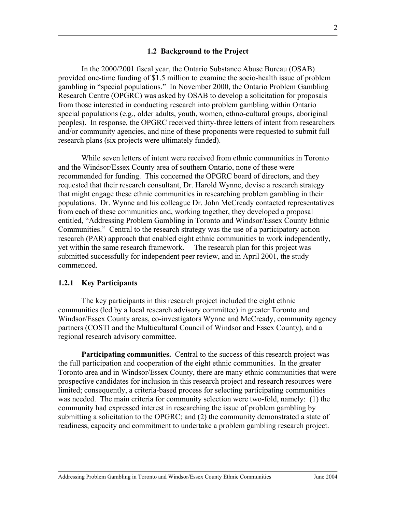#### **1.2 Background to the Project**

In the 2000/2001 fiscal year, the Ontario Substance Abuse Bureau (OSAB) provided one-time funding of \$1.5 million to examine the socio-health issue of problem gambling in "special populations." In November 2000, the Ontario Problem Gambling Research Centre (OPGRC) was asked by OSAB to develop a solicitation for proposals from those interested in conducting research into problem gambling within Ontario special populations (e.g., older adults, youth, women, ethno-cultural groups, aboriginal peoples). In response, the OPGRC received thirty-three letters of intent from researchers and/or community agencies, and nine of these proponents were requested to submit full research plans (six projects were ultimately funded).

While seven letters of intent were received from ethnic communities in Toronto and the Windsor/Essex County area of southern Ontario, none of these were recommended for funding. This concerned the OPGRC board of directors, and they requested that their research consultant, Dr. Harold Wynne, devise a research strategy that might engage these ethnic communities in researching problem gambling in their populations. Dr. Wynne and his colleague Dr. John McCready contacted representatives from each of these communities and, working together, they developed a proposal entitled, "Addressing Problem Gambling in Toronto and Windsor/Essex County Ethnic Communities." Central to the research strategy was the use of a participatory action research (PAR) approach that enabled eight ethnic communities to work independently, yet within the same research framework. The research plan for this project was submitted successfully for independent peer review, and in April 2001, the study commenced.

#### **1.2.1 Key Participants**

The key participants in this research project included the eight ethnic communities (led by a local research advisory committee) in greater Toronto and Windsor/Essex County areas, co-investigators Wynne and McCready, community agency partners (COSTI and the Multicultural Council of Windsor and Essex County), and a regional research advisory committee.

**Participating communities.** Central to the success of this research project was the full participation and cooperation of the eight ethnic communities. In the greater Toronto area and in Windsor/Essex County, there are many ethnic communities that were prospective candidates for inclusion in this research project and research resources were limited; consequently, a criteria-based process for selecting participating communities was needed. The main criteria for community selection were two-fold, namely: (1) the community had expressed interest in researching the issue of problem gambling by submitting a solicitation to the OPGRC; and (2) the community demonstrated a state of readiness, capacity and commitment to undertake a problem gambling research project.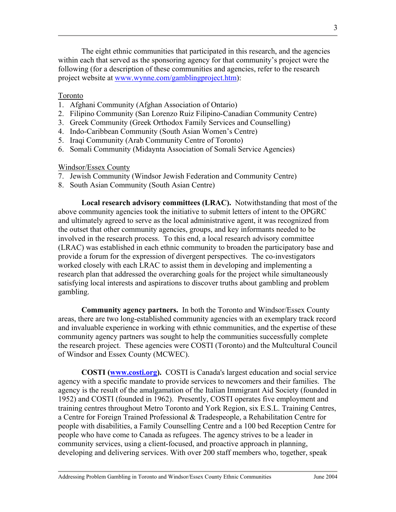The eight ethnic communities that participated in this research, and the agencies within each that served as the sponsoring agency for that community's project were the following (for a description of these communities and agencies, refer to the research project website at www.wynne.com/gamblingproject.htm):

#### Toronto

- 1. Afghani Community (Afghan Association of Ontario)
- 2. Filipino Community (San Lorenzo Ruiz Filipino-Canadian Community Centre)
- 3. Greek Community (Greek Orthodox Family Services and Counselling)
- 4. Indo-Caribbean Community (South Asian Women's Centre)
- 5. Iraqi Community (Arab Community Centre of Toronto)
- 6. Somali Community (Midaynta Association of Somali Service Agencies)

#### Windsor/Essex County

- 7. Jewish Community (Windsor Jewish Federation and Community Centre)
- 8. South Asian Community (South Asian Centre)

**Local research advisory committees (LRAC).** Notwithstanding that most of the above community agencies took the initiative to submit letters of intent to the OPGRC and ultimately agreed to serve as the local administrative agent, it was recognized from the outset that other community agencies, groups, and key informants needed to be involved in the research process. To this end, a local research advisory committee (LRAC) was established in each ethnic community to broaden the participatory base and provide a forum for the expression of divergent perspectives. The co-investigators worked closely with each LRAC to assist them in developing and implementing a research plan that addressed the overarching goals for the project while simultaneously satisfying local interests and aspirations to discover truths about gambling and problem gambling.

**Community agency partners.** In both the Toronto and Windsor/Essex County areas, there are two long-established community agencies with an exemplary track record and invaluable experience in working with ethnic communities, and the expertise of these community agency partners was sought to help the communities successfully complete the research project. These agencies were COSTI (Toronto) and the Multcultural Council of Windsor and Essex County (MCWEC).

**COSTI (www.costi.org).** COSTI is Canada's largest education and social service agency with a specific mandate to provide services to newcomers and their families. The agency is the result of the amalgamation of the Italian Immigrant Aid Society (founded in 1952) and COSTI (founded in 1962). Presently, COSTI operates five employment and training centres throughout Metro Toronto and York Region, six E.S.L. Training Centres, a Centre for Foreign Trained Professional & Tradespeople, a Rehabilitation Centre for people with disabilities, a Family Counselling Centre and a 100 bed Reception Centre for people who have come to Canada as refugees. The agency strives to be a leader in community services, using a client-focused, and proactive approach in planning, developing and delivering services. With over 200 staff members who, together, speak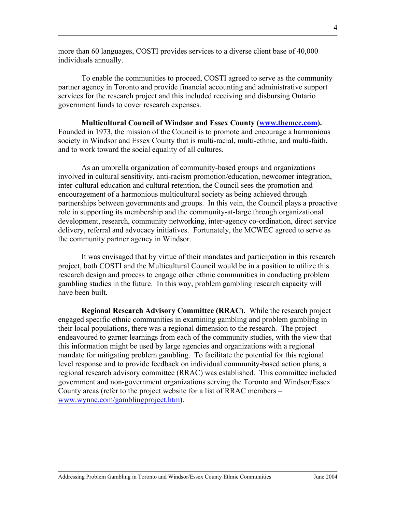more than 60 languages, COSTI provides services to a diverse client base of 40,000 individuals annually.

To enable the communities to proceed, COSTI agreed to serve as the community partner agency in Toronto and provide financial accounting and administrative support services for the research project and this included receiving and disbursing Ontario government funds to cover research expenses.

**Multicultural Council of Windsor and Essex County (www.themcc.com).**  Founded in 1973, the mission of the Council is to promote and encourage a harmonious society in Windsor and Essex County that is multi-racial, multi-ethnic, and multi-faith, and to work toward the social equality of all cultures.

As an umbrella organization of community-based groups and organizations involved in cultural sensitivity, anti-racism promotion/education, newcomer integration, inter-cultural education and cultural retention, the Council sees the promotion and encouragement of a harmonious multicultural society as being achieved through partnerships between governments and groups. In this vein, the Council plays a proactive role in supporting its membership and the community-at-large through organizational development, research, community networking, inter-agency co-ordination, direct service delivery, referral and advocacy initiatives. Fortunately, the MCWEC agreed to serve as the community partner agency in Windsor.

It was envisaged that by virtue of their mandates and participation in this research project, both COSTI and the Multicultural Council would be in a position to utilize this research design and process to engage other ethnic communities in conducting problem gambling studies in the future. In this way, problem gambling research capacity will have been built.

**Regional Research Advisory Committee (RRAC).** While the research project engaged specific ethnic communities in examining gambling and problem gambling in their local populations, there was a regional dimension to the research. The project endeavoured to garner learnings from each of the community studies, with the view that this information might be used by large agencies and organizations with a regional mandate for mitigating problem gambling. To facilitate the potential for this regional level response and to provide feedback on individual community-based action plans, a regional research advisory committee (RRAC) was established. This committee included government and non-government organizations serving the Toronto and Windsor/Essex County areas (refer to the project website for a list of RRAC members – www.wynne.com/gamblingproject.htm).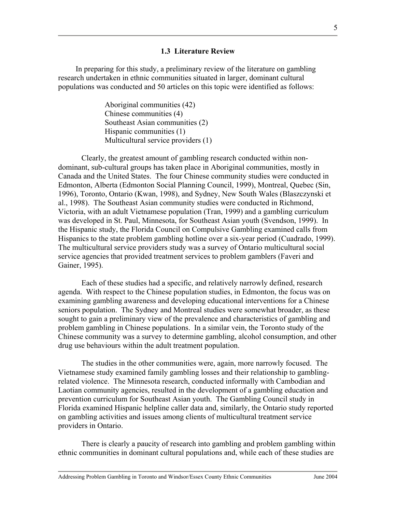#### **1.3 Literature Review**

 In preparing for this study, a preliminary review of the literature on gambling research undertaken in ethnic communities situated in larger, dominant cultural populations was conducted and 50 articles on this topic were identified as follows:

> Aboriginal communities (42) Chinese communities (4) Southeast Asian communities (2) Hispanic communities (1) Multicultural service providers (1)

Clearly, the greatest amount of gambling research conducted within nondominant, sub-cultural groups has taken place in Aboriginal communities, mostly in Canada and the United States. The four Chinese community studies were conducted in Edmonton, Alberta (Edmonton Social Planning Council, 1999), Montreal, Quebec (Sin, 1996), Toronto, Ontario (Kwan, 1998), and Sydney, New South Wales (Blaszczynski et al., 1998). The Southeast Asian community studies were conducted in Richmond, Victoria, with an adult Vietnamese population (Tran, 1999) and a gambling curriculum was developed in St. Paul, Minnesota, for Southeast Asian youth (Svendson, 1999). In the Hispanic study, the Florida Council on Compulsive Gambling examined calls from Hispanics to the state problem gambling hotline over a six-year period (Cuadrado, 1999). The multicultural service providers study was a survey of Ontario multicultural social service agencies that provided treatment services to problem gamblers (Faveri and Gainer, 1995).

 Each of these studies had a specific, and relatively narrowly defined, research agenda. With respect to the Chinese population studies, in Edmonton, the focus was on examining gambling awareness and developing educational interventions for a Chinese seniors population. The Sydney and Montreal studies were somewhat broader, as these sought to gain a preliminary view of the prevalence and characteristics of gambling and problem gambling in Chinese populations. In a similar vein, the Toronto study of the Chinese community was a survey to determine gambling, alcohol consumption, and other drug use behaviours within the adult treatment population.

The studies in the other communities were, again, more narrowly focused. The Vietnamese study examined family gambling losses and their relationship to gamblingrelated violence. The Minnesota research, conducted informally with Cambodian and Laotian community agencies, resulted in the development of a gambling education and prevention curriculum for Southeast Asian youth. The Gambling Council study in Florida examined Hispanic helpline caller data and, similarly, the Ontario study reported on gambling activities and issues among clients of multicultural treatment service providers in Ontario.

 There is clearly a paucity of research into gambling and problem gambling within ethnic communities in dominant cultural populations and, while each of these studies are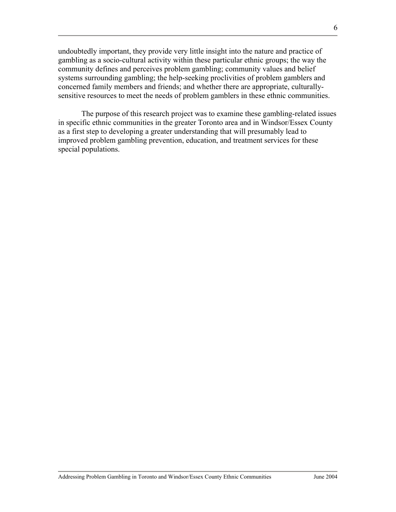undoubtedly important, they provide very little insight into the nature and practice of gambling as a socio-cultural activity within these particular ethnic groups; the way the community defines and perceives problem gambling; community values and belief systems surrounding gambling; the help-seeking proclivities of problem gamblers and concerned family members and friends; and whether there are appropriate, culturallysensitive resources to meet the needs of problem gamblers in these ethnic communities.

The purpose of this research project was to examine these gambling-related issues in specific ethnic communities in the greater Toronto area and in Windsor/Essex County as a first step to developing a greater understanding that will presumably lead to improved problem gambling prevention, education, and treatment services for these special populations.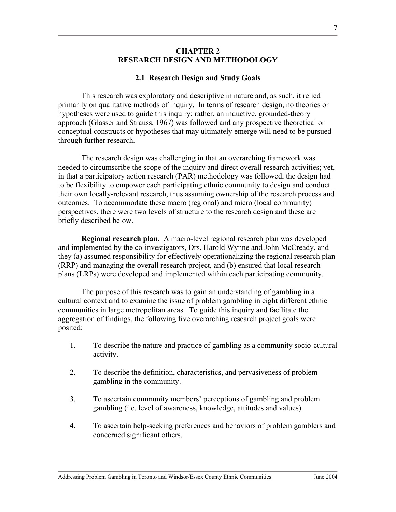### **CHAPTER 2 RESEARCH DESIGN AND METHODOLOGY**

## **2.1 Research Design and Study Goals**

This research was exploratory and descriptive in nature and, as such, it relied primarily on qualitative methods of inquiry. In terms of research design, no theories or hypotheses were used to guide this inquiry; rather, an inductive, grounded-theory approach (Glasser and Strauss, 1967) was followed and any prospective theoretical or conceptual constructs or hypotheses that may ultimately emerge will need to be pursued through further research.

 The research design was challenging in that an overarching framework was needed to circumscribe the scope of the inquiry and direct overall research activities; yet, in that a participatory action research (PAR) methodology was followed, the design had to be flexibility to empower each participating ethnic community to design and conduct their own locally-relevant research, thus assuming ownership of the research process and outcomes. To accommodate these macro (regional) and micro (local community) perspectives, there were two levels of structure to the research design and these are briefly described below.

**Regional research plan.** A macro-level regional research plan was developed and implemented by the co-investigators, Drs. Harold Wynne and John McCready, and they (a) assumed responsibility for effectively operationalizing the regional research plan (RRP) and managing the overall research project, and (b) ensured that local research plans (LRPs) were developed and implemented within each participating community.

The purpose of this research was to gain an understanding of gambling in a cultural context and to examine the issue of problem gambling in eight different ethnic communities in large metropolitan areas. To guide this inquiry and facilitate the aggregation of findings, the following five overarching research project goals were posited:

- 1. To describe the nature and practice of gambling as a community socio-cultural activity.
- 2. To describe the definition, characteristics, and pervasiveness of problem gambling in the community.
- 3. To ascertain community members' perceptions of gambling and problem gambling (i.e. level of awareness, knowledge, attitudes and values).
- 4. To ascertain help-seeking preferences and behaviors of problem gamblers and concerned significant others.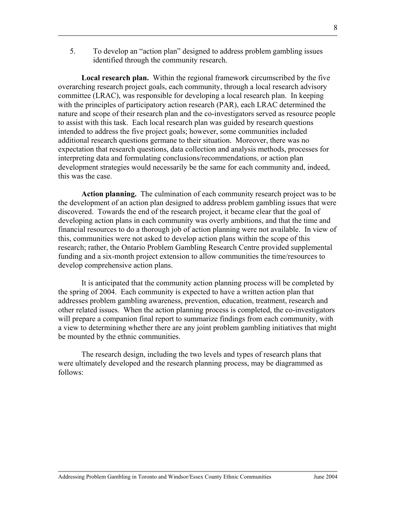5. To develop an "action plan" designed to address problem gambling issues identified through the community research.

 **Local research plan.** Within the regional framework circumscribed by the five overarching research project goals, each community, through a local research advisory committee (LRAC), was responsible for developing a local research plan. In keeping with the principles of participatory action research (PAR), each LRAC determined the nature and scope of their research plan and the co-investigators served as resource people to assist with this task. Each local research plan was guided by research questions intended to address the five project goals; however, some communities included additional research questions germane to their situation. Moreover, there was no expectation that research questions, data collection and analysis methods, processes for interpreting data and formulating conclusions/recommendations, or action plan development strategies would necessarily be the same for each community and, indeed, this was the case.

**Action planning.** The culmination of each community research project was to be the development of an action plan designed to address problem gambling issues that were discovered. Towards the end of the research project, it became clear that the goal of developing action plans in each community was overly ambitions, and that the time and financial resources to do a thorough job of action planning were not available. In view of this, communities were not asked to develop action plans within the scope of this research; rather, the Ontario Problem Gambling Research Centre provided supplemental funding and a six-month project extension to allow communities the time/resources to develop comprehensive action plans.

 It is anticipated that the community action planning process will be completed by the spring of 2004. Each community is expected to have a written action plan that addresses problem gambling awareness, prevention, education, treatment, research and other related issues. When the action planning process is completed, the co-investigators will prepare a companion final report to summarize findings from each community, with a view to determining whether there are any joint problem gambling initiatives that might be mounted by the ethnic communities.

The research design, including the two levels and types of research plans that were ultimately developed and the research planning process, may be diagrammed as follows: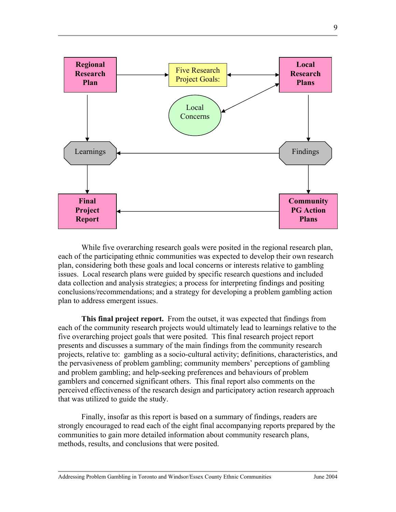

While five overarching research goals were posited in the regional research plan, each of the participating ethnic communities was expected to develop their own research plan, considering both these goals and local concerns or interests relative to gambling issues. Local research plans were guided by specific research questions and included data collection and analysis strategies; a process for interpreting findings and positing conclusions/recommendations; and a strategy for developing a problem gambling action plan to address emergent issues.

 **This final project report.** From the outset, it was expected that findings from each of the community research projects would ultimately lead to learnings relative to the five overarching project goals that were posited. This final research project report presents and discusses a summary of the main findings from the community research projects, relative to: gambling as a socio-cultural activity; definitions, characteristics, and the pervasiveness of problem gambling; community members' perceptions of gambling and problem gambling; and help-seeking preferences and behaviours of problem gamblers and concerned significant others. This final report also comments on the perceived effectiveness of the research design and participatory action research approach that was utilized to guide the study.

 Finally, insofar as this report is based on a summary of findings, readers are strongly encouraged to read each of the eight final accompanying reports prepared by the communities to gain more detailed information about community research plans, methods, results, and conclusions that were posited.

9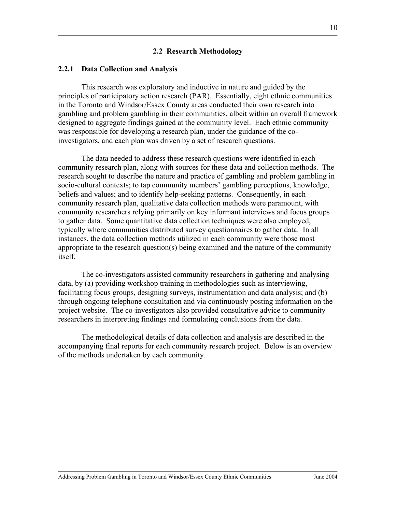#### **2.2 Research Methodology**

#### **2.2.1 Data Collection and Analysis**

This research was exploratory and inductive in nature and guided by the principles of participatory action research (PAR). Essentially, eight ethnic communities in the Toronto and Windsor/Essex County areas conducted their own research into gambling and problem gambling in their communities, albeit within an overall framework designed to aggregate findings gained at the community level. Each ethnic community was responsible for developing a research plan, under the guidance of the coinvestigators, and each plan was driven by a set of research questions.

 The data needed to address these research questions were identified in each community research plan, along with sources for these data and collection methods. The research sought to describe the nature and practice of gambling and problem gambling in socio-cultural contexts; to tap community members' gambling perceptions, knowledge, beliefs and values; and to identify help-seeking patterns. Consequently, in each community research plan, qualitative data collection methods were paramount, with community researchers relying primarily on key informant interviews and focus groups to gather data. Some quantitative data collection techniques were also employed, typically where communities distributed survey questionnaires to gather data. In all instances, the data collection methods utilized in each community were those most appropriate to the research question(s) being examined and the nature of the community itself.

 The co-investigators assisted community researchers in gathering and analysing data, by (a) providing workshop training in methodologies such as interviewing, facilitating focus groups, designing surveys, instrumentation and data analysis; and (b) through ongoing telephone consultation and via continuously posting information on the project website. The co-investigators also provided consultative advice to community researchers in interpreting findings and formulating conclusions from the data.

 The methodological details of data collection and analysis are described in the accompanying final reports for each community research project. Below is an overview of the methods undertaken by each community.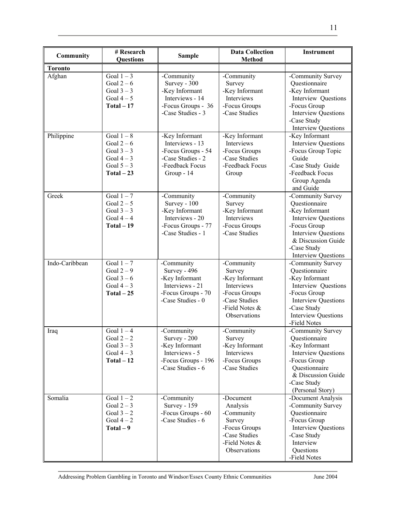| Community      | # Research<br><b>Questions</b>                                                   | <b>Sample</b>                                                                                                 | <b>Data Collection</b><br><b>Method</b>                                                                                  | <b>Instrument</b>                                                                                                                                                                                   |  |
|----------------|----------------------------------------------------------------------------------|---------------------------------------------------------------------------------------------------------------|--------------------------------------------------------------------------------------------------------------------------|-----------------------------------------------------------------------------------------------------------------------------------------------------------------------------------------------------|--|
| <b>Toronto</b> |                                                                                  |                                                                                                               |                                                                                                                          |                                                                                                                                                                                                     |  |
| Afghan         | Goal $1-3$<br>Goal $2-6$<br>Goal $3-3$<br>Goal $4-5$<br>$Total - 17$             | -Community<br>Survey - 300<br>-Key Informant<br>Interviews - 14<br>-Focus Groups - 36<br>-Case Studies - 3    | -Community<br>Survey<br>-Key Informant<br>Interviews<br>-Focus Groups<br>-Case Studies                                   | -Community Survey<br>Questionnaire<br>-Key Informant<br>Interview Questions<br>-Focus Group<br><b>Interview Questions</b><br>-Case Study<br><b>Interview Questions</b>                              |  |
| Philippine     | Goal $1-8$<br>Goal $2-6$<br>Goal $3-3$<br>Goal $4-3$<br>Goal $5-3$<br>$Total-23$ | -Key Informant<br>Interviews - 13<br>-Focus Groups - 54<br>-Case Studies - 2<br>-Feedback Focus<br>Group - 14 | -Key Informant<br>Interviews<br>-Focus Groups<br>-Case Studies<br>-Feedback Focus<br>Group                               | -Key Informant<br><b>Interview Questions</b><br>-Focus Group Topic<br>Guide<br>-Case Study Guide<br>-Feedback Focus<br>Group Agenda<br>and Guide                                                    |  |
| Greek          | Goal $1-7$<br>Goal $2-5$<br>Goal $3-3$<br>Goal $4-4$<br>$Total-19$               | -Community<br>Survey - 100<br>-Key Informant<br>Interviews - 20<br>-Focus Groups - 77<br>-Case Studies - 1    | -Community<br>Survey<br>-Key Informant<br>Interviews<br>-Focus Groups<br>-Case Studies                                   | -Community Survey<br>Questionnaire<br>-Key Informant<br><b>Interview Questions</b><br>-Focus Group<br><b>Interview Questions</b><br>& Discussion Guide<br>-Case Study<br><b>Interview Questions</b> |  |
| Indo-Caribbean | Goal $1-7$<br>Goal $2-9$<br>Goal $3-6$<br>Goal $4-3$<br>$Total - 25$             | -Community<br>Survey - 496<br>-Key Informant<br>Interviews - 21<br>-Focus Groups - 70<br>-Case Studies - 0    | -Community<br>Survey<br>-Key Informant<br>Interviews<br>-Focus Groups<br>-Case Studies<br>-Field Notes &<br>Observations | -Community Survey<br>Questionnaire<br>-Key Informant<br>Interview Questions<br>-Focus Group<br><b>Interview Questions</b><br>-Case Study<br><b>Interview Questions</b><br>-Field Notes              |  |
| Iraq           | Goal $1-4$<br>Goal $2-2$<br>Goal $3-3$<br>Goal $4-3$<br>$Total - 12$             | -Community<br>Survey - 200<br>-Key Informant<br>Interviews - 5<br>-Focus Groups - 196<br>-Case Studies - 6    | -Community<br>Survey<br>-Key Informant<br>Interviews<br>-Focus Groups<br>-Case Studies                                   | -Community Survey<br>Questionnaire<br>-Key Informant<br><b>Interview Questions</b><br>-Focus Group<br>Questionnaire<br>& Discussion Guide<br>-Case Study<br>(Personal Story)                        |  |
| Somalia        | Goal $1-2$<br>Goal $2-3$<br>Goal $3-2$<br>Goal $4-2$<br>$Total - 9$              | -Community<br><b>Survey - 159</b><br>-Focus Groups - 60<br>-Case Studies - 6                                  | -Document<br>Analysis<br>-Community<br>Survey<br>-Focus Groups<br>-Case Studies<br>-Field Notes &<br>Observations        | -Document Analysis<br>-Community Survey<br>Questionnaire<br>-Focus Group<br><b>Interview Questions</b><br>-Case Study<br>Interview<br>Questions<br>-Field Notes                                     |  |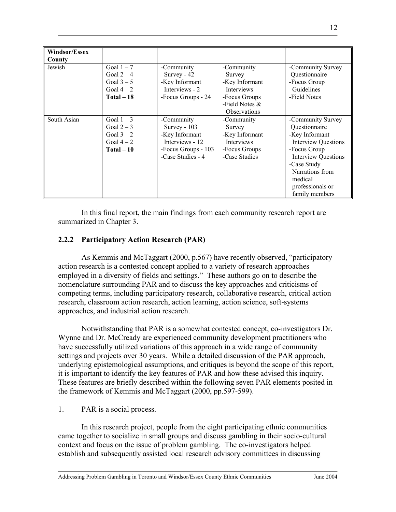| Windsor/Essex |                                                                      |                                                                                                             |                                                                                                                          |                                                                                                                                                                                                                     |
|---------------|----------------------------------------------------------------------|-------------------------------------------------------------------------------------------------------------|--------------------------------------------------------------------------------------------------------------------------|---------------------------------------------------------------------------------------------------------------------------------------------------------------------------------------------------------------------|
| County        |                                                                      |                                                                                                             |                                                                                                                          |                                                                                                                                                                                                                     |
| Jewish        | Goal $1-7$<br>Goal $2-4$<br>Goal $3-5$<br>Goal $4-2$<br>$Total - 18$ | -Community<br>Survey - 42<br>-Key Informant<br>Interviews - 2<br>-Focus Groups - 24                         | -Community<br>Survey<br>-Key Informant<br><b>Interviews</b><br>-Focus Groups<br>-Field Notes $\&$<br><b>Observations</b> | -Community Survey<br>Questionnaire<br>-Focus Group<br>Guidelines<br>-Field Notes                                                                                                                                    |
| South Asian   | Goal $1-3$<br>Goal $2-3$<br>Goal $3-2$<br>Goal $4-2$<br>$Total - 10$ | -Community<br>Survey - 103<br>-Key Informant<br>Interviews - 12<br>-Focus Groups - 103<br>-Case Studies - 4 | -Community<br>Survey<br>-Key Informant<br><b>Interviews</b><br>-Focus Groups<br>-Case Studies                            | -Community Survey<br>Questionnaire<br>-Key Informant<br><b>Interview Questions</b><br>-Focus Group<br><b>Interview Questions</b><br>-Case Study<br>Narrations from<br>medical<br>professionals or<br>family members |

In this final report, the main findings from each community research report are summarized in Chapter 3.

# **2.2.2 Participatory Action Research (PAR)**

 As Kemmis and McTaggart (2000, p.567) have recently observed, "participatory action research is a contested concept applied to a variety of research approaches employed in a diversity of fields and settings." These authors go on to describe the nomenclature surrounding PAR and to discuss the key approaches and criticisms of competing terms, including participatory research, collaborative research, critical action research, classroom action research, action learning, action science, soft-systems approaches, and industrial action research.

 Notwithstanding that PAR is a somewhat contested concept, co-investigators Dr. Wynne and Dr. McCready are experienced community development practitioners who have successfully utilized variations of this approach in a wide range of community settings and projects over 30 years. While a detailed discussion of the PAR approach, underlying epistemological assumptions, and critiques is beyond the scope of this report, it is important to identify the key features of PAR and how these advised this inquiry. These features are briefly described within the following seven PAR elements posited in the framework of Kemmis and McTaggart (2000, pp.597-599).

# 1. PAR is a social process.

In this research project, people from the eight participating ethnic communities came together to socialize in small groups and discuss gambling in their socio-cultural context and focus on the issue of problem gambling. The co-investigators helped establish and subsequently assisted local research advisory committees in discussing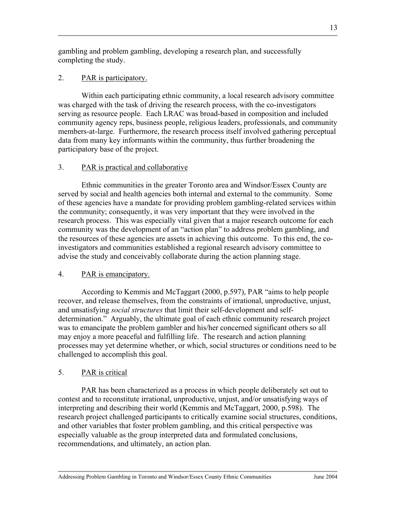gambling and problem gambling, developing a research plan, and successfully completing the study.

# 2. PAR is participatory.

Within each participating ethnic community, a local research advisory committee was charged with the task of driving the research process, with the co-investigators serving as resource people. Each LRAC was broad-based in composition and included community agency reps, business people, religious leaders, professionals, and community members-at-large. Furthermore, the research process itself involved gathering perceptual data from many key informants within the community, thus further broadening the participatory base of the project.

# 3. PAR is practical and collaborative

 Ethnic communities in the greater Toronto area and Windsor/Essex County are served by social and health agencies both internal and external to the community. Some of these agencies have a mandate for providing problem gambling-related services within the community; consequently, it was very important that they were involved in the research process. This was especially vital given that a major research outcome for each community was the development of an "action plan" to address problem gambling, and the resources of these agencies are assets in achieving this outcome. To this end, the coinvestigators and communities established a regional research advisory committee to advise the study and conceivably collaborate during the action planning stage.

# 4. PAR is emancipatory.

 According to Kemmis and McTaggart (2000, p.597), PAR "aims to help people recover, and release themselves, from the constraints of irrational, unproductive, unjust, and unsatisfying *social structures* that limit their self-development and selfdetermination." Arguably, the ultimate goal of each ethnic community research project was to emancipate the problem gambler and his/her concerned significant others so all may enjoy a more peaceful and fulfilling life. The research and action planning processes may yet determine whether, or which, social structures or conditions need to be challenged to accomplish this goal.

# 5. PAR is critical

PAR has been characterized as a process in which people deliberately set out to contest and to reconstitute irrational, unproductive, unjust, and/or unsatisfying ways of interpreting and describing their world (Kemmis and McTaggart, 2000, p.598). The research project challenged participants to critically examine social structures, conditions, and other variables that foster problem gambling, and this critical perspective was especially valuable as the group interpreted data and formulated conclusions, recommendations, and ultimately, an action plan.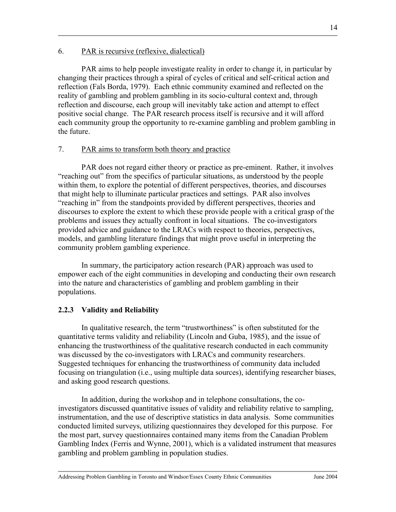PAR aims to help people investigate reality in order to change it, in particular by changing their practices through a spiral of cycles of critical and self-critical action and reflection (Fals Borda, 1979). Each ethnic community examined and reflected on the reality of gambling and problem gambling in its socio-cultural context and, through reflection and discourse, each group will inevitably take action and attempt to effect positive social change. The PAR research process itself is recursive and it will afford each community group the opportunity to re-examine gambling and problem gambling in the future.

# 7. PAR aims to transform both theory and practice

PAR does not regard either theory or practice as pre-eminent. Rather, it involves "reaching out" from the specifics of particular situations, as understood by the people within them, to explore the potential of different perspectives, theories, and discourses that might help to illuminate particular practices and settings. PAR also involves "reaching in" from the standpoints provided by different perspectives, theories and discourses to explore the extent to which these provide people with a critical grasp of the problems and issues they actually confront in local situations. The co-investigators provided advice and guidance to the LRACs with respect to theories, perspectives, models, and gambling literature findings that might prove useful in interpreting the community problem gambling experience.

 In summary, the participatory action research (PAR) approach was used to empower each of the eight communities in developing and conducting their own research into the nature and characteristics of gambling and problem gambling in their populations.

# **2.2.3 Validity and Reliability**

In qualitative research, the term "trustworthiness" is often substituted for the quantitative terms validity and reliability (Lincoln and Guba, 1985), and the issue of enhancing the trustworthiness of the qualitative research conducted in each community was discussed by the co-investigators with LRACs and community researchers. Suggested techniques for enhancing the trustworthiness of community data included focusing on triangulation (i.e., using multiple data sources), identifying researcher biases, and asking good research questions.

In addition, during the workshop and in telephone consultations, the coinvestigators discussed quantitative issues of validity and reliability relative to sampling, instrumentation, and the use of descriptive statistics in data analysis. Some communities conducted limited surveys, utilizing questionnaires they developed for this purpose. For the most part, survey questionnaires contained many items from the Canadian Problem Gambling Index (Ferris and Wynne, 2001), which is a validated instrument that measures gambling and problem gambling in population studies.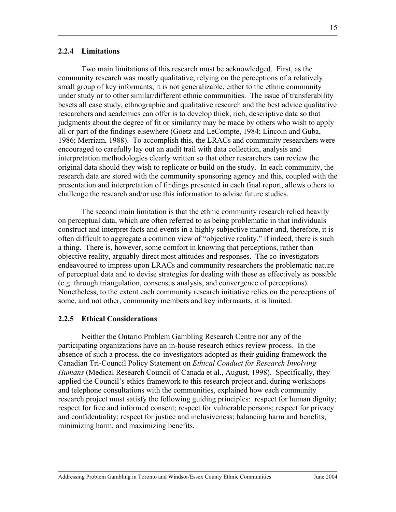## **2.2.4 Limitations**

Two main limitations of this research must be acknowledged. First, as the community research was mostly qualitative, relying on the perceptions of a relatively small group of key informants, it is not generalizable, either to the ethnic community under study or to other similar/different ethnic communities. The issue of transferability besets all case study, ethnographic and qualitative research and the best advice qualitative researchers and academics can offer is to develop thick, rich, descriptive data so that judgments about the degree of fit or similarity may be made by others who wish to apply all or part of the findings elsewhere (Goetz and LeCompte, 1984; Lincoln and Guba, 1986; Merriam, 1988). To accomplish this, the LRACs and community researchers were encouraged to carefully lay out an audit trail with data collection, analysis and interpretation methodologies clearly written so that other researchers can review the original data should they wish to replicate or build on the study. In each community, the research data are stored with the community sponsoring agency and this, coupled with the presentation and interpretation of findings presented in each final report, allows others to challenge the research and/or use this information to advise future studies.

 The second main limitation is that the ethnic community research relied heavily on perceptual data, which are often referred to as being problematic in that individuals construct and interpret facts and events in a highly subjective manner and, therefore, it is often difficult to aggregate a common view of "objective reality," if indeed, there is such a thing. There is, however, some comfort in knowing that perceptions, rather than objective reality, arguably direct most attitudes and responses. The co-investigators endeavoured to impress upon LRACs and community researchers the problematic nature of perceptual data and to devise strategies for dealing with these as effectively as possible (e.g. through triangulation, consensus analysis, and convergence of perceptions). Nonetheless, to the extent each community research initiative relies on the perceptions of some, and not other, community members and key informants, it is limited.

#### **2.2.5 Ethical Considerations**

Neither the Ontario Problem Gambling Research Centre nor any of the participating organizations have an in-house research ethics review process. In the absence of such a process, the co-investigators adopted as their guiding framework the Canadian Tri-Council Policy Statement on *Ethical Conduct for Research Involving Humans* (Medical Research Council of Canada et al., August, 1998). Specifically, they applied the Council's ethics framework to this research project and, during workshops and telephone consultations with the communities, explained how each community research project must satisfy the following guiding principles: respect for human dignity; respect for free and informed consent; respect for vulnerable persons; respect for privacy and confidentiality; respect for justice and inclusiveness; balancing harm and benefits; minimizing harm; and maximizing benefits.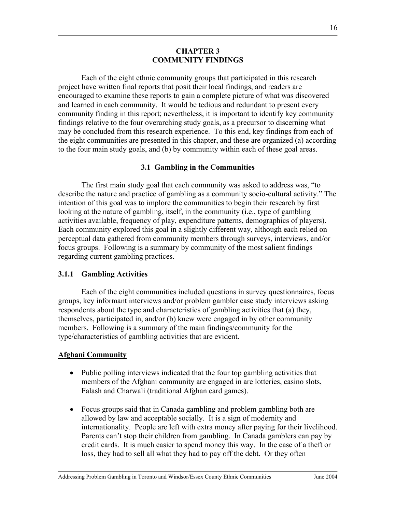## **CHAPTER 3 COMMUNITY FINDINGS**

Each of the eight ethnic community groups that participated in this research project have written final reports that posit their local findings, and readers are encouraged to examine these reports to gain a complete picture of what was discovered and learned in each community. It would be tedious and redundant to present every community finding in this report; nevertheless, it is important to identify key community findings relative to the four overarching study goals, as a precursor to discerning what may be concluded from this research experience. To this end, key findings from each of the eight communities are presented in this chapter, and these are organized (a) according to the four main study goals, and (b) by community within each of these goal areas.

# **3.1 Gambling in the Communities**

The first main study goal that each community was asked to address was, "to describe the nature and practice of gambling as a community socio-cultural activity." The intention of this goal was to implore the communities to begin their research by first looking at the nature of gambling, itself, in the community (i.e., type of gambling activities available, frequency of play, expenditure patterns, demographics of players). Each community explored this goal in a slightly different way, although each relied on perceptual data gathered from community members through surveys, interviews, and/or focus groups. Following is a summary by community of the most salient findings regarding current gambling practices.

# **3.1.1 Gambling Activities**

 Each of the eight communities included questions in survey questionnaires, focus groups, key informant interviews and/or problem gambler case study interviews asking respondents about the type and characteristics of gambling activities that (a) they, themselves, participated in, and/or (b) knew were engaged in by other community members. Following is a summary of the main findings/community for the type/characteristics of gambling activities that are evident.

# **Afghani Community**

- Public polling interviews indicated that the four top gambling activities that members of the Afghani community are engaged in are lotteries, casino slots, Falash and Charwali (traditional Afghan card games).
- Focus groups said that in Canada gambling and problem gambling both are allowed by law and acceptable socially. It is a sign of modernity and internationality. People are left with extra money after paying for their livelihood. Parents can't stop their children from gambling. In Canada gamblers can pay by credit cards. It is much easier to spend money this way. In the case of a theft or loss, they had to sell all what they had to pay off the debt. Or they often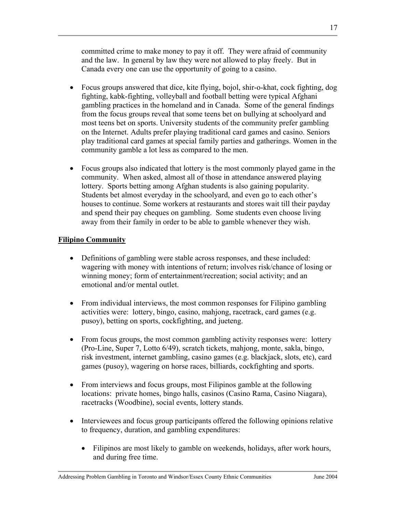committed crime to make money to pay it off. They were afraid of community and the law. In general by law they were not allowed to play freely. But in Canada every one can use the opportunity of going to a casino.

- Focus groups answered that dice, kite flying, bojol, shir-o-khat, cock fighting, dog fighting, kabk-fighting, volleyball and football betting were typical Afghani gambling practices in the homeland and in Canada. Some of the general findings from the focus groups reveal that some teens bet on bullying at schoolyard and most teens bet on sports. University students of the community prefer gambling on the Internet. Adults prefer playing traditional card games and casino. Seniors play traditional card games at special family parties and gatherings. Women in the community gamble a lot less as compared to the men.
- Focus groups also indicated that lottery is the most commonly played game in the community. When asked, almost all of those in attendance answered playing lottery. Sports betting among Afghan students is also gaining popularity. Students bet almost everyday in the schoolyard, and even go to each other's houses to continue. Some workers at restaurants and stores wait till their payday and spend their pay cheques on gambling. Some students even choose living away from their family in order to be able to gamble whenever they wish.

# **Filipino Community**

- Definitions of gambling were stable across responses, and these included: wagering with money with intentions of return; involves risk/chance of losing or winning money; form of entertainment/recreation; social activity; and an emotional and/or mental outlet.
- From individual interviews, the most common responses for Filipino gambling activities were: lottery, bingo, casino, mahjong, racetrack, card games (e.g. pusoy), betting on sports, cockfighting, and jueteng.
- From focus groups, the most common gambling activity responses were: lottery (Pro-Line, Super 7, Lotto 6/49), scratch tickets, mahjong, monte, sakla, bingo, risk investment, internet gambling, casino games (e.g. blackjack, slots, etc), card games (pusoy), wagering on horse races, billiards, cockfighting and sports.
- From interviews and focus groups, most Filipinos gamble at the following locations: private homes, bingo halls, casinos (Casino Rama, Casino Niagara), racetracks (Woodbine), social events, lottery stands.
- Interviewees and focus group participants offered the following opinions relative to frequency, duration, and gambling expenditures:
	- Filipinos are most likely to gamble on weekends, holidays, after work hours, and during free time.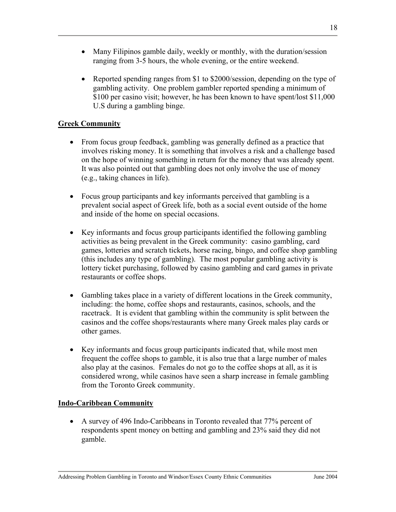- Many Filipinos gamble daily, weekly or monthly, with the duration/session ranging from 3-5 hours, the whole evening, or the entire weekend.
- Reported spending ranges from \$1 to \$2000/session, depending on the type of gambling activity. One problem gambler reported spending a minimum of \$100 per casino visit; however, he has been known to have spent/lost \$11,000 U.S during a gambling binge.

# **Greek Community**

- From focus group feedback, gambling was generally defined as a practice that involves risking money. It is something that involves a risk and a challenge based on the hope of winning something in return for the money that was already spent. It was also pointed out that gambling does not only involve the use of money (e.g., taking chances in life).
- Focus group participants and key informants perceived that gambling is a prevalent social aspect of Greek life, both as a social event outside of the home and inside of the home on special occasions.
- Key informants and focus group participants identified the following gambling activities as being prevalent in the Greek community: casino gambling, card games, lotteries and scratch tickets, horse racing, bingo, and coffee shop gambling (this includes any type of gambling). The most popular gambling activity is lottery ticket purchasing, followed by casino gambling and card games in private restaurants or coffee shops.
- Gambling takes place in a variety of different locations in the Greek community, including: the home, coffee shops and restaurants, casinos, schools, and the racetrack. It is evident that gambling within the community is split between the casinos and the coffee shops/restaurants where many Greek males play cards or other games.
- Key informants and focus group participants indicated that, while most men frequent the coffee shops to gamble, it is also true that a large number of males also play at the casinos. Females do not go to the coffee shops at all, as it is considered wrong, while casinos have seen a sharp increase in female gambling from the Toronto Greek community.

# **Indo-Caribbean Community**

• A survey of 496 Indo-Caribbeans in Toronto revealed that 77% percent of respondents spent money on betting and gambling and 23% said they did not gamble.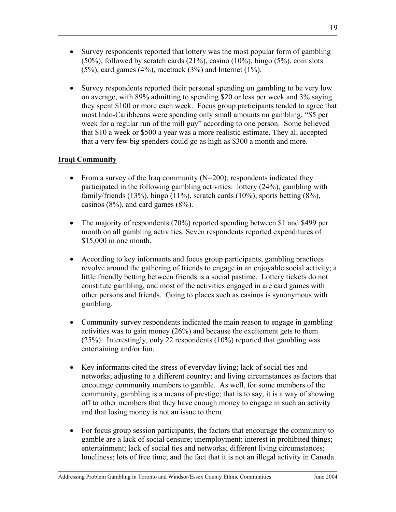- Survey respondents reported that lottery was the most popular form of gambling (50%), followed by scratch cards (21%), casino (10%), bingo (5%), coin slots  $(5\%)$ , card games  $(4\%)$ , racetrack  $(3\%)$  and Internet  $(1\%)$ .
- Survey respondents reported their personal spending on gambling to be very low on average, with 89% admitting to spending \$20 or less per week and 3% saying they spent \$100 or more each week. Focus group participants tended to agree that most Indo-Caribbeans were spending only small amounts on gambling; "\$5 per week for a regular run of the mill guy" according to one person. Some believed that \$10 a week or \$500 a year was a more realistic estimate. They all accepted that a very few big spenders could go as high as \$300 a month and more.

# **Iraqi Community**

- From a survey of the Iraq community  $(N=200)$ , respondents indicated they participated in the following gambling activities: lottery (24%), gambling with family/friends (13%), bingo (11%), scratch cards (10%), sports betting (8%), casinos (8%), and card games (8%).
- The majority of respondents (70%) reported spending between \$1 and \$499 per month on all gambling activities. Seven respondents reported expenditures of \$15,000 in one month.
- According to key informants and focus group participants, gambling practices revolve around the gathering of friends to engage in an enjoyable social activity; a little friendly betting between friends is a social pastime. Lottery tickets do not constitute gambling, and most of the activities engaged in are card games with other persons and friends. Going to places such as casinos is synonymous with gambling.
- Community survey respondents indicated the main reason to engage in gambling activities was to gain money (26%) and because the excitement gets to them (25%). Interestingly, only 22 respondents (10%) reported that gambling was entertaining and/or fun.
- Key informants cited the stress of everyday living; lack of social ties and networks; adjusting to a different country; and living circumstances as factors that encourage community members to gamble. As well, for some members of the community, gambling is a means of prestige; that is to say, it is a way of showing off to other members that they have enough money to engage in such an activity and that losing money is not an issue to them.
- For focus group session participants, the factors that encourage the community to gamble are a lack of social censure; unemployment; interest in prohibited things; entertainment; lack of social ties and networks; different living circumstances; loneliness; lots of free time; and the fact that it is not an illegal activity in Canada.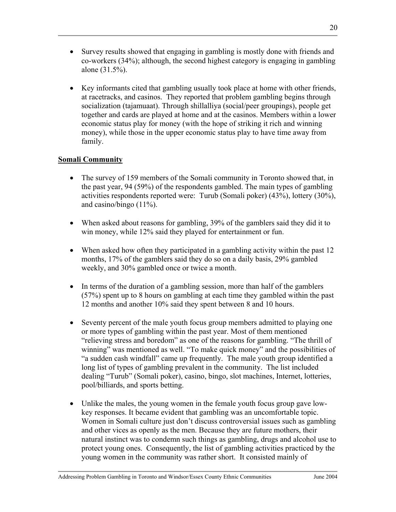- Survey results showed that engaging in gambling is mostly done with friends and co-workers (34%); although, the second highest category is engaging in gambling alone (31.5%).
- Key informants cited that gambling usually took place at home with other friends, at racetracks, and casinos. They reported that problem gambling begins through socialization (tajamuaat). Through shillalliya (social/peer groupings), people get together and cards are played at home and at the casinos. Members within a lower economic status play for money (with the hope of striking it rich and winning money), while those in the upper economic status play to have time away from family.

# **Somali Community**

- The survey of 159 members of the Somali community in Toronto showed that, in the past year, 94 (59%) of the respondents gambled. The main types of gambling activities respondents reported were: Turub (Somali poker) (43%), lottery (30%), and casino/bingo  $(11\%)$ .
- When asked about reasons for gambling, 39% of the gamblers said they did it to win money, while 12% said they played for entertainment or fun.
- When asked how often they participated in a gambling activity within the past 12 months, 17% of the gamblers said they do so on a daily basis, 29% gambled weekly, and 30% gambled once or twice a month.
- In terms of the duration of a gambling session, more than half of the gamblers (57%) spent up to 8 hours on gambling at each time they gambled within the past 12 months and another 10% said they spent between 8 and 10 hours.
- Seventy percent of the male youth focus group members admitted to playing one or more types of gambling within the past year. Most of them mentioned "relieving stress and boredom" as one of the reasons for gambling. "The thrill of winning" was mentioned as well. "To make quick money" and the possibilities of "a sudden cash windfall" came up frequently. The male youth group identified a long list of types of gambling prevalent in the community. The list included dealing "Turub" (Somali poker), casino, bingo, slot machines, Internet, lotteries, pool/billiards, and sports betting.
- Unlike the males, the young women in the female youth focus group gave lowkey responses. It became evident that gambling was an uncomfortable topic. Women in Somali culture just don't discuss controversial issues such as gambling and other vices as openly as the men. Because they are future mothers, their natural instinct was to condemn such things as gambling, drugs and alcohol use to protect young ones. Consequently, the list of gambling activities practiced by the young women in the community was rather short. It consisted mainly of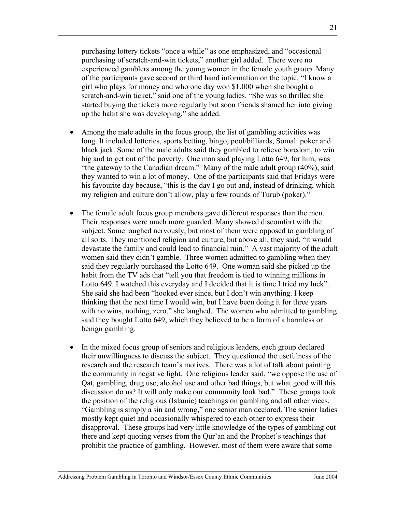21

purchasing lottery tickets "once a while" as one emphasized, and "occasional purchasing of scratch-and-win tickets," another girl added. There were no experienced gamblers among the young women in the female youth group. Many of the participants gave second or third hand information on the topic. "I know a girl who plays for money and who one day won \$1,000 when she bought a scratch-and-win ticket," said one of the young ladies. "She was so thrilled she started buying the tickets more regularly but soon friends shamed her into giving up the habit she was developing," she added.

- Among the male adults in the focus group, the list of gambling activities was long. It included lotteries, sports betting, bingo, pool/billiards, Somali poker and black jack. Some of the male adults said they gambled to relieve boredom, to win big and to get out of the poverty. One man said playing Lotto 649, for him, was "the gateway to the Canadian dream." Many of the male adult group (40%), said they wanted to win a lot of money. One of the participants said that Fridays were his favourite day because, "this is the day I go out and, instead of drinking, which my religion and culture don't allow, play a few rounds of Turub (poker)."
- The female adult focus group members gave different responses than the men. Their responses were much more guarded. Many showed discomfort with the subject. Some laughed nervously, but most of them were opposed to gambling of all sorts. They mentioned religion and culture, but above all, they said, "it would devastate the family and could lead to financial ruin." A vast majority of the adult women said they didn't gamble. Three women admitted to gambling when they said they regularly purchased the Lotto 649. One woman said she picked up the habit from the TV ads that "tell you that freedom is tied to winning millions in Lotto 649. I watched this everyday and I decided that it is time I tried my luck". She said she had been "hooked ever since, but I don't win anything. I keep thinking that the next time I would win, but I have been doing it for three years with no wins, nothing, zero," she laughed. The women who admitted to gambling said they bought Lotto 649, which they believed to be a form of a harmless or benign gambling.
- In the mixed focus group of seniors and religious leaders, each group declared their unwillingness to discuss the subject. They questioned the usefulness of the research and the research team's motives. There was a lot of talk about painting the community in negative light. One religious leader said, "we oppose the use of Qat, gambling, drug use, alcohol use and other bad things, but what good will this discussion do us? It will only make our community look bad." These groups took the position of the religious (Islamic) teachings on gambling and all other vices. "Gambling is simply a sin and wrong," one senior man declared. The senior ladies mostly kept quiet and occasionally whispered to each other to express their disapproval. These groups had very little knowledge of the types of gambling out there and kept quoting verses from the Qur'an and the Prophet's teachings that prohibit the practice of gambling. However, most of them were aware that some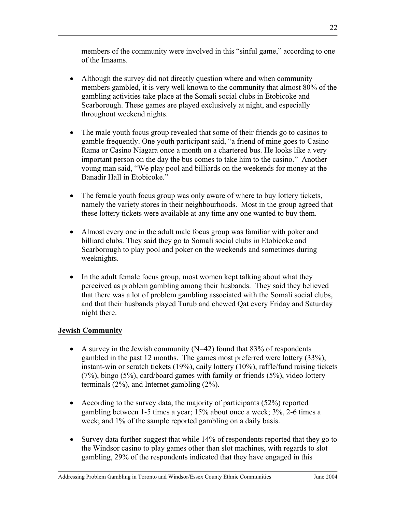members of the community were involved in this "sinful game," according to one of the Imaams.

- Although the survey did not directly question where and when community members gambled, it is very well known to the community that almost 80% of the gambling activities take place at the Somali social clubs in Etobicoke and Scarborough. These games are played exclusively at night, and especially throughout weekend nights.
- The male youth focus group revealed that some of their friends go to casinos to gamble frequently. One youth participant said, "a friend of mine goes to Casino Rama or Casino Niagara once a month on a chartered bus. He looks like a very important person on the day the bus comes to take him to the casino." Another young man said, "We play pool and billiards on the weekends for money at the Banadir Hall in Etobicoke."
- The female youth focus group was only aware of where to buy lottery tickets, namely the variety stores in their neighbourhoods. Most in the group agreed that these lottery tickets were available at any time any one wanted to buy them.
- Almost every one in the adult male focus group was familiar with poker and billiard clubs. They said they go to Somali social clubs in Etobicoke and Scarborough to play pool and poker on the weekends and sometimes during weeknights.
- In the adult female focus group, most women kept talking about what they perceived as problem gambling among their husbands. They said they believed that there was a lot of problem gambling associated with the Somali social clubs, and that their husbands played Turub and chewed Qat every Friday and Saturday night there.

# **Jewish Community**

- A survey in the Jewish community  $(N=42)$  found that 83% of respondents gambled in the past 12 months. The games most preferred were lottery (33%), instant-win or scratch tickets (19%), daily lottery (10%), raffle/fund raising tickets (7%), bingo (5%), card/board games with family or friends (5%), video lottery terminals (2%), and Internet gambling (2%).
- According to the survey data, the majority of participants  $(52\%)$  reported gambling between 1-5 times a year; 15% about once a week; 3%, 2-6 times a week; and 1% of the sample reported gambling on a daily basis.
- Survey data further suggest that while 14% of respondents reported that they go to the Windsor casino to play games other than slot machines, with regards to slot gambling, 29% of the respondents indicated that they have engaged in this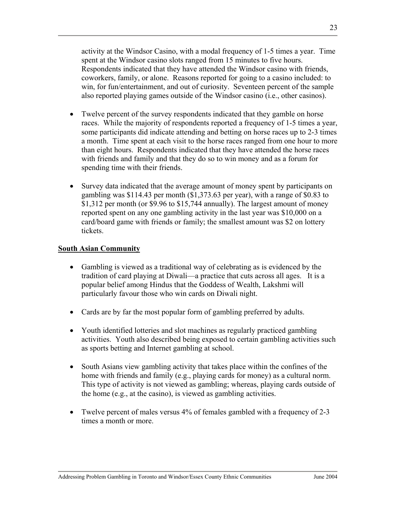activity at the Windsor Casino, with a modal frequency of 1-5 times a year. Time spent at the Windsor casino slots ranged from 15 minutes to five hours. Respondents indicated that they have attended the Windsor casino with friends, coworkers, family, or alone. Reasons reported for going to a casino included: to win, for fun/entertainment, and out of curiosity. Seventeen percent of the sample also reported playing games outside of the Windsor casino (i.e., other casinos).

- Twelve percent of the survey respondents indicated that they gamble on horse races. While the majority of respondents reported a frequency of 1-5 times a year, some participants did indicate attending and betting on horse races up to 2-3 times a month. Time spent at each visit to the horse races ranged from one hour to more than eight hours. Respondents indicated that they have attended the horse races with friends and family and that they do so to win money and as a forum for spending time with their friends.
- Survey data indicated that the average amount of money spent by participants on gambling was \$114.43 per month (\$1,373.63 per year), with a range of \$0.83 to \$1,312 per month (or \$9.96 to \$15,744 annually). The largest amount of money reported spent on any one gambling activity in the last year was \$10,000 on a card/board game with friends or family; the smallest amount was \$2 on lottery tickets.

#### **South Asian Community**

- Gambling is viewed as a traditional way of celebrating as is evidenced by the tradition of card playing at Diwali—a practice that cuts across all ages. It is a popular belief among Hindus that the Goddess of Wealth, Lakshmi will particularly favour those who win cards on Diwali night.
- Cards are by far the most popular form of gambling preferred by adults.
- Youth identified lotteries and slot machines as regularly practiced gambling activities. Youth also described being exposed to certain gambling activities such as sports betting and Internet gambling at school.
- South Asians view gambling activity that takes place within the confines of the home with friends and family (e.g., playing cards for money) as a cultural norm. This type of activity is not viewed as gambling; whereas, playing cards outside of the home (e.g., at the casino), is viewed as gambling activities.
- Twelve percent of males versus 4% of females gambled with a frequency of 2-3 times a month or more.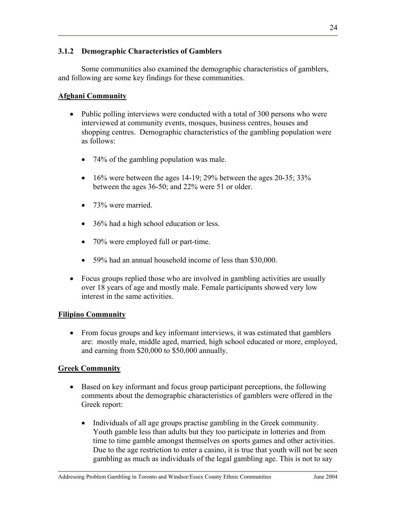### **3.1.2 Demographic Characteristics of Gamblers**

 Some communities also examined the demographic characteristics of gamblers, and following are some key findings for these communities.

### **Afghani Community**

- Public polling interviews were conducted with a total of 300 persons who were interviewed at community events, mosques, business centres, houses and shopping centres. Demographic characteristics of the gambling population were as follows:
	- 74% of the gambling population was male.
	- $\bullet$  16% were between the ages 14-19; 29% between the ages 20-35; 33% between the ages 36-50; and 22% were 51 or older.
	- 73% were married.
	- 36% had a high school education or less.
	- 70% were employed full or part-time.
	- 59% had an annual household income of less than \$30,000.
- Focus groups replied those who are involved in gambling activities are usually over 18 years of age and mostly male. Female participants showed very low interest in the same activities.

### **Filipino Community**

• From focus groups and key informant interviews, it was estimated that gamblers are: mostly male, middle aged, married, high school educated or more, employed, and earning from \$20,000 to \$50,000 annually.

### **Greek Community**

- Based on key informant and focus group participant perceptions, the following comments about the demographic characteristics of gamblers were offered in the Greek report:
	- Individuals of all age groups practise gambling in the Greek community. Youth gamble less than adults but they too participate in lotteries and from time to time gamble amongst themselves on sports games and other activities. Due to the age restriction to enter a casino, it is true that youth will not be seen gambling as much as individuals of the legal gambling age. This is not to say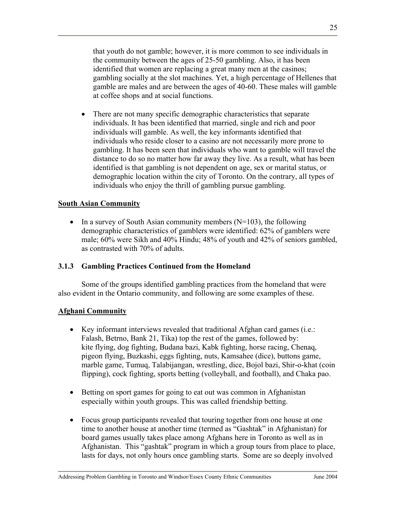that youth do not gamble; however, it is more common to see individuals in the community between the ages of 25-50 gambling. Also, it has been identified that women are replacing a great many men at the casinos; gambling socially at the slot machines. Yet, a high percentage of Hellenes that gamble are males and are between the ages of 40-60. These males will gamble at coffee shops and at social functions.

• There are not many specific demographic characteristics that separate individuals. It has been identified that married, single and rich and poor individuals will gamble. As well, the key informants identified that individuals who reside closer to a casino are not necessarily more prone to gambling. It has been seen that individuals who want to gamble will travel the distance to do so no matter how far away they live. As a result, what has been identified is that gambling is not dependent on age, sex or marital status, or demographic location within the city of Toronto. On the contrary, all types of individuals who enjoy the thrill of gambling pursue gambling.

### **South Asian Community**

• In a survey of South Asian community members  $(N=103)$ , the following demographic characteristics of gamblers were identified: 62% of gamblers were male; 60% were Sikh and 40% Hindu; 48% of youth and 42% of seniors gambled, as contrasted with 70% of adults.

### **3.1.3 Gambling Practices Continued from the Homeland**

 Some of the groups identified gambling practices from the homeland that were also evident in the Ontario community, and following are some examples of these.

# **Afghani Community**

- Key informant interviews revealed that traditional Afghan card games (i.e.: Falash, Betrno, Bank 21, Tika) top the rest of the games, followed by: kite flying, dog fighting, Budana bazi, Kabk fighting, horse racing, Chenaq, pigeon flying, Buzkashi, eggs fighting, nuts, Kamsahee (dice), buttons game, marble game, Tumuq, Talabijangan, wrestling, dice, Bojol bazi, Shir-o-khat (coin flipping), cock fighting, sports betting (volleyball, and football), and Chaka pao.
- Betting on sport games for going to eat out was common in Afghanistan especially within youth groups. This was called friendship betting.
- Focus group participants revealed that touring together from one house at one time to another house at another time (termed as "Gashtak" in Afghanistan) for board games usually takes place among Afghans here in Toronto as well as in Afghanistan. This "gashtak" program in which a group tours from place to place, lasts for days, not only hours once gambling starts. Some are so deeply involved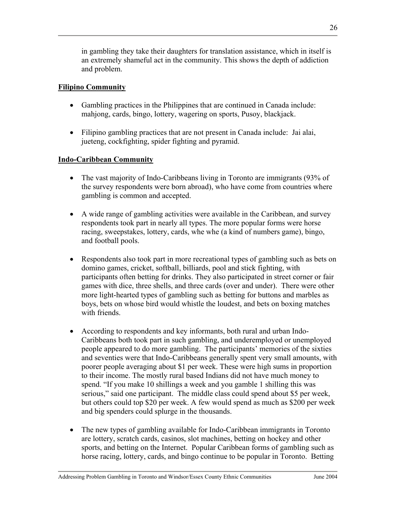in gambling they take their daughters for translation assistance, which in itself is an extremely shameful act in the community. This shows the depth of addiction and problem.

# **Filipino Community**

- Gambling practices in the Philippines that are continued in Canada include: mahjong, cards, bingo, lottery, wagering on sports, Pusoy, blackjack.
- Filipino gambling practices that are not present in Canada include: Jai alai, jueteng, cockfighting, spider fighting and pyramid.

# **Indo-Caribbean Community**

- The vast majority of Indo-Caribbeans living in Toronto are immigrants (93% of the survey respondents were born abroad), who have come from countries where gambling is common and accepted.
- A wide range of gambling activities were available in the Caribbean, and survey respondents took part in nearly all types. The more popular forms were horse racing, sweepstakes, lottery, cards, whe whe (a kind of numbers game), bingo, and football pools.
- Respondents also took part in more recreational types of gambling such as bets on domino games, cricket, softball, billiards, pool and stick fighting, with participants often betting for drinks. They also participated in street corner or fair games with dice, three shells, and three cards (over and under). There were other more light-hearted types of gambling such as betting for buttons and marbles as boys, bets on whose bird would whistle the loudest, and bets on boxing matches with friends.
- According to respondents and key informants, both rural and urban Indo-Caribbeans both took part in such gambling, and underemployed or unemployed people appeared to do more gambling. The participants' memories of the sixties and seventies were that Indo-Caribbeans generally spent very small amounts, with poorer people averaging about \$1 per week. These were high sums in proportion to their income. The mostly rural based Indians did not have much money to spend. "If you make 10 shillings a week and you gamble 1 shilling this was serious," said one participant. The middle class could spend about \$5 per week, but others could top \$20 per week. A few would spend as much as \$200 per week and big spenders could splurge in the thousands.
- The new types of gambling available for Indo-Caribbean immigrants in Toronto are lottery, scratch cards, casinos, slot machines, betting on hockey and other sports, and betting on the Internet. Popular Caribbean forms of gambling such as horse racing, lottery, cards, and bingo continue to be popular in Toronto. Betting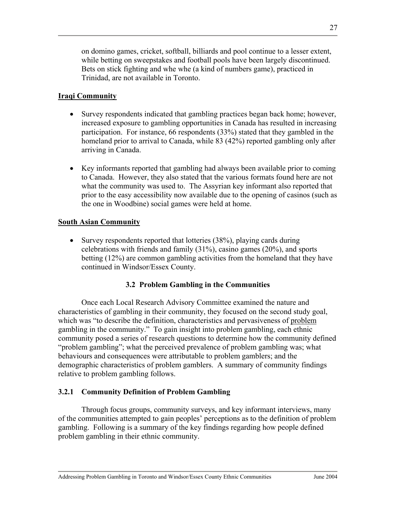on domino games, cricket, softball, billiards and pool continue to a lesser extent, while betting on sweepstakes and football pools have been largely discontinued. Bets on stick fighting and whe whe (a kind of numbers game), practiced in Trinidad, are not available in Toronto.

### **Iraqi Community**

- Survey respondents indicated that gambling practices began back home; however, increased exposure to gambling opportunities in Canada has resulted in increasing participation. For instance, 66 respondents (33%) stated that they gambled in the homeland prior to arrival to Canada, while 83 (42%) reported gambling only after arriving in Canada.
- Key informants reported that gambling had always been available prior to coming to Canada. However, they also stated that the various formats found here are not what the community was used to. The Assyrian key informant also reported that prior to the easy accessibility now available due to the opening of casinos (such as the one in Woodbine) social games were held at home.

### **South Asian Community**

• Survey respondents reported that lotteries (38%), playing cards during celebrations with friends and family (31%), casino games (20%), and sports betting (12%) are common gambling activities from the homeland that they have continued in Windsor/Essex County.

### **3.2 Problem Gambling in the Communities**

Once each Local Research Advisory Committee examined the nature and characteristics of gambling in their community, they focused on the second study goal, which was "to describe the definition, characteristics and pervasiveness of problem gambling in the community." To gain insight into problem gambling, each ethnic community posed a series of research questions to determine how the community defined "problem gambling"; what the perceived prevalence of problem gambling was; what behaviours and consequences were attributable to problem gamblers; and the demographic characteristics of problem gamblers. A summary of community findings relative to problem gambling follows.

# **3.2.1 Community Definition of Problem Gambling**

 Through focus groups, community surveys, and key informant interviews, many of the communities attempted to gain peoples' perceptions as to the definition of problem gambling. Following is a summary of the key findings regarding how people defined problem gambling in their ethnic community.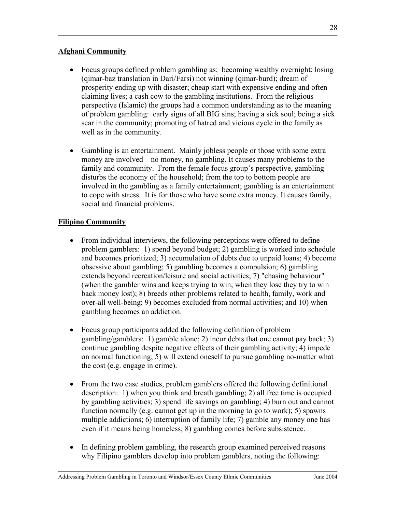### **Afghani Community**

- Focus groups defined problem gambling as: becoming wealthy overnight; losing (qimar-baz translation in Dari/Farsi) not winning (qimar-burd); dream of prosperity ending up with disaster; cheap start with expensive ending and often claiming lives; a cash cow to the gambling institutions. From the religious perspective (Islamic) the groups had a common understanding as to the meaning of problem gambling: early signs of all BIG sins; having a sick soul; being a sick scar in the community; promoting of hatred and vicious cycle in the family as well as in the community.
- Gambling is an entertainment. Mainly jobless people or those with some extra money are involved – no money, no gambling. It causes many problems to the family and community. From the female focus group's perspective, gambling disturbs the economy of the household; from the top to bottom people are involved in the gambling as a family entertainment; gambling is an entertainment to cope with stress. It is for those who have some extra money. It causes family, social and financial problems.

# **Filipino Community**

- From individual interviews, the following perceptions were offered to define problem gamblers: 1) spend beyond budget; 2) gambling is worked into schedule and becomes prioritized; 3) accumulation of debts due to unpaid loans; 4) become obsessive about gambling; 5) gambling becomes a compulsion; 6) gambling extends beyond recreation/leisure and social activities; 7) "chasing behaviour" (when the gambler wins and keeps trying to win; when they lose they try to win back money lost); 8) breeds other problems related to health, family, work and over-all well-being; 9) becomes excluded from normal activities; and 10) when gambling becomes an addiction.
- Focus group participants added the following definition of problem gambling/gamblers: 1) gamble alone; 2) incur debts that one cannot pay back; 3) continue gambling despite negative effects of their gambling activity; 4) impede on normal functioning; 5) will extend oneself to pursue gambling no-matter what the cost (e.g. engage in crime).
- From the two case studies, problem gamblers offered the following definitional description: 1) when you think and breath gambling; 2) all free time is occupied by gambling activities; 3) spend life savings on gambling; 4) burn out and cannot function normally (e.g. cannot get up in the morning to go to work); 5) spawns multiple addictions; 6) interruption of family life; 7) gamble any money one has even if it means being homeless; 8) gambling comes before subsistence.
- In defining problem gambling, the research group examined perceived reasons why Filipino gamblers develop into problem gamblers, noting the following: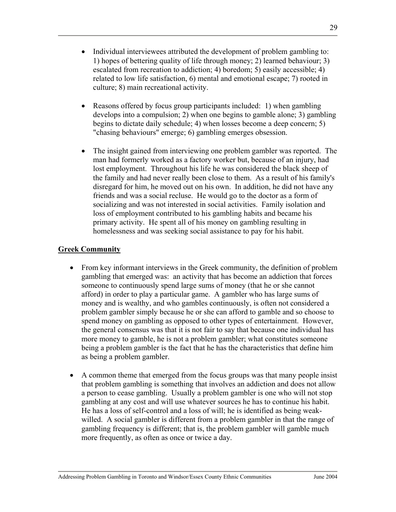- Individual interviewees attributed the development of problem gambling to: 1) hopes of bettering quality of life through money; 2) learned behaviour; 3) escalated from recreation to addiction; 4) boredom; 5) easily accessible; 4) related to low life satisfaction, 6) mental and emotional escape; 7) rooted in culture; 8) main recreational activity.
- Reasons offered by focus group participants included: 1) when gambling develops into a compulsion; 2) when one begins to gamble alone; 3) gambling begins to dictate daily schedule; 4) when losses become a deep concern; 5) "chasing behaviours" emerge; 6) gambling emerges obsession.
- The insight gained from interviewing one problem gambler was reported. The man had formerly worked as a factory worker but, because of an injury, had lost employment. Throughout his life he was considered the black sheep of the family and had never really been close to them. As a result of his family's disregard for him, he moved out on his own. In addition, he did not have any friends and was a social recluse. He would go to the doctor as a form of socializing and was not interested in social activities. Family isolation and loss of employment contributed to his gambling habits and became his primary activity. He spent all of his money on gambling resulting in homelessness and was seeking social assistance to pay for his habit.

### **Greek Community**

- From key informant interviews in the Greek community, the definition of problem gambling that emerged was: an activity that has become an addiction that forces someone to continuously spend large sums of money (that he or she cannot afford) in order to play a particular game. A gambler who has large sums of money and is wealthy, and who gambles continuously, is often not considered a problem gambler simply because he or she can afford to gamble and so choose to spend money on gambling as opposed to other types of entertainment. However, the general consensus was that it is not fair to say that because one individual has more money to gamble, he is not a problem gambler; what constitutes someone being a problem gambler is the fact that he has the characteristics that define him as being a problem gambler.
- A common theme that emerged from the focus groups was that many people insist that problem gambling is something that involves an addiction and does not allow a person to cease gambling. Usually a problem gambler is one who will not stop gambling at any cost and will use whatever sources he has to continue his habit. He has a loss of self-control and a loss of will; he is identified as being weakwilled. A social gambler is different from a problem gambler in that the range of gambling frequency is different; that is, the problem gambler will gamble much more frequently, as often as once or twice a day.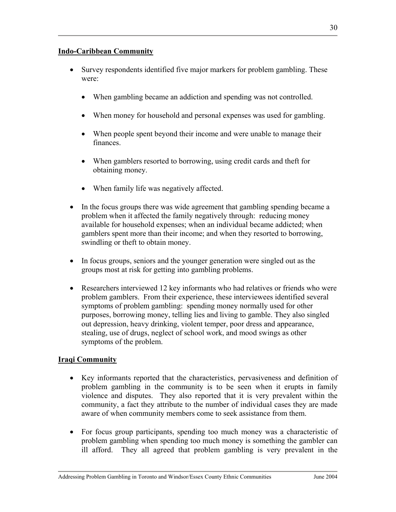### **Indo-Caribbean Community**

- Survey respondents identified five major markers for problem gambling. These were:
	- When gambling became an addiction and spending was not controlled.
	- When money for household and personal expenses was used for gambling.
	- When people spent beyond their income and were unable to manage their finances.
	- When gamblers resorted to borrowing, using credit cards and theft for obtaining money.
	- When family life was negatively affected.
- In the focus groups there was wide agreement that gambling spending became a problem when it affected the family negatively through: reducing money available for household expenses; when an individual became addicted; when gamblers spent more than their income; and when they resorted to borrowing, swindling or theft to obtain money.
- In focus groups, seniors and the younger generation were singled out as the groups most at risk for getting into gambling problems.
- Researchers interviewed 12 key informants who had relatives or friends who were problem gamblers. From their experience, these interviewees identified several symptoms of problem gambling: spending money normally used for other purposes, borrowing money, telling lies and living to gamble. They also singled out depression, heavy drinking, violent temper, poor dress and appearance, stealing, use of drugs, neglect of school work, and mood swings as other symptoms of the problem.

# **Iraqi Community**

- Key informants reported that the characteristics, pervasiveness and definition of problem gambling in the community is to be seen when it erupts in family violence and disputes. They also reported that it is very prevalent within the community, a fact they attribute to the number of individual cases they are made aware of when community members come to seek assistance from them.
- For focus group participants, spending too much money was a characteristic of problem gambling when spending too much money is something the gambler can ill afford. They all agreed that problem gambling is very prevalent in the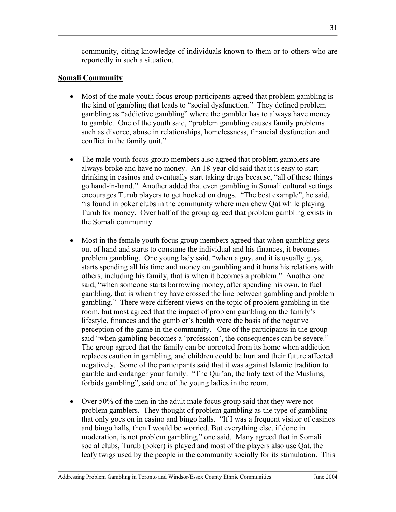community, citing knowledge of individuals known to them or to others who are reportedly in such a situation.

### **Somali Community**

- Most of the male youth focus group participants agreed that problem gambling is the kind of gambling that leads to "social dysfunction." They defined problem gambling as "addictive gambling" where the gambler has to always have money to gamble. One of the youth said, "problem gambling causes family problems such as divorce, abuse in relationships, homelessness, financial dysfunction and conflict in the family unit."
- The male youth focus group members also agreed that problem gamblers are always broke and have no money. An 18-year old said that it is easy to start drinking in casinos and eventually start taking drugs because, "all of these things go hand-in-hand." Another added that even gambling in Somali cultural settings encourages Turub players to get hooked on drugs. "The best example", he said, "is found in poker clubs in the community where men chew Qat while playing Turub for money. Over half of the group agreed that problem gambling exists in the Somali community.
- Most in the female youth focus group members agreed that when gambling gets out of hand and starts to consume the individual and his finances, it becomes problem gambling. One young lady said, "when a guy, and it is usually guys, starts spending all his time and money on gambling and it hurts his relations with others, including his family, that is when it becomes a problem." Another one said, "when someone starts borrowing money, after spending his own, to fuel gambling, that is when they have crossed the line between gambling and problem gambling." There were different views on the topic of problem gambling in the room, but most agreed that the impact of problem gambling on the family's lifestyle, finances and the gambler's health were the basis of the negative perception of the game in the community. One of the participants in the group said "when gambling becomes a 'profession', the consequences can be severe." The group agreed that the family can be uprooted from its home when addiction replaces caution in gambling, and children could be hurt and their future affected negatively. Some of the participants said that it was against Islamic tradition to gamble and endanger your family. "The Qur'an, the holy text of the Muslims, forbids gambling", said one of the young ladies in the room.
- Over 50% of the men in the adult male focus group said that they were not problem gamblers. They thought of problem gambling as the type of gambling that only goes on in casino and bingo halls. "If I was a frequent visitor of casinos and bingo halls, then I would be worried. But everything else, if done in moderation, is not problem gambling," one said. Many agreed that in Somali social clubs, Turub (poker) is played and most of the players also use Qat, the leafy twigs used by the people in the community socially for its stimulation. This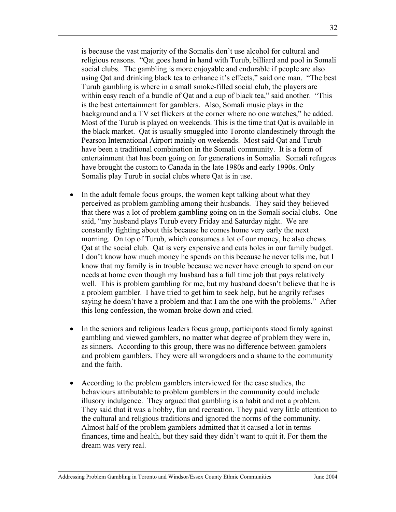is because the vast majority of the Somalis don't use alcohol for cultural and religious reasons. "Qat goes hand in hand with Turub, billiard and pool in Somali social clubs. The gambling is more enjoyable and endurable if people are also using Qat and drinking black tea to enhance it's effects," said one man. "The best Turub gambling is where in a small smoke-filled social club, the players are within easy reach of a bundle of Qat and a cup of black tea," said another. "This is the best entertainment for gamblers. Also, Somali music plays in the background and a TV set flickers at the corner where no one watches," he added. Most of the Turub is played on weekends. This is the time that Qat is available in the black market. Qat is usually smuggled into Toronto clandestinely through the Pearson International Airport mainly on weekends. Most said Qat and Turub have been a traditional combination in the Somali community. It is a form of entertainment that has been going on for generations in Somalia. Somali refugees have brought the custom to Canada in the late 1980s and early 1990s. Only Somalis play Turub in social clubs where Qat is in use.

- In the adult female focus groups, the women kept talking about what they perceived as problem gambling among their husbands. They said they believed that there was a lot of problem gambling going on in the Somali social clubs. One said, "my husband plays Turub every Friday and Saturday night. We are constantly fighting about this because he comes home very early the next morning. On top of Turub, which consumes a lot of our money, he also chews Qat at the social club. Qat is very expensive and cuts holes in our family budget. I don't know how much money he spends on this because he never tells me, but I know that my family is in trouble because we never have enough to spend on our needs at home even though my husband has a full time job that pays relatively well. This is problem gambling for me, but my husband doesn't believe that he is a problem gambler. I have tried to get him to seek help, but he angrily refuses saying he doesn't have a problem and that I am the one with the problems." After this long confession, the woman broke down and cried.
- In the seniors and religious leaders focus group, participants stood firmly against gambling and viewed gamblers, no matter what degree of problem they were in, as sinners. According to this group, there was no difference between gamblers and problem gamblers. They were all wrongdoers and a shame to the community and the faith.
- According to the problem gamblers interviewed for the case studies, the behaviours attributable to problem gamblers in the community could include illusory indulgence. They argued that gambling is a habit and not a problem. They said that it was a hobby, fun and recreation. They paid very little attention to the cultural and religious traditions and ignored the norms of the community. Almost half of the problem gamblers admitted that it caused a lot in terms finances, time and health, but they said they didn't want to quit it. For them the dream was very real.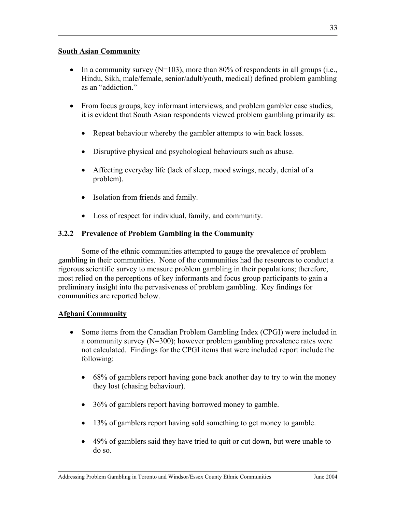#### **South Asian Community**

- In a community survey  $(N=103)$ , more than 80% of respondents in all groups (i.e., Hindu, Sikh, male/female, senior/adult/youth, medical) defined problem gambling as an "addiction"
- From focus groups, key informant interviews, and problem gambler case studies, it is evident that South Asian respondents viewed problem gambling primarily as:
	- Repeat behaviour whereby the gambler attempts to win back losses.
	- Disruptive physical and psychological behaviours such as abuse.
	- Affecting everyday life (lack of sleep, mood swings, needy, denial of a problem).
	- Isolation from friends and family.
	- Loss of respect for individual, family, and community.

# **3.2.2 Prevalence of Problem Gambling in the Community**

Some of the ethnic communities attempted to gauge the prevalence of problem gambling in their communities. None of the communities had the resources to conduct a rigorous scientific survey to measure problem gambling in their populations; therefore, most relied on the perceptions of key informants and focus group participants to gain a preliminary insight into the pervasiveness of problem gambling. Key findings for communities are reported below.

# **Afghani Community**

- Some items from the Canadian Problem Gambling Index (CPGI) were included in a community survey (N=300); however problem gambling prevalence rates were not calculated. Findings for the CPGI items that were included report include the following:
	- 68% of gamblers report having gone back another day to try to win the money they lost (chasing behaviour).
	- 36% of gamblers report having borrowed money to gamble.
	- 13% of gamblers report having sold something to get money to gamble.
	- 49% of gamblers said they have tried to quit or cut down, but were unable to do so.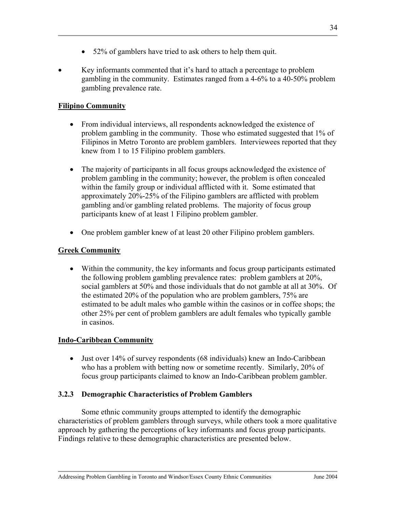- 52% of gamblers have tried to ask others to help them quit.
- Key informants commented that it's hard to attach a percentage to problem gambling in the community. Estimates ranged from a 4-6% to a 40-50% problem gambling prevalence rate.

# **Filipino Community**

- From individual interviews, all respondents acknowledged the existence of problem gambling in the community. Those who estimated suggested that 1% of Filipinos in Metro Toronto are problem gamblers. Interviewees reported that they knew from 1 to 15 Filipino problem gamblers.
- The majority of participants in all focus groups acknowledged the existence of problem gambling in the community; however, the problem is often concealed within the family group or individual afflicted with it. Some estimated that approximately 20%-25% of the Filipino gamblers are afflicted with problem gambling and/or gambling related problems. The majority of focus group participants knew of at least 1 Filipino problem gambler.
- One problem gambler knew of at least 20 other Filipino problem gamblers.

# **Greek Community**

• Within the community, the key informants and focus group participants estimated the following problem gambling prevalence rates: problem gamblers at 20%, social gamblers at 50% and those individuals that do not gamble at all at 30%. Of the estimated 20% of the population who are problem gamblers, 75% are estimated to be adult males who gamble within the casinos or in coffee shops; the other 25% per cent of problem gamblers are adult females who typically gamble in casinos.

# **Indo-Caribbean Community**

• Just over 14% of survey respondents (68 individuals) knew an Indo-Caribbean who has a problem with betting now or sometime recently. Similarly, 20% of focus group participants claimed to know an Indo-Caribbean problem gambler.

# **3.2.3 Demographic Characteristics of Problem Gamblers**

 Some ethnic community groups attempted to identify the demographic characteristics of problem gamblers through surveys, while others took a more qualitative approach by gathering the perceptions of key informants and focus group participants. Findings relative to these demographic characteristics are presented below.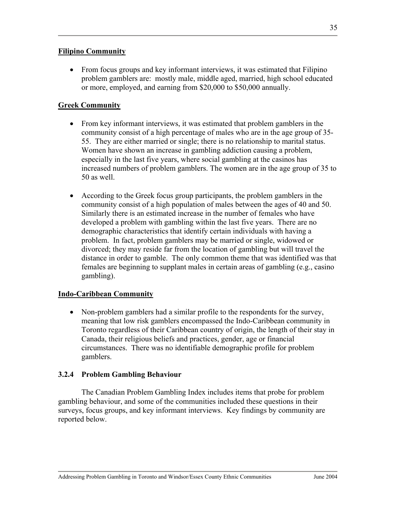### **Filipino Community**

• From focus groups and key informant interviews, it was estimated that Filipino problem gamblers are: mostly male, middle aged, married, high school educated or more, employed, and earning from \$20,000 to \$50,000 annually.

### **Greek Community**

- From key informant interviews, it was estimated that problem gamblers in the community consist of a high percentage of males who are in the age group of 35- 55. They are either married or single; there is no relationship to marital status. Women have shown an increase in gambling addiction causing a problem, especially in the last five years, where social gambling at the casinos has increased numbers of problem gamblers. The women are in the age group of 35 to 50 as well.
- According to the Greek focus group participants, the problem gamblers in the community consist of a high population of males between the ages of 40 and 50. Similarly there is an estimated increase in the number of females who have developed a problem with gambling within the last five years. There are no demographic characteristics that identify certain individuals with having a problem. In fact, problem gamblers may be married or single, widowed or divorced; they may reside far from the location of gambling but will travel the distance in order to gamble. The only common theme that was identified was that females are beginning to supplant males in certain areas of gambling (e.g., casino gambling).

### **Indo-Caribbean Community**

• Non-problem gamblers had a similar profile to the respondents for the survey, meaning that low risk gamblers encompassed the Indo-Caribbean community in Toronto regardless of their Caribbean country of origin, the length of their stay in Canada, their religious beliefs and practices, gender, age or financial circumstances. There was no identifiable demographic profile for problem gamblers.

#### **3.2.4 Problem Gambling Behaviour**

The Canadian Problem Gambling Index includes items that probe for problem gambling behaviour, and some of the communities included these questions in their surveys, focus groups, and key informant interviews. Key findings by community are reported below.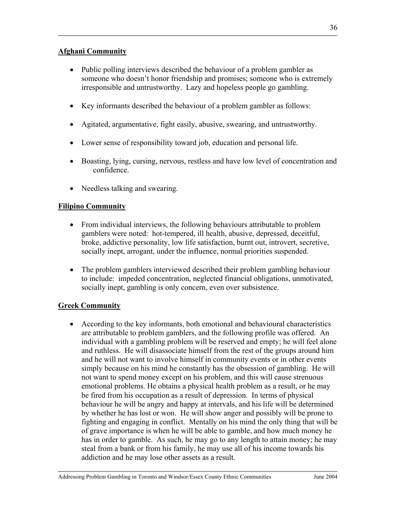### **Afghani Community**

- Public polling interviews described the behaviour of a problem gambler as someone who doesn't honor friendship and promises; someone who is extremely irresponsible and untrustworthy. Lazy and hopeless people go gambling.
- Key informants described the behaviour of a problem gambler as follows:
- Agitated, argumentative, fight easily, abusive, swearing, and untrustworthy.
- Lower sense of responsibility toward job, education and personal life.
- Boasting, lying, cursing, nervous, restless and have low level of concentration and confidence.
- Needless talking and swearing.

# **Filipino Community**

- From individual interviews, the following behaviours attributable to problem gamblers were noted: hot-tempered, ill health, abusive, depressed, deceitful, broke, addictive personality, low life satisfaction, burnt out, introvert, secretive, socially inept, arrogant, under the influence, normal priorities suspended.
- The problem gamblers interviewed described their problem gambling behaviour to include: impeded concentration, neglected financial obligations, unmotivated, socially inept, gambling is only concern, even over subsistence.

# **Greek Community**

• According to the key informants, both emotional and behavioural characteristics are attributable to problem gamblers, and the following profile was offered. An individual with a gambling problem will be reserved and empty; he will feel alone and ruthless. He will disassociate himself from the rest of the groups around him and he will not want to involve himself in community events or in other events simply because on his mind he constantly has the obsession of gambling. He will not want to spend money except on his problem, and this will cause strenuous emotional problems. He obtains a physical health problem as a result, or he may be fired from his occupation as a result of depression. In terms of physical behaviour he will be angry and happy at intervals, and his life will be determined by whether he has lost or won. He will show anger and possibly will be prone to fighting and engaging in conflict. Mentally on his mind the only thing that will be of grave importance is when he will be able to gamble, and how much money he has in order to gamble. As such, he may go to any length to attain money; he may steal from a bank or from his family, he may use all of his income towards his addiction and he may lose other assets as a result.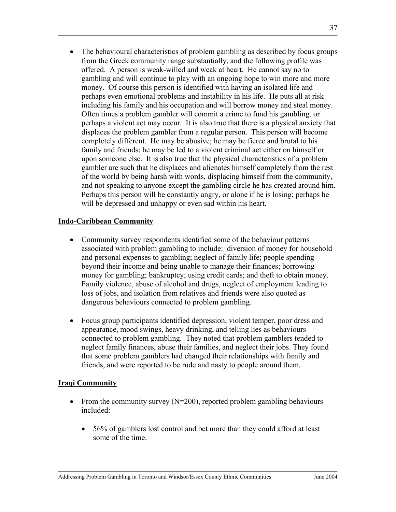• The behavioural characteristics of problem gambling as described by focus groups from the Greek community range substantially, and the following profile was offered. A person is weak-willed and weak at heart. He cannot say no to gambling and will continue to play with an ongoing hope to win more and more money. Of course this person is identified with having an isolated life and perhaps even emotional problems and instability in his life. He puts all at risk including his family and his occupation and will borrow money and steal money. Often times a problem gambler will commit a crime to fund his gambling, or perhaps a violent act may occur. It is also true that there is a physical anxiety that displaces the problem gambler from a regular person. This person will become completely different. He may be abusive; he may be fierce and brutal to his family and friends; he may be led to a violent criminal act either on himself or upon someone else. It is also true that the physical characteristics of a problem gambler are such that he displaces and alienates himself completely from the rest of the world by being harsh with words, displacing himself from the community, and not speaking to anyone except the gambling circle he has created around him. Perhaps this person will be constantly angry, or alone if he is losing; perhaps he will be depressed and unhappy or even sad within his heart.

### **Indo-Caribbean Community**

- Community survey respondents identified some of the behaviour patterns associated with problem gambling to include: diversion of money for household and personal expenses to gambling; neglect of family life; people spending beyond their income and being unable to manage their finances; borrowing money for gambling; bankruptcy; using credit cards; and theft to obtain money. Family violence, abuse of alcohol and drugs, neglect of employment leading to loss of jobs, and isolation from relatives and friends were also quoted as dangerous behaviours connected to problem gambling.
- Focus group participants identified depression, violent temper, poor dress and appearance, mood swings, heavy drinking, and telling lies as behaviours connected to problem gambling. They noted that problem gamblers tended to neglect family finances, abuse their families, and neglect their jobs. They found that some problem gamblers had changed their relationships with family and friends, and were reported to be rude and nasty to people around them.

### **Iraqi Community**

- From the community survey  $(N=200)$ , reported problem gambling behaviours included:
	- 56% of gamblers lost control and bet more than they could afford at least some of the time.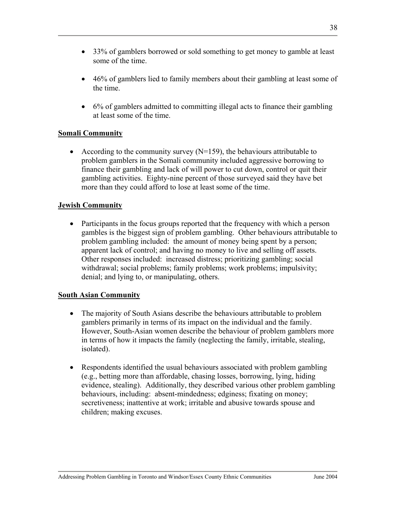- 33% of gamblers borrowed or sold something to get money to gamble at least some of the time.
- 46% of gamblers lied to family members about their gambling at least some of the time.
- 6% of gamblers admitted to committing illegal acts to finance their gambling at least some of the time.

# **Somali Community**

• According to the community survey  $(N=159)$ , the behaviours attributable to problem gamblers in the Somali community included aggressive borrowing to finance their gambling and lack of will power to cut down, control or quit their gambling activities. Eighty-nine percent of those surveyed said they have bet more than they could afford to lose at least some of the time.

### **Jewish Community**

• Participants in the focus groups reported that the frequency with which a person gambles is the biggest sign of problem gambling. Other behaviours attributable to problem gambling included: the amount of money being spent by a person; apparent lack of control; and having no money to live and selling off assets. Other responses included: increased distress; prioritizing gambling; social withdrawal; social problems; family problems; work problems; impulsivity; denial; and lying to, or manipulating, others.

### **South Asian Community**

- The majority of South Asians describe the behaviours attributable to problem gamblers primarily in terms of its impact on the individual and the family. However, South-Asian women describe the behaviour of problem gamblers more in terms of how it impacts the family (neglecting the family, irritable, stealing, isolated).
- Respondents identified the usual behaviours associated with problem gambling (e.g., betting more than affordable, chasing losses, borrowing, lying, hiding evidence, stealing). Additionally, they described various other problem gambling behaviours, including: absent-mindedness; edginess; fixating on money; secretiveness; inattentive at work; irritable and abusive towards spouse and children; making excuses.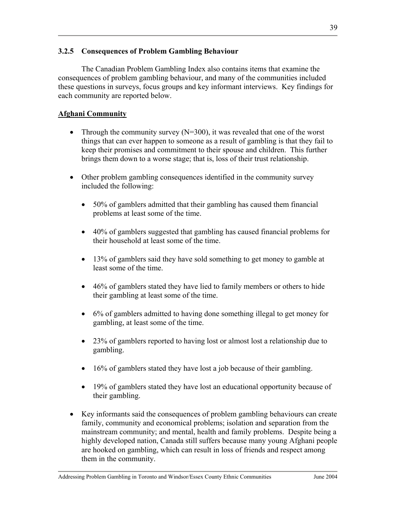#### **3.2.5 Consequences of Problem Gambling Behaviour**

The Canadian Problem Gambling Index also contains items that examine the consequences of problem gambling behaviour, and many of the communities included these questions in surveys, focus groups and key informant interviews. Key findings for each community are reported below.

### **Afghani Community**

- Through the community survey  $(N=300)$ , it was revealed that one of the worst things that can ever happen to someone as a result of gambling is that they fail to keep their promises and commitment to their spouse and children. This further brings them down to a worse stage; that is, loss of their trust relationship.
- Other problem gambling consequences identified in the community survey included the following:
	- 50% of gamblers admitted that their gambling has caused them financial problems at least some of the time.
	- 40% of gamblers suggested that gambling has caused financial problems for their household at least some of the time.
	- 13% of gamblers said they have sold something to get money to gamble at least some of the time.
	- 46% of gamblers stated they have lied to family members or others to hide their gambling at least some of the time.
	- 6% of gamblers admitted to having done something illegal to get money for gambling, at least some of the time.
	- 23% of gamblers reported to having lost or almost lost a relationship due to gambling.
	- 16% of gamblers stated they have lost a job because of their gambling.
	- 19% of gamblers stated they have lost an educational opportunity because of their gambling.
- Key informants said the consequences of problem gambling behaviours can create family, community and economical problems; isolation and separation from the mainstream community; and mental, health and family problems. Despite being a highly developed nation, Canada still suffers because many young Afghani people are hooked on gambling, which can result in loss of friends and respect among them in the community.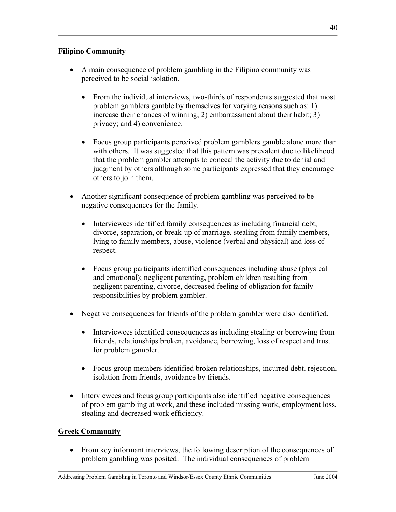- A main consequence of problem gambling in the Filipino community was perceived to be social isolation.
	- From the individual interviews, two-thirds of respondents suggested that most problem gamblers gamble by themselves for varying reasons such as: 1) increase their chances of winning; 2) embarrassment about their habit; 3) privacy; and 4) convenience.
	- Focus group participants perceived problem gamblers gamble alone more than with others. It was suggested that this pattern was prevalent due to likelihood that the problem gambler attempts to conceal the activity due to denial and judgment by others although some participants expressed that they encourage others to join them.
- Another significant consequence of problem gambling was perceived to be negative consequences for the family.
	- Interviewees identified family consequences as including financial debt, divorce, separation, or break-up of marriage, stealing from family members, lying to family members, abuse, violence (verbal and physical) and loss of respect.
	- Focus group participants identified consequences including abuse (physical and emotional); negligent parenting, problem children resulting from negligent parenting, divorce, decreased feeling of obligation for family responsibilities by problem gambler.
- Negative consequences for friends of the problem gambler were also identified.
	- Interviewees identified consequences as including stealing or borrowing from friends, relationships broken, avoidance, borrowing, loss of respect and trust for problem gambler.
	- Focus group members identified broken relationships, incurred debt, rejection, isolation from friends, avoidance by friends.
- Interviewees and focus group participants also identified negative consequences of problem gambling at work, and these included missing work, employment loss, stealing and decreased work efficiency.

### **Greek Community**

• From key informant interviews, the following description of the consequences of problem gambling was posited. The individual consequences of problem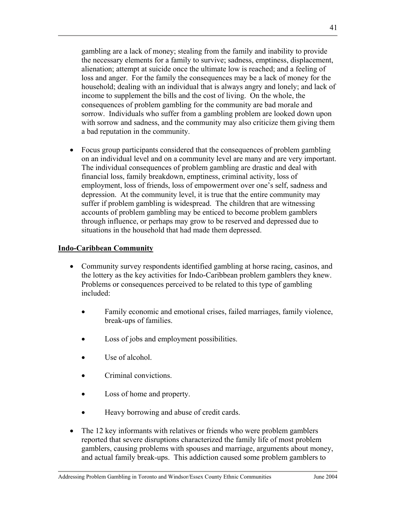gambling are a lack of money; stealing from the family and inability to provide the necessary elements for a family to survive; sadness, emptiness, displacement, alienation; attempt at suicide once the ultimate low is reached; and a feeling of loss and anger. For the family the consequences may be a lack of money for the household; dealing with an individual that is always angry and lonely; and lack of income to supplement the bills and the cost of living. On the whole, the consequences of problem gambling for the community are bad morale and sorrow. Individuals who suffer from a gambling problem are looked down upon with sorrow and sadness, and the community may also criticize them giving them a bad reputation in the community.

• Focus group participants considered that the consequences of problem gambling on an individual level and on a community level are many and are very important. The individual consequences of problem gambling are drastic and deal with financial loss, family breakdown, emptiness, criminal activity, loss of employment, loss of friends, loss of empowerment over one's self, sadness and depression. At the community level, it is true that the entire community may suffer if problem gambling is widespread. The children that are witnessing accounts of problem gambling may be enticed to become problem gamblers through influence, or perhaps may grow to be reserved and depressed due to situations in the household that had made them depressed.

#### **Indo-Caribbean Community**

- Community survey respondents identified gambling at horse racing, casinos, and the lottery as the key activities for Indo-Caribbean problem gamblers they knew. Problems or consequences perceived to be related to this type of gambling included:
	- Family economic and emotional crises, failed marriages, family violence, break-ups of families.
	- Loss of jobs and employment possibilities.
	- Use of alcohol.
	- Criminal convictions.
	- Loss of home and property.
	- Heavy borrowing and abuse of credit cards.
- The 12 key informants with relatives or friends who were problem gamblers reported that severe disruptions characterized the family life of most problem gamblers, causing problems with spouses and marriage, arguments about money, and actual family break-ups. This addiction caused some problem gamblers to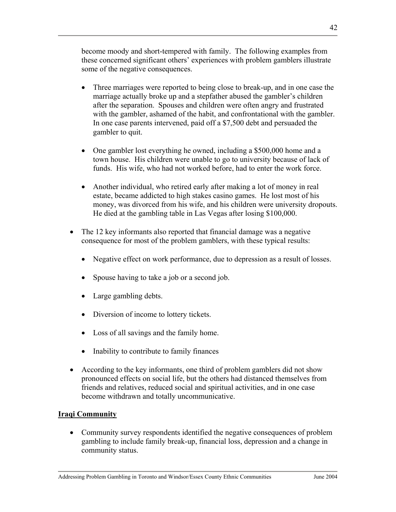become moody and short-tempered with family. The following examples from these concerned significant others' experiences with problem gamblers illustrate some of the negative consequences.

- Three marriages were reported to being close to break-up, and in one case the marriage actually broke up and a stepfather abused the gambler's children after the separation. Spouses and children were often angry and frustrated with the gambler, ashamed of the habit, and confrontational with the gambler. In one case parents intervened, paid off a \$7,500 debt and persuaded the gambler to quit.
- One gambler lost everything he owned, including a \$500,000 home and a town house. His children were unable to go to university because of lack of funds. His wife, who had not worked before, had to enter the work force.
- Another individual, who retired early after making a lot of money in real estate, became addicted to high stakes casino games. He lost most of his money, was divorced from his wife, and his children were university dropouts. He died at the gambling table in Las Vegas after losing \$100,000.
- The 12 key informants also reported that financial damage was a negative consequence for most of the problem gamblers, with these typical results:
	- Negative effect on work performance, due to depression as a result of losses.
	- Spouse having to take a job or a second job.
	- Large gambling debts.
	- Diversion of income to lottery tickets.
	- Loss of all savings and the family home.
	- Inability to contribute to family finances
- According to the key informants, one third of problem gamblers did not show pronounced effects on social life, but the others had distanced themselves from friends and relatives, reduced social and spiritual activities, and in one case become withdrawn and totally uncommunicative.

# **Iraqi Community**

• Community survey respondents identified the negative consequences of problem gambling to include family break-up, financial loss, depression and a change in community status.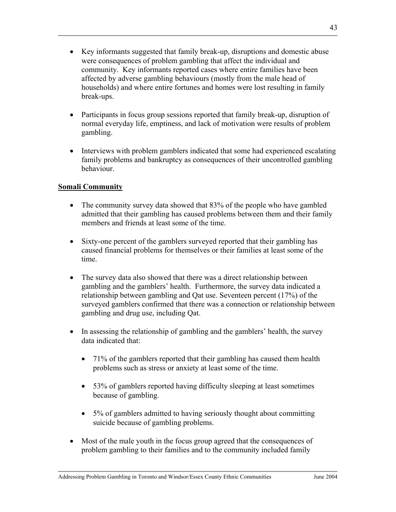- Key informants suggested that family break-up, disruptions and domestic abuse were consequences of problem gambling that affect the individual and community. Key informants reported cases where entire families have been affected by adverse gambling behaviours (mostly from the male head of households) and where entire fortunes and homes were lost resulting in family break-ups.
- Participants in focus group sessions reported that family break-up, disruption of normal everyday life, emptiness, and lack of motivation were results of problem gambling.
- Interviews with problem gamblers indicated that some had experienced escalating family problems and bankruptcy as consequences of their uncontrolled gambling behaviour.

### **Somali Community**

- The community survey data showed that 83% of the people who have gambled admitted that their gambling has caused problems between them and their family members and friends at least some of the time.
- Sixty-one percent of the gamblers surveyed reported that their gambling has caused financial problems for themselves or their families at least some of the time.
- The survey data also showed that there was a direct relationship between gambling and the gamblers' health. Furthermore, the survey data indicated a relationship between gambling and Qat use. Seventeen percent (17%) of the surveyed gamblers confirmed that there was a connection or relationship between gambling and drug use, including Qat.
- In assessing the relationship of gambling and the gamblers' health, the survey data indicated that:
	- 71% of the gamblers reported that their gambling has caused them health problems such as stress or anxiety at least some of the time.
	- 53% of gamblers reported having difficulty sleeping at least sometimes because of gambling.
	- 5% of gamblers admitted to having seriously thought about committing suicide because of gambling problems.
- Most of the male youth in the focus group agreed that the consequences of problem gambling to their families and to the community included family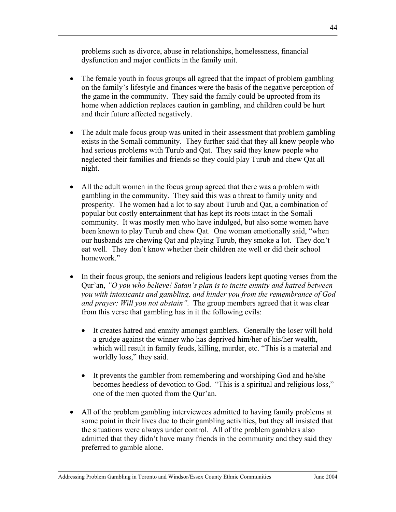problems such as divorce, abuse in relationships, homelessness, financial dysfunction and major conflicts in the family unit.

- The female youth in focus groups all agreed that the impact of problem gambling on the family's lifestyle and finances were the basis of the negative perception of the game in the community. They said the family could be uprooted from its home when addiction replaces caution in gambling, and children could be hurt and their future affected negatively.
- The adult male focus group was united in their assessment that problem gambling exists in the Somali community. They further said that they all knew people who had serious problems with Turub and Qat. They said they knew people who neglected their families and friends so they could play Turub and chew Qat all night.
- All the adult women in the focus group agreed that there was a problem with gambling in the community. They said this was a threat to family unity and prosperity. The women had a lot to say about Turub and Qat, a combination of popular but costly entertainment that has kept its roots intact in the Somali community. It was mostly men who have indulged, but also some women have been known to play Turub and chew Qat. One woman emotionally said, "when our husbands are chewing Qat and playing Turub, they smoke a lot. They don't eat well. They don't know whether their children ate well or did their school homework"
- In their focus group, the seniors and religious leaders kept quoting verses from the Qur'an, *"O you who believe! Satan's plan is to incite enmity and hatred between you with intoxicants and gambling, and hinder you from the remembrance of God and prayer: Will you not abstain".* The group members agreed that it was clear from this verse that gambling has in it the following evils:
	- It creates hatred and enmity amongst gamblers. Generally the loser will hold a grudge against the winner who has deprived him/her of his/her wealth, which will result in family feuds, killing, murder, etc. "This is a material and worldly loss," they said.
	- It prevents the gambler from remembering and worshiping God and he/she becomes heedless of devotion to God. "This is a spiritual and religious loss," one of the men quoted from the Qur'an.
- All of the problem gambling interviewees admitted to having family problems at some point in their lives due to their gambling activities, but they all insisted that the situations were always under control. All of the problem gamblers also admitted that they didn't have many friends in the community and they said they preferred to gamble alone.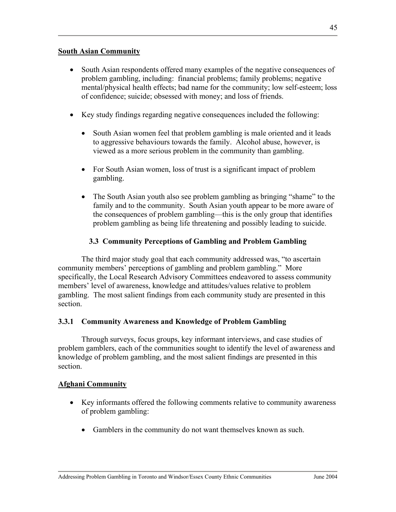#### **South Asian Community**

- South Asian respondents offered many examples of the negative consequences of problem gambling, including: financial problems; family problems; negative mental/physical health effects; bad name for the community; low self-esteem; loss of confidence; suicide; obsessed with money; and loss of friends.
- Key study findings regarding negative consequences included the following:
	- South Asian women feel that problem gambling is male oriented and it leads to aggressive behaviours towards the family. Alcohol abuse, however, is viewed as a more serious problem in the community than gambling.
	- For South Asian women, loss of trust is a significant impact of problem gambling.
	- The South Asian youth also see problem gambling as bringing "shame" to the family and to the community. South Asian youth appear to be more aware of the consequences of problem gambling—this is the only group that identifies problem gambling as being life threatening and possibly leading to suicide.

### **3.3 Community Perceptions of Gambling and Problem Gambling**

The third major study goal that each community addressed was, "to ascertain community members' perceptions of gambling and problem gambling." More specifically, the Local Research Advisory Committees endeavored to assess community members' level of awareness, knowledge and attitudes/values relative to problem gambling. The most salient findings from each community study are presented in this section.

### **3.3.1 Community Awareness and Knowledge of Problem Gambling**

Through surveys, focus groups, key informant interviews, and case studies of problem gamblers, each of the communities sought to identify the level of awareness and knowledge of problem gambling, and the most salient findings are presented in this section.

### **Afghani Community**

- Key informants offered the following comments relative to community awareness of problem gambling:
	- Gamblers in the community do not want themselves known as such.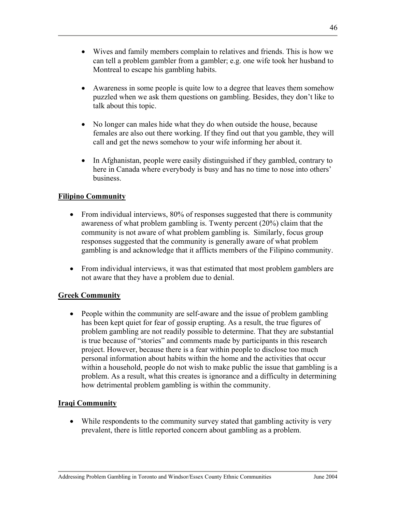- Wives and family members complain to relatives and friends. This is how we can tell a problem gambler from a gambler; e.g. one wife took her husband to Montreal to escape his gambling habits.
- Awareness in some people is quite low to a degree that leaves them somehow puzzled when we ask them questions on gambling. Besides, they don't like to talk about this topic.
- No longer can males hide what they do when outside the house, because females are also out there working. If they find out that you gamble, they will call and get the news somehow to your wife informing her about it.
- In Afghanistan, people were easily distinguished if they gambled, contrary to here in Canada where everybody is busy and has no time to nose into others' business.

### **Filipino Community**

- From individual interviews, 80% of responses suggested that there is community awareness of what problem gambling is. Twenty percent (20%) claim that the community is not aware of what problem gambling is. Similarly, focus group responses suggested that the community is generally aware of what problem gambling is and acknowledge that it afflicts members of the Filipino community.
- From individual interviews, it was that estimated that most problem gamblers are not aware that they have a problem due to denial.

# **Greek Community**

• People within the community are self-aware and the issue of problem gambling has been kept quiet for fear of gossip erupting. As a result, the true figures of problem gambling are not readily possible to determine. That they are substantial is true because of "stories" and comments made by participants in this research project. However, because there is a fear within people to disclose too much personal information about habits within the home and the activities that occur within a household, people do not wish to make public the issue that gambling is a problem. As a result, what this creates is ignorance and a difficulty in determining how detrimental problem gambling is within the community.

### **Iraqi Community**

• While respondents to the community survey stated that gambling activity is very prevalent, there is little reported concern about gambling as a problem.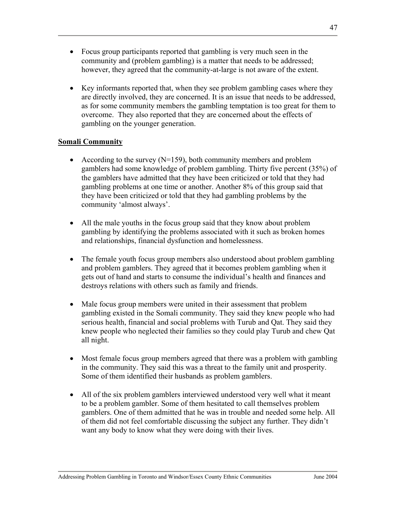- Focus group participants reported that gambling is very much seen in the community and (problem gambling) is a matter that needs to be addressed; however, they agreed that the community-at-large is not aware of the extent.
- Key informants reported that, when they see problem gambling cases where they are directly involved, they are concerned. It is an issue that needs to be addressed, as for some community members the gambling temptation is too great for them to overcome. They also reported that they are concerned about the effects of gambling on the younger generation.

### **Somali Community**

- According to the survey  $(N=159)$ , both community members and problem gamblers had some knowledge of problem gambling. Thirty five percent (35%) of the gamblers have admitted that they have been criticized or told that they had gambling problems at one time or another. Another 8% of this group said that they have been criticized or told that they had gambling problems by the community 'almost always'.
- All the male youths in the focus group said that they know about problem gambling by identifying the problems associated with it such as broken homes and relationships, financial dysfunction and homelessness.
- The female youth focus group members also understood about problem gambling and problem gamblers. They agreed that it becomes problem gambling when it gets out of hand and starts to consume the individual's health and finances and destroys relations with others such as family and friends.
- Male focus group members were united in their assessment that problem gambling existed in the Somali community. They said they knew people who had serious health, financial and social problems with Turub and Qat. They said they knew people who neglected their families so they could play Turub and chew Qat all night.
- Most female focus group members agreed that there was a problem with gambling in the community. They said this was a threat to the family unit and prosperity. Some of them identified their husbands as problem gamblers.
- All of the six problem gamblers interviewed understood very well what it meant to be a problem gambler. Some of them hesitated to call themselves problem gamblers. One of them admitted that he was in trouble and needed some help. All of them did not feel comfortable discussing the subject any further. They didn't want any body to know what they were doing with their lives.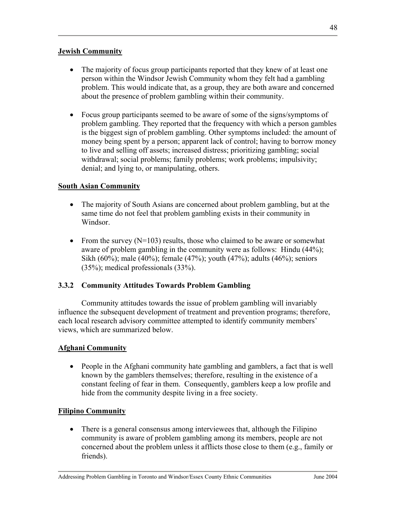### **Jewish Community**

- The majority of focus group participants reported that they knew of at least one person within the Windsor Jewish Community whom they felt had a gambling problem. This would indicate that, as a group, they are both aware and concerned about the presence of problem gambling within their community.
- Focus group participants seemed to be aware of some of the signs/symptoms of problem gambling. They reported that the frequency with which a person gambles is the biggest sign of problem gambling. Other symptoms included: the amount of money being spent by a person; apparent lack of control; having to borrow money to live and selling off assets; increased distress; prioritizing gambling; social withdrawal; social problems; family problems; work problems; impulsivity; denial; and lying to, or manipulating, others.

# **South Asian Community**

- The majority of South Asians are concerned about problem gambling, but at the same time do not feel that problem gambling exists in their community in Windsor.
- From the survey  $(N=103)$  results, those who claimed to be aware or somewhat aware of problem gambling in the community were as follows: Hindu (44%); Sikh (60%); male (40%); female (47%); youth (47%); adults (46%); seniors (35%); medical professionals (33%).

# **3.3.2 Community Attitudes Towards Problem Gambling**

Community attitudes towards the issue of problem gambling will invariably influence the subsequent development of treatment and prevention programs; therefore, each local research advisory committee attempted to identify community members' views, which are summarized below.

### **Afghani Community**

• People in the Afghani community hate gambling and gamblers, a fact that is well known by the gamblers themselves; therefore, resulting in the existence of a constant feeling of fear in them. Consequently, gamblers keep a low profile and hide from the community despite living in a free society.

### **Filipino Community**

• There is a general consensus among interviewees that, although the Filipino community is aware of problem gambling among its members, people are not concerned about the problem unless it afflicts those close to them (e.g., family or friends).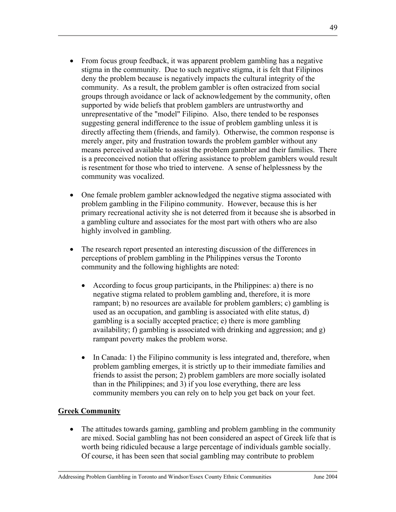- From focus group feedback, it was apparent problem gambling has a negative stigma in the community. Due to such negative stigma, it is felt that Filipinos deny the problem because is negatively impacts the cultural integrity of the community. As a result, the problem gambler is often ostracized from social groups through avoidance or lack of acknowledgement by the community, often supported by wide beliefs that problem gamblers are untrustworthy and unrepresentative of the "model" Filipino. Also, there tended to be responses suggesting general indifference to the issue of problem gambling unless it is directly affecting them (friends, and family). Otherwise, the common response is merely anger, pity and frustration towards the problem gambler without any means perceived available to assist the problem gambler and their families. There is a preconceived notion that offering assistance to problem gamblers would result is resentment for those who tried to intervene. A sense of helplessness by the community was vocalized.
- One female problem gambler acknowledged the negative stigma associated with problem gambling in the Filipino community. However, because this is her primary recreational activity she is not deterred from it because she is absorbed in a gambling culture and associates for the most part with others who are also highly involved in gambling.
- The research report presented an interesting discussion of the differences in perceptions of problem gambling in the Philippines versus the Toronto community and the following highlights are noted:
	- According to focus group participants, in the Philippines: a) there is no negative stigma related to problem gambling and, therefore, it is more rampant; b) no resources are available for problem gamblers; c) gambling is used as an occupation, and gambling is associated with elite status, d) gambling is a socially accepted practice; e) there is more gambling availability; f) gambling is associated with drinking and aggression; and g) rampant poverty makes the problem worse.
	- In Canada: 1) the Filipino community is less integrated and, therefore, when problem gambling emerges, it is strictly up to their immediate families and friends to assist the person; 2) problem gamblers are more socially isolated than in the Philippines; and 3) if you lose everything, there are less community members you can rely on to help you get back on your feet.

# **Greek Community**

• The attitudes towards gaming, gambling and problem gambling in the community are mixed. Social gambling has not been considered an aspect of Greek life that is worth being ridiculed because a large percentage of individuals gamble socially. Of course, it has been seen that social gambling may contribute to problem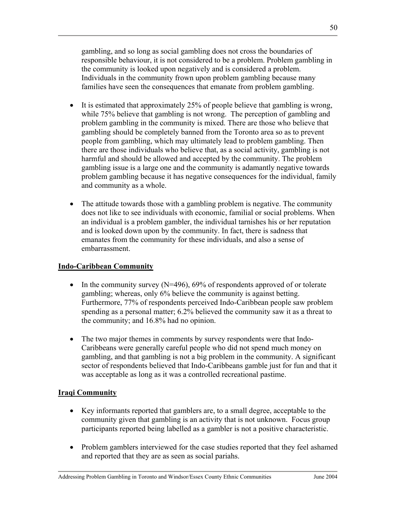gambling, and so long as social gambling does not cross the boundaries of responsible behaviour, it is not considered to be a problem. Problem gambling in the community is looked upon negatively and is considered a problem. Individuals in the community frown upon problem gambling because many families have seen the consequences that emanate from problem gambling.

- It is estimated that approximately 25% of people believe that gambling is wrong, while 75% believe that gambling is not wrong. The perception of gambling and problem gambling in the community is mixed. There are those who believe that gambling should be completely banned from the Toronto area so as to prevent people from gambling, which may ultimately lead to problem gambling. Then there are those individuals who believe that, as a social activity, gambling is not harmful and should be allowed and accepted by the community. The problem gambling issue is a large one and the community is adamantly negative towards problem gambling because it has negative consequences for the individual, family and community as a whole.
- The attitude towards those with a gambling problem is negative. The community does not like to see individuals with economic, familial or social problems. When an individual is a problem gambler, the individual tarnishes his or her reputation and is looked down upon by the community. In fact, there is sadness that emanates from the community for these individuals, and also a sense of embarrassment.

# **Indo-Caribbean Community**

- In the community survey  $(N=496)$ , 69% of respondents approved of or tolerate gambling; whereas, only 6% believe the community is against betting. Furthermore, 77% of respondents perceived Indo-Caribbean people saw problem spending as a personal matter; 6.2% believed the community saw it as a threat to the community; and 16.8% had no opinion.
- The two major themes in comments by survey respondents were that Indo-Caribbeans were generally careful people who did not spend much money on gambling, and that gambling is not a big problem in the community. A significant sector of respondents believed that Indo-Caribbeans gamble just for fun and that it was acceptable as long as it was a controlled recreational pastime.

# **Iraqi Community**

- Key informants reported that gamblers are, to a small degree, acceptable to the community given that gambling is an activity that is not unknown. Focus group participants reported being labelled as a gambler is not a positive characteristic.
- Problem gamblers interviewed for the case studies reported that they feel ashamed and reported that they are as seen as social pariahs.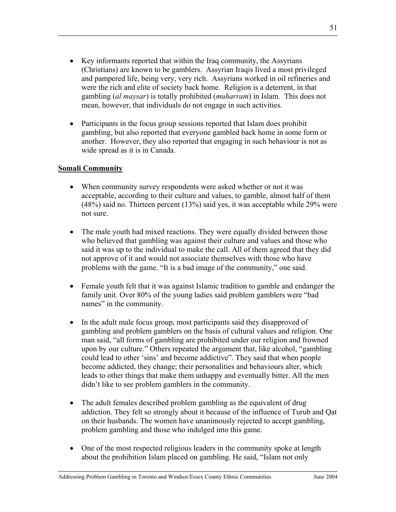- Key informants reported that within the Iraq community, the Assyrians (Christians) are known to be gamblers. Assyrian Iraqis lived a most privileged and pampered life, being very, very rich. Assyrians worked in oil refineries and were the rich and elite of society back home. Religion is a deterrent, in that gambling (*al maysar*) is totally prohibited (*muharram*) in Islam. This does not mean, however, that individuals do not engage in such activities.
- Participants in the focus group sessions reported that Islam does prohibit gambling, but also reported that everyone gambled back home in some form or another. However, they also reported that engaging in such behaviour is not as wide spread as it is in Canada.

### **Somali Community**

- When community survey respondents were asked whether or not it was acceptable, according to their culture and values, to gamble, almost half of them (48%) said no. Thirteen percent (13%) said yes, it was acceptable while 29% were not sure.
- The male youth had mixed reactions. They were equally divided between those who believed that gambling was against their culture and values and those who said it was up to the individual to make the call. All of them agreed that they did not approve of it and would not associate themselves with those who have problems with the game. "It is a bad image of the community," one said.
- Female youth felt that it was against Islamic tradition to gamble and endanger the family unit. Over 80% of the young ladies said problem gamblers were "bad names" in the community.
- In the adult male focus group, most participants said they disapproved of gambling and problem gamblers on the basis of cultural values and religion. One man said, "all forms of gambling are prohibited under our religion and frowned upon by our culture." Others repeated the argument that, like alcohol, "gambling could lead to other 'sins' and become addictive". They said that when people become addicted, they change; their personalities and behaviours alter, which leads to other things that make them unhappy and eventually bitter. All the men didn't like to see problem gamblers in the community.
- The adult females described problem gambling as the equivalent of drug addiction. They felt so strongly about it because of the influence of Turub and Qat on their husbands. The women have unanimously rejected to accept gambling, problem gambling and those who indulged into this game.
- One of the most respected religious leaders in the community spoke at length about the prohibition Islam placed on gambling. He said, "Islam not only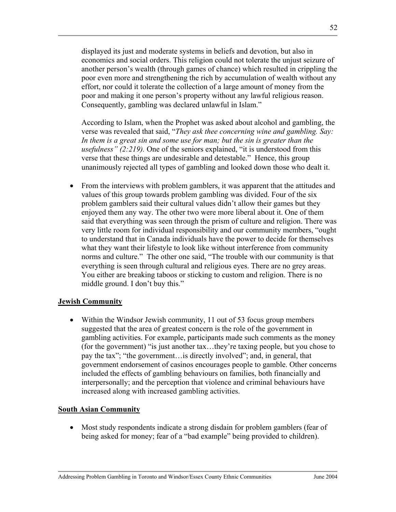displayed its just and moderate systems in beliefs and devotion, but also in economics and social orders. This religion could not tolerate the unjust seizure of another person's wealth (through games of chance) which resulted in crippling the poor even more and strengthening the rich by accumulation of wealth without any effort, nor could it tolerate the collection of a large amount of money from the poor and making it one person's property without any lawful religious reason. Consequently, gambling was declared unlawful in Islam."

According to Islam, when the Prophet was asked about alcohol and gambling, the verse was revealed that said, "*They ask thee concerning wine and gambling. Say:*  In them is a great sin and some use for man; but the sin is greater than the *usefulness" (2:219).* One of the seniors explained, "it is understood from this verse that these things are undesirable and detestable." Hence, this group unanimously rejected all types of gambling and looked down those who dealt it.

• From the interviews with problem gamblers, it was apparent that the attitudes and values of this group towards problem gambling was divided. Four of the six problem gamblers said their cultural values didn't allow their games but they enjoyed them any way. The other two were more liberal about it. One of them said that everything was seen through the prism of culture and religion. There was very little room for individual responsibility and our community members, "ought to understand that in Canada individuals have the power to decide for themselves what they want their lifestyle to look like without interference from community norms and culture." The other one said, "The trouble with our community is that everything is seen through cultural and religious eyes. There are no grey areas. You either are breaking taboos or sticking to custom and religion. There is no middle ground. I don't buy this."

### **Jewish Community**

• Within the Windsor Jewish community, 11 out of 53 focus group members suggested that the area of greatest concern is the role of the government in gambling activities. For example, participants made such comments as the money (for the government) "is just another tax…they're taxing people, but you chose to pay the tax"; "the government…is directly involved"; and, in general, that government endorsement of casinos encourages people to gamble. Other concerns included the effects of gambling behaviours on families, both financially and interpersonally; and the perception that violence and criminal behaviours have increased along with increased gambling activities.

### **South Asian Community**

• Most study respondents indicate a strong disdain for problem gamblers (fear of being asked for money; fear of a "bad example" being provided to children).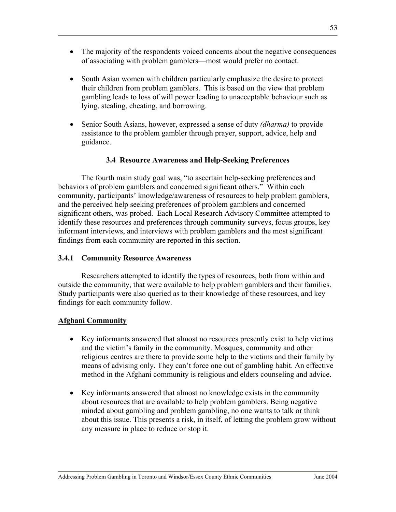- The majority of the respondents voiced concerns about the negative consequences of associating with problem gamblers—most would prefer no contact.
- South Asian women with children particularly emphasize the desire to protect their children from problem gamblers. This is based on the view that problem gambling leads to loss of will power leading to unacceptable behaviour such as lying, stealing, cheating, and borrowing.
- Senior South Asians, however, expressed a sense of duty *(dharma)* to provide assistance to the problem gambler through prayer, support, advice, help and guidance.

### **3.4 Resource Awareness and Help-Seeking Preferences**

The fourth main study goal was, "to ascertain help-seeking preferences and behaviors of problem gamblers and concerned significant others." Within each community, participants' knowledge/awareness of resources to help problem gamblers, and the perceived help seeking preferences of problem gamblers and concerned significant others, was probed. Each Local Research Advisory Committee attempted to identify these resources and preferences through community surveys, focus groups, key informant interviews, and interviews with problem gamblers and the most significant findings from each community are reported in this section.

### **3.4.1 Community Resource Awareness**

 Researchers attempted to identify the types of resources, both from within and outside the community, that were available to help problem gamblers and their families. Study participants were also queried as to their knowledge of these resources, and key findings for each community follow.

# **Afghani Community**

- Key informants answered that almost no resources presently exist to help victims and the victim's family in the community. Mosques, community and other religious centres are there to provide some help to the victims and their family by means of advising only. They can't force one out of gambling habit. An effective method in the Afghani community is religious and elders counseling and advice.
- Key informants answered that almost no knowledge exists in the community about resources that are available to help problem gamblers. Being negative minded about gambling and problem gambling, no one wants to talk or think about this issue. This presents a risk, in itself, of letting the problem grow without any measure in place to reduce or stop it.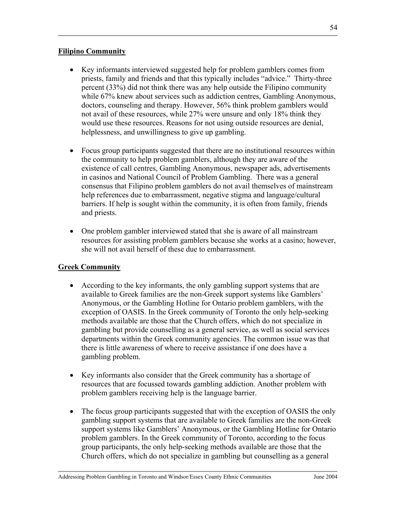### **Filipino Community**

- Key informants interviewed suggested help for problem gamblers comes from priests, family and friends and that this typically includes "advice." Thirty-three percent (33%) did not think there was any help outside the Filipino community while 67% knew about services such as addiction centres, Gambling Anonymous, doctors, counseling and therapy. However, 56% think problem gamblers would not avail of these resources, while 27% were unsure and only 18% think they would use these resources. Reasons for not using outside resources are denial, helplessness, and unwillingness to give up gambling.
- Focus group participants suggested that there are no institutional resources within the community to help problem gamblers, although they are aware of the existence of call centres, Gambling Anonymous, newspaper ads, advertisements in casinos and National Council of Problem Gambling. There was a general consensus that Filipino problem gamblers do not avail themselves of mainstream help references due to embarrassment, negative stigma and language/cultural barriers. If help is sought within the community, it is often from family, friends and priests.
- One problem gambler interviewed stated that she is aware of all mainstream resources for assisting problem gamblers because she works at a casino; however, she will not avail herself of these due to embarrassment.

### **Greek Community**

- According to the key informants, the only gambling support systems that are available to Greek families are the non-Greek support systems like Gamblers' Anonymous, or the Gambling Hotline for Ontario problem gamblers, with the exception of OASIS. In the Greek community of Toronto the only help-seeking methods available are those that the Church offers, which do not specialize in gambling but provide counselling as a general service, as well as social services departments within the Greek community agencies. The common issue was that there is little awareness of where to receive assistance if one does have a gambling problem.
- Key informants also consider that the Greek community has a shortage of resources that are focussed towards gambling addiction. Another problem with problem gamblers receiving help is the language barrier.
- The focus group participants suggested that with the exception of OASIS the only gambling support systems that are available to Greek families are the non-Greek support systems like Gamblers' Anonymous, or the Gambling Hotline for Ontario problem gamblers. In the Greek community of Toronto, according to the focus group participants, the only help-seeking methods available are those that the Church offers, which do not specialize in gambling but counselling as a general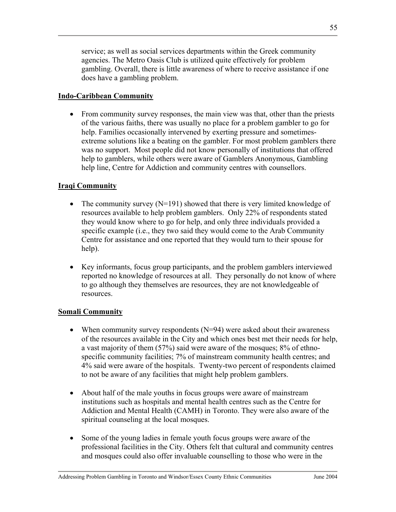service; as well as social services departments within the Greek community agencies. The Metro Oasis Club is utilized quite effectively for problem gambling. Overall, there is little awareness of where to receive assistance if one does have a gambling problem.

### **Indo-Caribbean Community**

• From community survey responses, the main view was that, other than the priests of the various faiths, there was usually no place for a problem gambler to go for help. Families occasionally intervened by exerting pressure and sometimesextreme solutions like a beating on the gambler. For most problem gamblers there was no support.Most people did not know personally of institutions that offered help to gamblers, while others were aware of Gamblers Anonymous, Gambling help line, Centre for Addiction and community centres with counsellors.

### **Iraqi Community**

- The community survey  $(N=191)$  showed that there is very limited knowledge of resources available to help problem gamblers. Only 22% of respondents stated they would know where to go for help, and only three individuals provided a specific example (i.e., they two said they would come to the Arab Community Centre for assistance and one reported that they would turn to their spouse for help).
- Key informants, focus group participants, and the problem gamblers interviewed reported no knowledge of resources at all. They personally do not know of where to go although they themselves are resources, they are not knowledgeable of resources.

### **Somali Community**

- When community survey respondents  $(N=94)$  were asked about their awareness of the resources available in the City and which ones best met their needs for help, a vast majority of them (57%) said were aware of the mosques; 8% of ethnospecific community facilities; 7% of mainstream community health centres; and 4% said were aware of the hospitals. Twenty-two percent of respondents claimed to not be aware of any facilities that might help problem gamblers.
- About half of the male youths in focus groups were aware of mainstream institutions such as hospitals and mental health centres such as the Centre for Addiction and Mental Health (CAMH) in Toronto. They were also aware of the spiritual counseling at the local mosques.
- Some of the young ladies in female youth focus groups were aware of the professional facilities in the City. Others felt that cultural and community centres and mosques could also offer invaluable counselling to those who were in the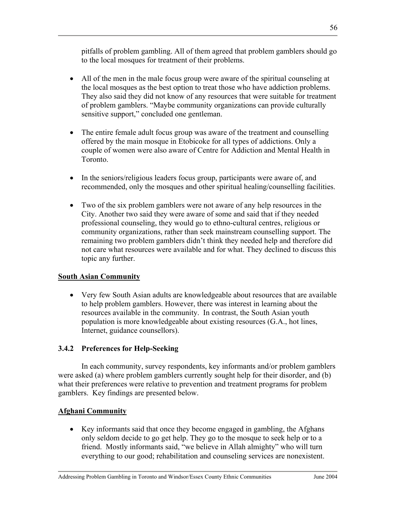pitfalls of problem gambling. All of them agreed that problem gamblers should go to the local mosques for treatment of their problems.

- All of the men in the male focus group were aware of the spiritual counseling at the local mosques as the best option to treat those who have addiction problems. They also said they did not know of any resources that were suitable for treatment of problem gamblers. "Maybe community organizations can provide culturally sensitive support," concluded one gentleman.
- The entire female adult focus group was aware of the treatment and counselling offered by the main mosque in Etobicoke for all types of addictions. Only a couple of women were also aware of Centre for Addiction and Mental Health in Toronto.
- In the seniors/religious leaders focus group, participants were aware of, and recommended, only the mosques and other spiritual healing/counselling facilities.
- Two of the six problem gamblers were not aware of any help resources in the City. Another two said they were aware of some and said that if they needed professional counseling, they would go to ethno-cultural centres, religious or community organizations, rather than seek mainstream counselling support. The remaining two problem gamblers didn't think they needed help and therefore did not care what resources were available and for what. They declined to discuss this topic any further.

### **South Asian Community**

• Very few South Asian adults are knowledgeable about resources that are available to help problem gamblers. However, there was interest in learning about the resources available in the community. In contrast, the South Asian youth population is more knowledgeable about existing resources (G.A., hot lines, Internet, guidance counsellors).

# **3.4.2 Preferences for Help-Seeking**

In each community, survey respondents, key informants and/or problem gamblers were asked (a) where problem gamblers currently sought help for their disorder, and (b) what their preferences were relative to prevention and treatment programs for problem gamblers. Key findings are presented below.

### **Afghani Community**

• Key informants said that once they become engaged in gambling, the Afghans only seldom decide to go get help. They go to the mosque to seek help or to a friend. Mostly informants said, "we believe in Allah almighty" who will turn everything to our good; rehabilitation and counseling services are nonexistent.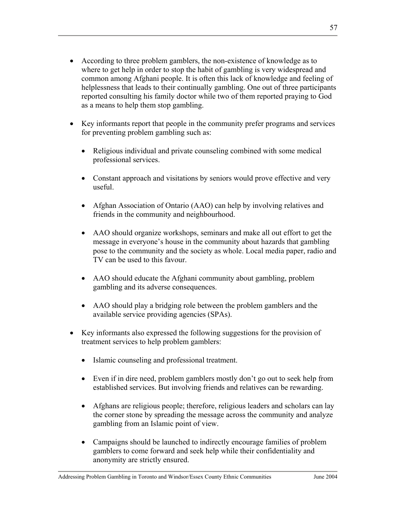- According to three problem gamblers, the non-existence of knowledge as to where to get help in order to stop the habit of gambling is very widespread and common among Afghani people. It is often this lack of knowledge and feeling of helplessness that leads to their continually gambling. One out of three participants reported consulting his family doctor while two of them reported praying to God as a means to help them stop gambling.
- Key informants report that people in the community prefer programs and services for preventing problem gambling such as:
	- Religious individual and private counseling combined with some medical professional services.
	- Constant approach and visitations by seniors would prove effective and very useful.
	- Afghan Association of Ontario (AAO) can help by involving relatives and friends in the community and neighbourhood.
	- AAO should organize workshops, seminars and make all out effort to get the message in everyone's house in the community about hazards that gambling pose to the community and the society as whole. Local media paper, radio and TV can be used to this favour.
	- AAO should educate the Afghani community about gambling, problem gambling and its adverse consequences.
	- AAO should play a bridging role between the problem gamblers and the available service providing agencies (SPAs).
- Key informants also expressed the following suggestions for the provision of treatment services to help problem gamblers:
	- Islamic counseling and professional treatment.
	- Even if in dire need, problem gamblers mostly don't go out to seek help from established services. But involving friends and relatives can be rewarding.
	- Afghans are religious people; therefore, religious leaders and scholars can lay the corner stone by spreading the message across the community and analyze gambling from an Islamic point of view.
	- Campaigns should be launched to indirectly encourage families of problem gamblers to come forward and seek help while their confidentiality and anonymity are strictly ensured.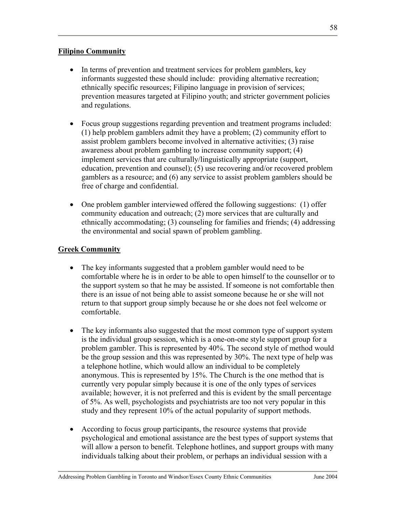### **Filipino Community**

- In terms of prevention and treatment services for problem gamblers, key informants suggested these should include: providing alternative recreation; ethnically specific resources; Filipino language in provision of services; prevention measures targeted at Filipino youth; and stricter government policies and regulations.
- Focus group suggestions regarding prevention and treatment programs included: (1) help problem gamblers admit they have a problem; (2) community effort to assist problem gamblers become involved in alternative activities; (3) raise awareness about problem gambling to increase community support; (4) implement services that are culturally/linguistically appropriate (support, education, prevention and counsel); (5) use recovering and/or recovered problem gamblers as a resource; and (6) any service to assist problem gamblers should be free of charge and confidential.
- One problem gambler interviewed offered the following suggestions: (1) offer community education and outreach; (2) more services that are culturally and ethnically accommodating; (3) counseling for families and friends; (4) addressing the environmental and social spawn of problem gambling.

### **Greek Community**

- The key informants suggested that a problem gambler would need to be comfortable where he is in order to be able to open himself to the counsellor or to the support system so that he may be assisted. If someone is not comfortable then there is an issue of not being able to assist someone because he or she will not return to that support group simply because he or she does not feel welcome or comfortable.
- The key informants also suggested that the most common type of support system is the individual group session, which is a one-on-one style support group for a problem gambler. This is represented by 40%. The second style of method would be the group session and this was represented by 30%. The next type of help was a telephone hotline, which would allow an individual to be completely anonymous. This is represented by 15%. The Church is the one method that is currently very popular simply because it is one of the only types of services available; however, it is not preferred and this is evident by the small percentage of 5%. As well, psychologists and psychiatrists are too not very popular in this study and they represent 10% of the actual popularity of support methods.
- According to focus group participants, the resource systems that provide psychological and emotional assistance are the best types of support systems that will allow a person to benefit. Telephone hotlines, and support groups with many individuals talking about their problem, or perhaps an individual session with a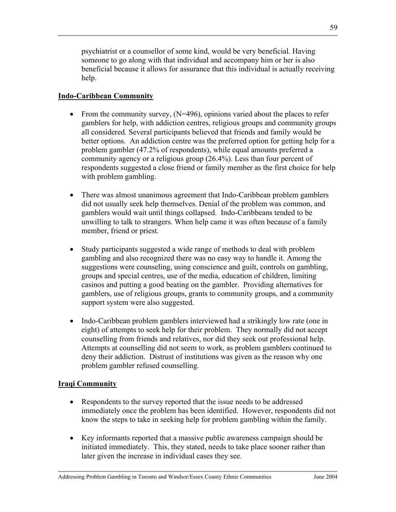psychiatrist or a counsellor of some kind, would be very beneficial. Having someone to go along with that individual and accompany him or her is also beneficial because it allows for assurance that this individual is actually receiving help.

# **Indo-Caribbean Community**

- From the community survey,  $(N=496)$ , opinions varied about the places to refer gamblers for help, with addiction centres, religious groups and community groups all considered. Several participants believed that friends and family would be better options. An addiction centre was the preferred option for getting help for a problem gambler (47.2% of respondents), while equal amounts preferred a community agency or a religious group (26.4%). Less than four percent of respondents suggested a close friend or family member as the first choice for help with problem gambling.
- There was almost unanimous agreement that Indo-Caribbean problem gamblers did not usually seek help themselves. Denial of the problem was common, and gamblers would wait until things collapsed. Indo-Caribbeans tended to be unwilling to talk to strangers. When help came it was often because of a family member, friend or priest.
- Study participants suggested a wide range of methods to deal with problem gambling and also recognized there was no easy way to handle it. Among the suggestions were counseling, using conscience and guilt, controls on gambling, groups and special centres, use of the media, education of children, limiting casinos and putting a good beating on the gambler. Providing alternatives for gamblers, use of religious groups, grants to community groups, and a community support system were also suggested.
- Indo-Caribbean problem gamblers interviewed had a strikingly low rate (one in eight) of attempts to seek help for their problem. They normally did not accept counselling from friends and relatives, nor did they seek out professional help. Attempts at counselling did not seem to work, as problem gamblers continued to deny their addiction. Distrust of institutions was given as the reason why one problem gambler refused counselling.

### **Iraqi Community**

- Respondents to the survey reported that the issue needs to be addressed immediately once the problem has been identified. However, respondents did not know the steps to take in seeking help for problem gambling within the family.
- Key informants reported that a massive public awareness campaign should be initiated immediately. This, they stated, needs to take place sooner rather than later given the increase in individual cases they see.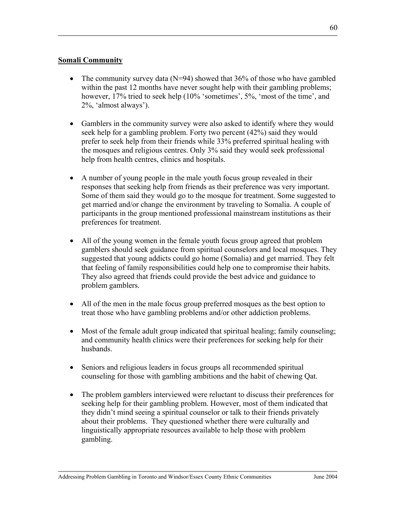# **Somali Community**

- The community survey data  $(N=94)$  showed that 36% of those who have gambled within the past 12 months have never sought help with their gambling problems; however, 17% tried to seek help (10% 'sometimes', 5%, 'most of the time', and 2%, 'almost always').
- Gamblers in the community survey were also asked to identify where they would seek help for a gambling problem. Forty two percent (42%) said they would prefer to seek help from their friends while 33% preferred spiritual healing with the mosques and religious centres. Only 3% said they would seek professional help from health centres, clinics and hospitals.
- A number of young people in the male youth focus group revealed in their responses that seeking help from friends as their preference was very important. Some of them said they would go to the mosque for treatment. Some suggested to get married and/or change the environment by traveling to Somalia. A couple of participants in the group mentioned professional mainstream institutions as their preferences for treatment.
- All of the young women in the female youth focus group agreed that problem gamblers should seek guidance from spiritual counselors and local mosques. They suggested that young addicts could go home (Somalia) and get married. They felt that feeling of family responsibilities could help one to compromise their habits. They also agreed that friends could provide the best advice and guidance to problem gamblers.
- All of the men in the male focus group preferred mosques as the best option to treat those who have gambling problems and/or other addiction problems.
- Most of the female adult group indicated that spiritual healing; family counseling; and community health clinics were their preferences for seeking help for their husbands.
- Seniors and religious leaders in focus groups all recommended spiritual counseling for those with gambling ambitions and the habit of chewing Qat.
- The problem gamblers interviewed were reluctant to discuss their preferences for seeking help for their gambling problem. However, most of them indicated that they didn't mind seeing a spiritual counselor or talk to their friends privately about their problems. They questioned whether there were culturally and linguistically appropriate resources available to help those with problem gambling.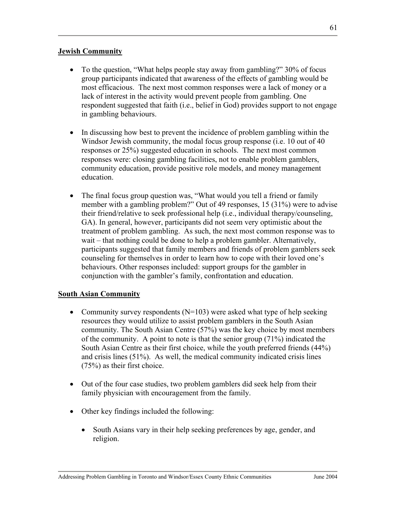## **Jewish Community**

- To the question, "What helps people stay away from gambling?" 30% of focus group participants indicated that awareness of the effects of gambling would be most efficacious. The next most common responses were a lack of money or a lack of interest in the activity would prevent people from gambling. One respondent suggested that faith (i.e., belief in God) provides support to not engage in gambling behaviours.
- In discussing how best to prevent the incidence of problem gambling within the Windsor Jewish community, the modal focus group response (i.e. 10 out of 40 responses or 25%) suggested education in schools. The next most common responses were: closing gambling facilities, not to enable problem gamblers, community education, provide positive role models, and money management education.
- The final focus group question was, "What would you tell a friend or family member with a gambling problem?" Out of 49 responses, 15 (31%) were to advise their friend/relative to seek professional help (i.e., individual therapy/counseling, GA). In general, however, participants did not seem very optimistic about the treatment of problem gambling. As such, the next most common response was to wait – that nothing could be done to help a problem gambler. Alternatively, participants suggested that family members and friends of problem gamblers seek counseling for themselves in order to learn how to cope with their loved one's behaviours. Other responses included: support groups for the gambler in conjunction with the gambler's family, confrontation and education.

### **South Asian Community**

- Community survey respondents  $(N=103)$  were asked what type of help seeking resources they would utilize to assist problem gamblers in the South Asian community. The South Asian Centre (57%) was the key choice by most members of the community. A point to note is that the senior group (71%) indicated the South Asian Centre as their first choice, while the youth preferred friends (44%) and crisis lines (51%). As well, the medical community indicated crisis lines (75%) as their first choice.
- Out of the four case studies, two problem gamblers did seek help from their family physician with encouragement from the family.
- Other key findings included the following:
	- South Asians vary in their help seeking preferences by age, gender, and religion.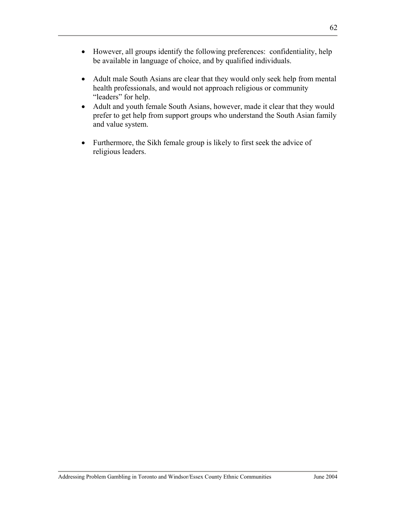- However, all groups identify the following preferences: confidentiality, help be available in language of choice, and by qualified individuals.
- Adult male South Asians are clear that they would only seek help from mental health professionals, and would not approach religious or community "leaders" for help.
- Adult and youth female South Asians, however, made it clear that they would prefer to get help from support groups who understand the South Asian family and value system.
- Furthermore, the Sikh female group is likely to first seek the advice of religious leaders.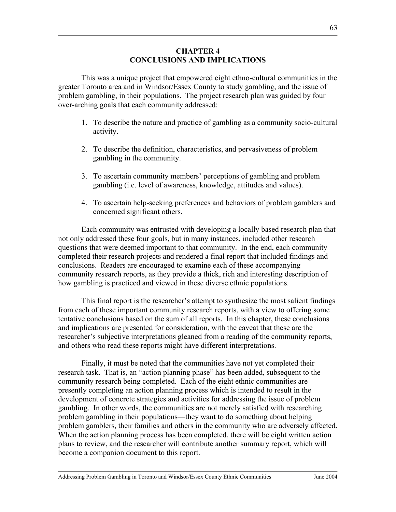#### **CHAPTER 4 CONCLUSIONS AND IMPLICATIONS**

This was a unique project that empowered eight ethno-cultural communities in the greater Toronto area and in Windsor/Essex County to study gambling, and the issue of problem gambling, in their populations. The project research plan was guided by four over-arching goals that each community addressed:

- 1. To describe the nature and practice of gambling as a community socio-cultural activity.
- 2. To describe the definition, characteristics, and pervasiveness of problem gambling in the community.
- 3. To ascertain community members' perceptions of gambling and problem gambling (i.e. level of awareness, knowledge, attitudes and values).
- 4. To ascertain help-seeking preferences and behaviors of problem gamblers and concerned significant others.

Each community was entrusted with developing a locally based research plan that not only addressed these four goals, but in many instances, included other research questions that were deemed important to that community. In the end, each community completed their research projects and rendered a final report that included findings and conclusions. Readers are encouraged to examine each of these accompanying community research reports, as they provide a thick, rich and interesting description of how gambling is practiced and viewed in these diverse ethnic populations.

This final report is the researcher's attempt to synthesize the most salient findings from each of these important community research reports, with a view to offering some tentative conclusions based on the sum of all reports. In this chapter, these conclusions and implications are presented for consideration, with the caveat that these are the researcher's subjective interpretations gleaned from a reading of the community reports, and others who read these reports might have different interpretations.

Finally, it must be noted that the communities have not yet completed their research task. That is, an "action planning phase" has been added, subsequent to the community research being completed. Each of the eight ethnic communities are presently completing an action planning process which is intended to result in the development of concrete strategies and activities for addressing the issue of problem gambling. In other words, the communities are not merely satisfied with researching problem gambling in their populations—they want to do something about helping problem gamblers, their families and others in the community who are adversely affected. When the action planning process has been completed, there will be eight written action plans to review, and the researcher will contribute another summary report, which will become a companion document to this report.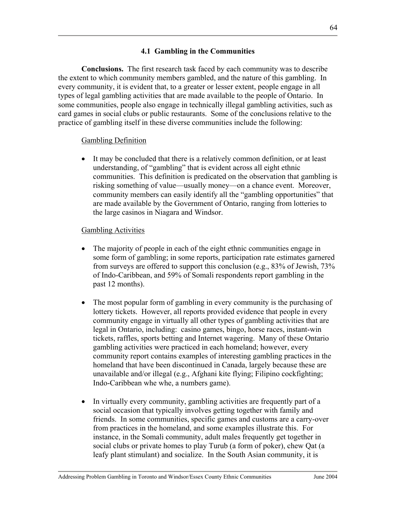### **4.1 Gambling in the Communities**

**Conclusions.** The first research task faced by each community was to describe the extent to which community members gambled, and the nature of this gambling. In every community, it is evident that, to a greater or lesser extent, people engage in all types of legal gambling activities that are made available to the people of Ontario. In some communities, people also engage in technically illegal gambling activities, such as card games in social clubs or public restaurants. Some of the conclusions relative to the practice of gambling itself in these diverse communities include the following:

#### Gambling Definition

• It may be concluded that there is a relatively common definition, or at least understanding, of "gambling" that is evident across all eight ethnic communities. This definition is predicated on the observation that gambling is risking something of value—usually money—on a chance event. Moreover, community members can easily identify all the "gambling opportunities" that are made available by the Government of Ontario, ranging from lotteries to the large casinos in Niagara and Windsor.

#### Gambling Activities

- The majority of people in each of the eight ethnic communities engage in some form of gambling; in some reports, participation rate estimates garnered from surveys are offered to support this conclusion (e.g., 83% of Jewish, 73% of Indo-Caribbean, and 59% of Somali respondents report gambling in the past 12 months).
- The most popular form of gambling in every community is the purchasing of lottery tickets. However, all reports provided evidence that people in every community engage in virtually all other types of gambling activities that are legal in Ontario, including: casino games, bingo, horse races, instant-win tickets, raffles, sports betting and Internet wagering. Many of these Ontario gambling activities were practiced in each homeland; however, every community report contains examples of interesting gambling practices in the homeland that have been discontinued in Canada, largely because these are unavailable and/or illegal (e.g., Afghani kite flying; Filipino cockfighting; Indo-Caribbean whe whe, a numbers game).
- In virtually every community, gambling activities are frequently part of a social occasion that typically involves getting together with family and friends. In some communities, specific games and customs are a carry-over from practices in the homeland, and some examples illustrate this. For instance, in the Somali community, adult males frequently get together in social clubs or private homes to play Turub (a form of poker), chew Qat (a leafy plant stimulant) and socialize. In the South Asian community, it is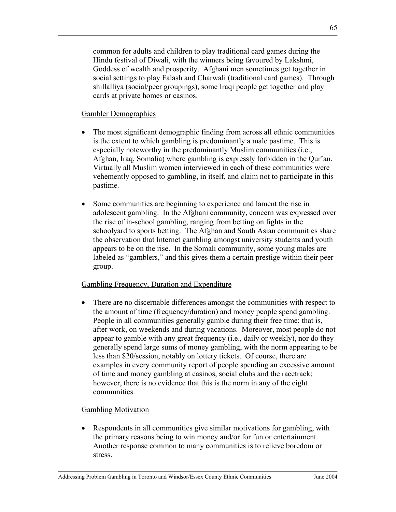common for adults and children to play traditional card games during the Hindu festival of Diwali, with the winners being favoured by Lakshmi, Goddess of wealth and prosperity. Afghani men sometimes get together in social settings to play Falash and Charwali (traditional card games). Through shillalliya (social/peer groupings), some Iraqi people get together and play cards at private homes or casinos.

## Gambler Demographics

- The most significant demographic finding from across all ethnic communities is the extent to which gambling is predominantly a male pastime. This is especially noteworthy in the predominantly Muslim communities (i.e., Afghan, Iraq, Somalia) where gambling is expressly forbidden in the Qur'an. Virtually all Muslim women interviewed in each of these communities were vehemently opposed to gambling, in itself, and claim not to participate in this pastime.
- Some communities are beginning to experience and lament the rise in adolescent gambling. In the Afghani community, concern was expressed over the rise of in-school gambling, ranging from betting on fights in the schoolyard to sports betting. The Afghan and South Asian communities share the observation that Internet gambling amongst university students and youth appears to be on the rise. In the Somali community, some young males are labeled as "gamblers," and this gives them a certain prestige within their peer group.

### Gambling Frequency, Duration and Expenditure

• There are no discernable differences amongst the communities with respect to the amount of time (frequency/duration) and money people spend gambling. People in all communities generally gamble during their free time; that is, after work, on weekends and during vacations. Moreover, most people do not appear to gamble with any great frequency (i.e., daily or weekly), nor do they generally spend large sums of money gambling, with the norm appearing to be less than \$20/session, notably on lottery tickets. Of course, there are examples in every community report of people spending an excessive amount of time and money gambling at casinos, social clubs and the racetrack; however, there is no evidence that this is the norm in any of the eight communities.

### Gambling Motivation

• Respondents in all communities give similar motivations for gambling, with the primary reasons being to win money and/or for fun or entertainment. Another response common to many communities is to relieve boredom or stress.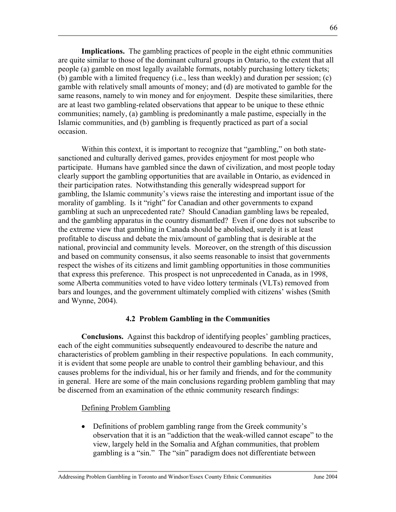**Implications.** The gambling practices of people in the eight ethnic communities are quite similar to those of the dominant cultural groups in Ontario, to the extent that all people (a) gamble on most legally available formats, notably purchasing lottery tickets; (b) gamble with a limited frequency (i.e., less than weekly) and duration per session; (c) gamble with relatively small amounts of money; and (d) are motivated to gamble for the same reasons, namely to win money and for enjoyment. Despite these similarities, there are at least two gambling-related observations that appear to be unique to these ethnic communities; namely, (a) gambling is predominantly a male pastime, especially in the Islamic communities, and (b) gambling is frequently practiced as part of a social occasion.

Within this context, it is important to recognize that "gambling," on both statesanctioned and culturally derived games, provides enjoyment for most people who participate. Humans have gambled since the dawn of civilization, and most people today clearly support the gambling opportunities that are available in Ontario, as evidenced in their participation rates. Notwithstanding this generally widespread support for gambling, the Islamic community's views raise the interesting and important issue of the morality of gambling. Is it "right" for Canadian and other governments to expand gambling at such an unprecedented rate? Should Canadian gambling laws be repealed, and the gambling apparatus in the country dismantled? Even if one does not subscribe to the extreme view that gambling in Canada should be abolished, surely it is at least profitable to discuss and debate the mix/amount of gambling that is desirable at the national, provincial and community levels. Moreover, on the strength of this discussion and based on community consensus, it also seems reasonable to insist that governments respect the wishes of its citizens and limit gambling opportunities in those communities that express this preference. This prospect is not unprecedented in Canada, as in 1998, some Alberta communities voted to have video lottery terminals (VLTs) removed from bars and lounges, and the government ultimately complied with citizens' wishes (Smith and Wynne, 2004).

#### **4.2 Problem Gambling in the Communities**

**Conclusions.** Against this backdrop of identifying peoples' gambling practices, each of the eight communities subsequently endeavoured to describe the nature and characteristics of problem gambling in their respective populations. In each community, it is evident that some people are unable to control their gambling behaviour, and this causes problems for the individual, his or her family and friends, and for the community in general. Here are some of the main conclusions regarding problem gambling that may be discerned from an examination of the ethnic community research findings:

#### Defining Problem Gambling

• Definitions of problem gambling range from the Greek community's observation that it is an "addiction that the weak-willed cannot escape" to the view, largely held in the Somalia and Afghan communities, that problem gambling is a "sin." The "sin" paradigm does not differentiate between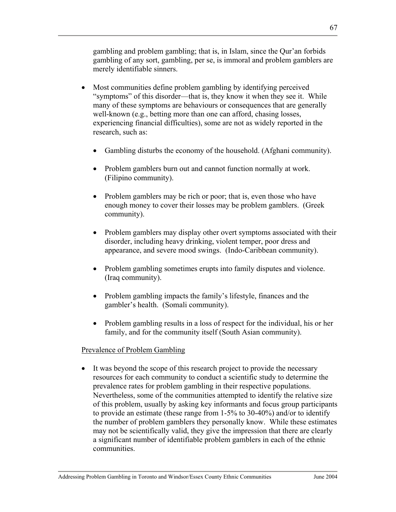gambling and problem gambling; that is, in Islam, since the Qur'an forbids gambling of any sort, gambling, per se, is immoral and problem gamblers are merely identifiable sinners.

- Most communities define problem gambling by identifying perceived "symptoms" of this disorder—that is, they know it when they see it. While many of these symptoms are behaviours or consequences that are generally well-known (e.g., betting more than one can afford, chasing losses, experiencing financial difficulties), some are not as widely reported in the research, such as:
	- Gambling disturbs the economy of the household. (Afghani community).
	- Problem gamblers burn out and cannot function normally at work. (Filipino community).
	- Problem gamblers may be rich or poor; that is, even those who have enough money to cover their losses may be problem gamblers. (Greek community).
	- Problem gamblers may display other overt symptoms associated with their disorder, including heavy drinking, violent temper, poor dress and appearance, and severe mood swings. (Indo-Caribbean community).
	- Problem gambling sometimes erupts into family disputes and violence. (Iraq community).
	- Problem gambling impacts the family's lifestyle, finances and the gambler's health. (Somali community).
	- Problem gambling results in a loss of respect for the individual, his or her family, and for the community itself (South Asian community).

### Prevalence of Problem Gambling

• It was beyond the scope of this research project to provide the necessary resources for each community to conduct a scientific study to determine the prevalence rates for problem gambling in their respective populations. Nevertheless, some of the communities attempted to identify the relative size of this problem, usually by asking key informants and focus group participants to provide an estimate (these range from 1-5% to 30-40%) and/or to identify the number of problem gamblers they personally know. While these estimates may not be scientifically valid, they give the impression that there are clearly a significant number of identifiable problem gamblers in each of the ethnic communities.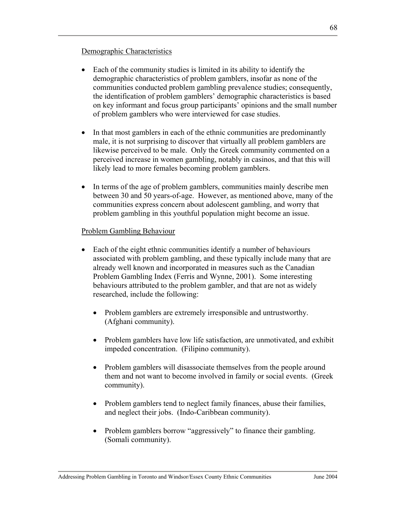### Demographic Characteristics

- Each of the community studies is limited in its ability to identify the demographic characteristics of problem gamblers, insofar as none of the communities conducted problem gambling prevalence studies; consequently, the identification of problem gamblers' demographic characteristics is based on key informant and focus group participants' opinions and the small number of problem gamblers who were interviewed for case studies.
- In that most gamblers in each of the ethnic communities are predominantly male, it is not surprising to discover that virtually all problem gamblers are likewise perceived to be male. Only the Greek community commented on a perceived increase in women gambling, notably in casinos, and that this will likely lead to more females becoming problem gamblers.
- In terms of the age of problem gamblers, communities mainly describe men between 30 and 50 years-of-age. However, as mentioned above, many of the communities express concern about adolescent gambling, and worry that problem gambling in this youthful population might become an issue.

### Problem Gambling Behaviour

- Each of the eight ethnic communities identify a number of behaviours associated with problem gambling, and these typically include many that are already well known and incorporated in measures such as the Canadian Problem Gambling Index (Ferris and Wynne, 2001). Some interesting behaviours attributed to the problem gambler, and that are not as widely researched, include the following:
	- Problem gamblers are extremely irresponsible and untrustworthy. (Afghani community).
	- Problem gamblers have low life satisfaction, are unmotivated, and exhibit impeded concentration. (Filipino community).
	- Problem gamblers will disassociate themselves from the people around them and not want to become involved in family or social events. (Greek community).
	- Problem gamblers tend to neglect family finances, abuse their families, and neglect their jobs. (Indo-Caribbean community).
	- Problem gamblers borrow "aggressively" to finance their gambling. (Somali community).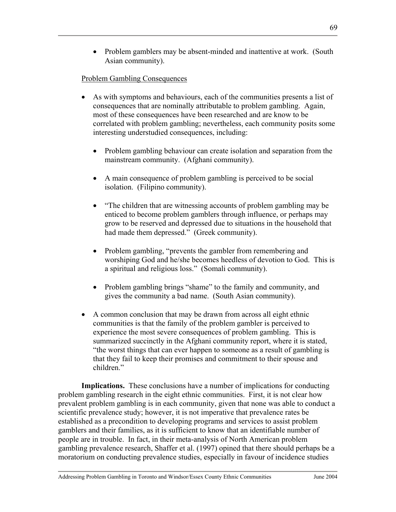# Problem Gambling Consequences

- As with symptoms and behaviours, each of the communities presents a list of consequences that are nominally attributable to problem gambling. Again, most of these consequences have been researched and are know to be correlated with problem gambling; nevertheless, each community posits some interesting understudied consequences, including:
	- Problem gambling behaviour can create isolation and separation from the mainstream community. (Afghani community).
	- A main consequence of problem gambling is perceived to be social isolation. (Filipino community).
	- "The children that are witnessing accounts of problem gambling may be enticed to become problem gamblers through influence, or perhaps may grow to be reserved and depressed due to situations in the household that had made them depressed." (Greek community).
	- Problem gambling, "prevents the gambler from remembering and worshiping God and he/she becomes heedless of devotion to God. This is a spiritual and religious loss." (Somali community).
	- Problem gambling brings "shame" to the family and community, and gives the community a bad name. (South Asian community).
- A common conclusion that may be drawn from across all eight ethnic communities is that the family of the problem gambler is perceived to experience the most severe consequences of problem gambling. This is summarized succinctly in the Afghani community report, where it is stated, "the worst things that can ever happen to someone as a result of gambling is that they fail to keep their promises and commitment to their spouse and children<sup>"</sup>

**Implications.** These conclusions have a number of implications for conducting problem gambling research in the eight ethnic communities. First, it is not clear how prevalent problem gambling is in each community, given that none was able to conduct a scientific prevalence study; however, it is not imperative that prevalence rates be established as a precondition to developing programs and services to assist problem gamblers and their families, as it is sufficient to know that an identifiable number of people are in trouble. In fact, in their meta-analysis of North American problem gambling prevalence research, Shaffer et al. (1997) opined that there should perhaps be a moratorium on conducting prevalence studies, especially in favour of incidence studies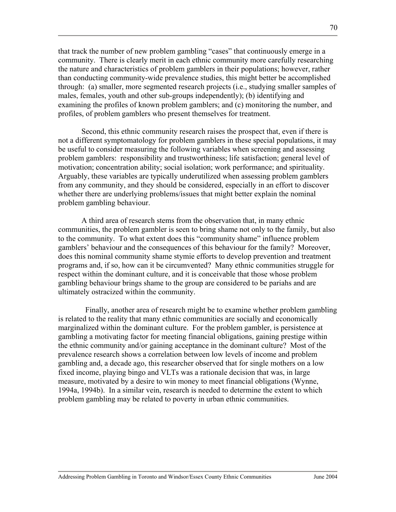that track the number of new problem gambling "cases" that continuously emerge in a community. There is clearly merit in each ethnic community more carefully researching the nature and characteristics of problem gamblers in their populations; however, rather than conducting community-wide prevalence studies, this might better be accomplished through: (a) smaller, more segmented research projects (i.e., studying smaller samples of males, females, youth and other sub-groups independently); (b) identifying and examining the profiles of known problem gamblers; and (c) monitoring the number, and profiles, of problem gamblers who present themselves for treatment.

Second, this ethnic community research raises the prospect that, even if there is not a different symptomatology for problem gamblers in these special populations, it may be useful to consider measuring the following variables when screening and assessing problem gamblers: responsibility and trustworthiness; life satisfaction; general level of motivation; concentration ability; social isolation; work performance; and spirituality. Arguably, these variables are typically underutilized when assessing problem gamblers from any community, and they should be considered, especially in an effort to discover whether there are underlying problems/issues that might better explain the nominal problem gambling behaviour.

A third area of research stems from the observation that, in many ethnic communities, the problem gambler is seen to bring shame not only to the family, but also to the community. To what extent does this "community shame" influence problem gamblers' behaviour and the consequences of this behaviour for the family? Moreover, does this nominal community shame stymie efforts to develop prevention and treatment programs and, if so, how can it be circumvented? Many ethnic communities struggle for respect within the dominant culture, and it is conceivable that those whose problem gambling behaviour brings shame to the group are considered to be pariahs and are ultimately ostracized within the community.

 Finally, another area of research might be to examine whether problem gambling is related to the reality that many ethnic communities are socially and economically marginalized within the dominant culture. For the problem gambler, is persistence at gambling a motivating factor for meeting financial obligations, gaining prestige within the ethnic community and/or gaining acceptance in the dominant culture? Most of the prevalence research shows a correlation between low levels of income and problem gambling and, a decade ago, this researcher observed that for single mothers on a low fixed income, playing bingo and VLTs was a rationale decision that was, in large measure, motivated by a desire to win money to meet financial obligations (Wynne, 1994a, 1994b). In a similar vein, research is needed to determine the extent to which problem gambling may be related to poverty in urban ethnic communities.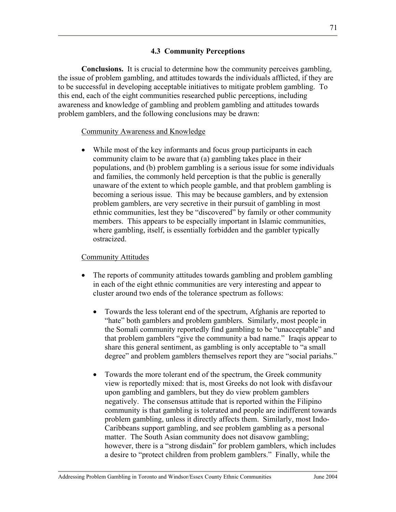## **4.3 Community Perceptions**

**Conclusions.** It is crucial to determine how the community perceives gambling, the issue of problem gambling, and attitudes towards the individuals afflicted, if they are to be successful in developing acceptable initiatives to mitigate problem gambling. To this end, each of the eight communities researched public perceptions, including awareness and knowledge of gambling and problem gambling and attitudes towards problem gamblers, and the following conclusions may be drawn:

## Community Awareness and Knowledge

• While most of the key informants and focus group participants in each community claim to be aware that (a) gambling takes place in their populations, and (b) problem gambling is a serious issue for some individuals and families, the commonly held perception is that the public is generally unaware of the extent to which people gamble, and that problem gambling is becoming a serious issue. This may be because gamblers, and by extension problem gamblers, are very secretive in their pursuit of gambling in most ethnic communities, lest they be "discovered" by family or other community members. This appears to be especially important in Islamic communities, where gambling, itself, is essentially forbidden and the gambler typically ostracized.

## Community Attitudes

- The reports of community attitudes towards gambling and problem gambling in each of the eight ethnic communities are very interesting and appear to cluster around two ends of the tolerance spectrum as follows:
	- Towards the less tolerant end of the spectrum, Afghanis are reported to "hate" both gamblers and problem gamblers. Similarly, most people in the Somali community reportedly find gambling to be "unacceptable" and that problem gamblers "give the community a bad name." Iraqis appear to share this general sentiment, as gambling is only acceptable to "a small degree" and problem gamblers themselves report they are "social pariahs."
	- Towards the more tolerant end of the spectrum, the Greek community view is reportedly mixed: that is, most Greeks do not look with disfavour upon gambling and gamblers, but they do view problem gamblers negatively. The consensus attitude that is reported within the Filipino community is that gambling is tolerated and people are indifferent towards problem gambling, unless it directly affects them. Similarly, most Indo-Caribbeans support gambling, and see problem gambling as a personal matter. The South Asian community does not disavow gambling; however, there is a "strong disdain" for problem gamblers, which includes a desire to "protect children from problem gamblers." Finally, while the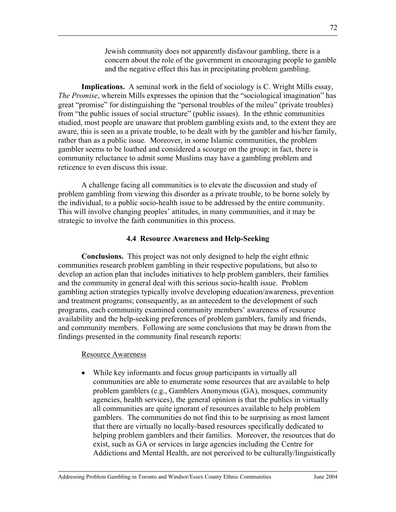Jewish community does not apparently disfavour gambling, there is a concern about the role of the government in encouraging people to gamble and the negative effect this has in precipitating problem gambling.

**Implications.** A seminal work in the field of sociology is C. Wright Mills essay, *The Promise*, wherein Mills expresses the opinion that the "sociological imagination" has great "promise" for distinguishing the "personal troubles of the mileu" (private troubles) from "the public issues of social structure" (public issues). In the ethnic communities studied, most people are unaware that problem gambling exists and, to the extent they are aware, this is seen as a private trouble, to be dealt with by the gambler and his/her family, rather than as a public issue. Moreover, in some Islamic communities, the problem gambler seems to be loathed and considered a scourge on the group; in fact, there is community reluctance to admit some Muslims may have a gambling problem and reticence to even discuss this issue.

A challenge facing all communities is to elevate the discussion and study of problem gambling from viewing this disorder as a private trouble, to be borne solely by the individual, to a public socio-health issue to be addressed by the entire community. This will involve changing peoples' attitudes, in many communities, and it may be strategic to involve the faith communities in this process.

#### **4.4 Resource Awareness and Help-Seeking**

**Conclusions.** This project was not only designed to help the eight ethnic communities research problem gambling in their respective populations, but also to develop an action plan that includes initiatives to help problem gamblers, their families and the community in general deal with this serious socio-health issue. Problem gambling action strategies typically involve developing education/awareness, prevention and treatment programs; consequently, as an antecedent to the development of such programs, each community examined community members' awareness of resource availability and the help-seeking preferences of problem gamblers, family and friends, and community members. Following are some conclusions that may be drawn from the findings presented in the community final research reports:

#### Resource Awareness

• While key informants and focus group participants in virtually all communities are able to enumerate some resources that are available to help problem gamblers (e.g., Gamblers Anonymous (GA), mosques, community agencies, health services), the general opinion is that the publics in virtually all communities are quite ignorant of resources available to help problem gamblers. The communities do not find this to be surprising as most lament that there are virtually no locally-based resources specifically dedicated to helping problem gamblers and their families. Moreover, the resources that do exist, such as GA or services in large agencies including the Centre for Addictions and Mental Health, are not perceived to be culturally/linguistically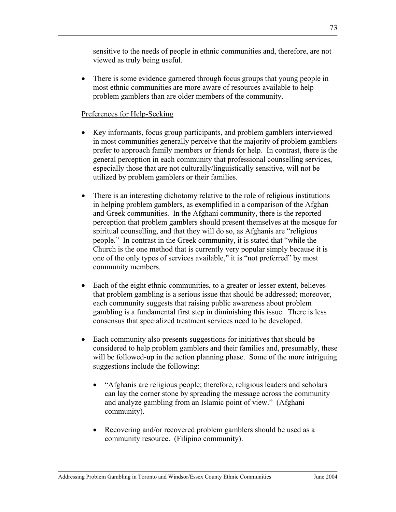sensitive to the needs of people in ethnic communities and, therefore, are not viewed as truly being useful.

• There is some evidence garnered through focus groups that young people in most ethnic communities are more aware of resources available to help problem gamblers than are older members of the community.

## Preferences for Help-Seeking

- Key informants, focus group participants, and problem gamblers interviewed in most communities generally perceive that the majority of problem gamblers prefer to approach family members or friends for help. In contrast, there is the general perception in each community that professional counselling services, especially those that are not culturally/linguistically sensitive, will not be utilized by problem gamblers or their families.
- There is an interesting dichotomy relative to the role of religious institutions in helping problem gamblers, as exemplified in a comparison of the Afghan and Greek communities. In the Afghani community, there is the reported perception that problem gamblers should present themselves at the mosque for spiritual counselling, and that they will do so, as Afghanis are "religious people." In contrast in the Greek community, it is stated that "while the Church is the one method that is currently very popular simply because it is one of the only types of services available," it is "not preferred" by most community members.
- Each of the eight ethnic communities, to a greater or lesser extent, believes that problem gambling is a serious issue that should be addressed; moreover, each community suggests that raising public awareness about problem gambling is a fundamental first step in diminishing this issue. There is less consensus that specialized treatment services need to be developed.
- Each community also presents suggestions for initiatives that should be considered to help problem gamblers and their families and, presumably, these will be followed-up in the action planning phase. Some of the more intriguing suggestions include the following:
	- "Afghanis are religious people; therefore, religious leaders and scholars can lay the corner stone by spreading the message across the community and analyze gambling from an Islamic point of view." (Afghani community).
	- Recovering and/or recovered problem gamblers should be used as a community resource. (Filipino community).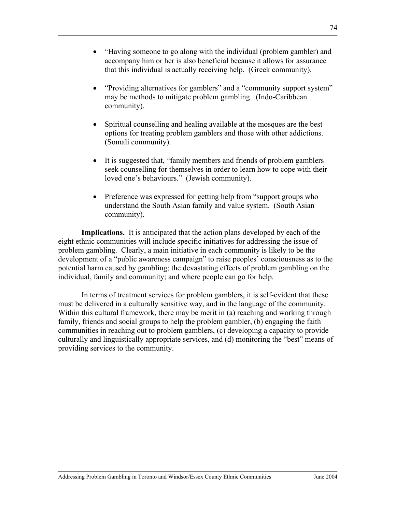- "Having someone to go along with the individual (problem gambler) and accompany him or her is also beneficial because it allows for assurance that this individual is actually receiving help. (Greek community).
- "Providing alternatives for gamblers" and a "community support system" may be methods to mitigate problem gambling. (Indo-Caribbean community).
- Spiritual counselling and healing available at the mosques are the best options for treating problem gamblers and those with other addictions. (Somali community).
- It is suggested that, "family members and friends of problem gamblers" seek counselling for themselves in order to learn how to cope with their loved one's behaviours." (Jewish community).
- Preference was expressed for getting help from "support groups who understand the South Asian family and value system. (South Asian community).

**Implications.** It is anticipated that the action plans developed by each of the eight ethnic communities will include specific initiatives for addressing the issue of problem gambling. Clearly, a main initiative in each community is likely to be the development of a "public awareness campaign" to raise peoples' consciousness as to the potential harm caused by gambling; the devastating effects of problem gambling on the individual, family and community; and where people can go for help.

In terms of treatment services for problem gamblers, it is self-evident that these must be delivered in a culturally sensitive way, and in the language of the community. Within this cultural framework, there may be merit in (a) reaching and working through family, friends and social groups to help the problem gambler, (b) engaging the faith communities in reaching out to problem gamblers, (c) developing a capacity to provide culturally and linguistically appropriate services, and (d) monitoring the "best" means of providing services to the community.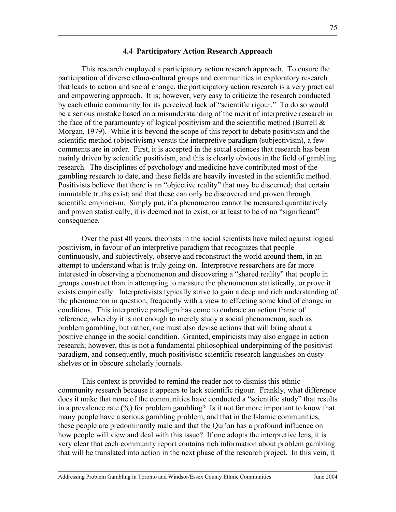#### **4.4 Participatory Action Research Approach**

This research employed a participatory action research approach. To ensure the participation of diverse ethno-cultural groups and communities in exploratory research that leads to action and social change, the participatory action research is a very practical and empowering approach. It is; however, very easy to criticize the research conducted by each ethnic community for its perceived lack of "scientific rigour." To do so would be a serious mistake based on a misunderstanding of the merit of interpretive research in the face of the paramountcy of logical positivism and the scientific method (Burrell  $\&$ Morgan, 1979). While it is beyond the scope of this report to debate positivism and the scientific method (objectivism) versus the interpretive paradigm (subjectivism), a few comments are in order. First, it is accepted in the social sciences that research has been mainly driven by scientific positivism, and this is clearly obvious in the field of gambling research. The disciplines of psychology and medicine have contributed most of the gambling research to date, and these fields are heavily invested in the scientific method. Positivists believe that there is an "objective reality" that may be discerned; that certain immutable truths exist; and that these can only be discovered and proven through scientific empiricism. Simply put, if a phenomenon cannot be measured quantitatively and proven statistically, it is deemed not to exist, or at least to be of no "significant" consequence.

Over the past 40 years, theorists in the social scientists have railed against logical positivism, in favour of an interpretive paradigm that recognizes that people continuously, and subjectively, observe and reconstruct the world around them, in an attempt to understand what is truly going on. Interpretive researchers are far more interested in observing a phenomenon and discovering a "shared reality" that people in groups construct than in attempting to measure the phenomenon statistically, or prove it exists empirically. Interpretivists typically strive to gain a deep and rich understanding of the phenomenon in question, frequently with a view to effecting some kind of change in conditions. This interpretive paradigm has come to embrace an action frame of reference, whereby it is not enough to merely study a social phenomenon, such as problem gambling, but rather, one must also devise actions that will bring about a positive change in the social condition. Granted, empiricists may also engage in action research; however, this is not a fundamental philosophical underpinning of the positivist paradigm, and consequently, much positivistic scientific research languishes on dusty shelves or in obscure scholarly journals.

This context is provided to remind the reader not to dismiss this ethnic community research because it appears to lack scientific rigour. Frankly, what difference does it make that none of the communities have conducted a "scientific study" that results in a prevalence rate (%) for problem gambling? Is it not far more important to know that many people have a serious gambling problem, and that in the Islamic communities, these people are predominantly male and that the Qur'an has a profound influence on how people will view and deal with this issue? If one adopts the interpretive lens, it is very clear that each community report contains rich information about problem gambling that will be translated into action in the next phase of the research project. In this vein, it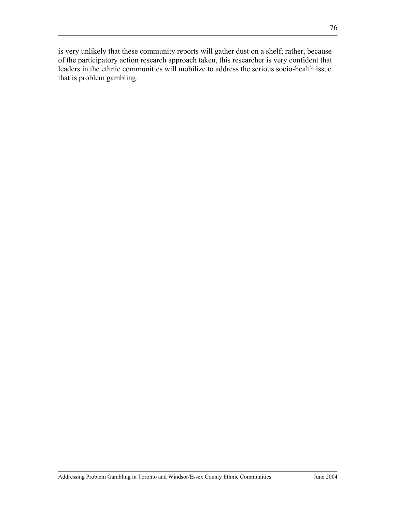is very unlikely that these community reports will gather dust on a shelf; rather, because of the participatory action research approach taken, this researcher is very confident that leaders in the ethnic communities will mobilize to address the serious socio-health issue that is problem gambling.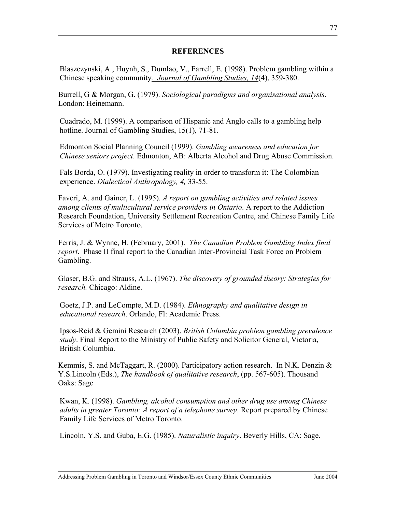### **REFERENCES**

Blaszczynski, A., Huynh, S., Dumlao, V., Farrell, E. (1998). Problem gambling within a Chinese speaking community*. Journal of Gambling Studies, 14*(4), 359-380.

Burrell, G & Morgan, G. (1979). *Sociological paradigms and organisational analysis*. London: Heinemann.

Cuadrado, M. (1999). A comparison of Hispanic and Anglo calls to a gambling help hotline. <u>Journal of Gambling Studies, 15</u>(1), 71-81.

Edmonton Social Planning Council (1999). *Gambling awareness and education for Chinese seniors project*. Edmonton, AB: Alberta Alcohol and Drug Abuse Commission.

Fals Borda, O. (1979). Investigating reality in order to transform it: The Colombian experience. *Dialectical Anthropology, 4,* 33-55.

Faveri, A. and Gainer, L. (1995). *A report on gambling activities and related issues among clients of multicultural service providers in Ontario*. A report to the Addiction Research Foundation, University Settlement Recreation Centre, and Chinese Family Life Services of Metro Toronto.

Ferris, J. & Wynne, H. (February, 2001). *The Canadian Problem Gambling Index final report*. Phase II final report to the Canadian Inter-Provincial Task Force on Problem Gambling.

Glaser, B.G. and Strauss, A.L. (1967). *The discovery of grounded theory: Strategies for research.* Chicago: Aldine.

Goetz, J.P. and LeCompte, M.D. (1984). *Ethnography and qualitative design in educational research*. Orlando, Fl: Academic Press.

Ipsos-Reid & Gemini Research (2003). *British Columbia problem gambling prevalence study*. Final Report to the Ministry of Public Safety and Solicitor General, Victoria, British Columbia.

Kemmis, S. and McTaggart, R. (2000). Participatory action research. In N.K. Denzin  $\&$ Y.S.Lincoln (Eds.), *The handbook of qualitative research*, (pp. 567-605). Thousand Oaks: Sage

Kwan, K. (1998). *Gambling, alcohol consumption and other drug use among Chinese adults in greater Toronto: A report of a telephone survey*. Report prepared by Chinese Family Life Services of Metro Toronto.

Lincoln, Y.S. and Guba, E.G. (1985). *Naturalistic inquiry*. Beverly Hills, CA: Sage.